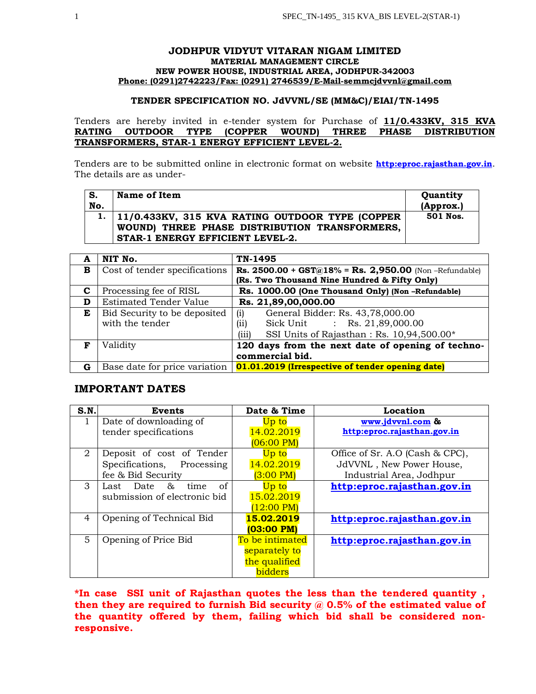## **JODHPUR VIDYUT VITARAN NIGAM LIMITED MATERIAL MANAGEMENT CIRCLE NEW POWER HOUSE, INDUSTRIAL AREA, JODHPUR-342003 Phone: (0291)2742223/Fax: (0291) 2746539/E-Mail-semmcjdvvnl@gmail.com**

## **TENDER SPECIFICATION NO. JdVVNL/SE (MM&C)/EIAI/TN-1495**

Tenders are hereby invited in e-tender system for Purchase of **11/0.433KV, 315 KVA RATING OUTDOOR TYPE (COPPER WOUND) THREE PHASE DISTRIBUTION TRANSFORMERS, STAR-1 ENERGY EFFICIENT LEVEL-2.**

Tenders are to be submitted online in electronic format on website **http:eproc.rajasthan.gov.in**. The details are as under-

| S.<br>No. | Name of Item                                                                                                                              | Quantity<br>(Approx.) |
|-----------|-------------------------------------------------------------------------------------------------------------------------------------------|-----------------------|
|           | 1.   11/0.433KV, 315 KVA RATING OUTDOOR TYPE (COPPER<br>WOUND) THREE PHASE DISTRIBUTION TRANSFORMERS,<br>STAR-1 ENERGY EFFICIENT LEVEL-2. | 501 Nos.              |

| A | NIT No.                       | TN-1495                                                                                                      |  |
|---|-------------------------------|--------------------------------------------------------------------------------------------------------------|--|
| в | Cost of tender specifications | <b>Rs. 2500.00 + GST@18% = Rs. 2,950.00</b> (Non-Refundable)<br>(Rs. Two Thousand Nine Hundred & Fifty Only) |  |
| C | Processing fee of RISL        | Rs. 1000.00 (One Thousand Only) (Non-Refundable)                                                             |  |
| D | <b>Estimated Tender Value</b> | Rs. 21,89,00,000.00                                                                                          |  |
| E | Bid Security to be deposited  | General Bidder: Rs. 43,78,000.00<br>(i)                                                                      |  |
|   | with the tender               | Sick Unit : Rs. 21,89,000.00<br>(ii)                                                                         |  |
|   |                               | (iii)<br>SSI Units of Rajasthan: Rs. 10,94,500.00*                                                           |  |
| F | Validity                      | 120 days from the next date of opening of techno-                                                            |  |
|   |                               | commercial bid.                                                                                              |  |
| G | Base date for price variation | 01.01.2019 (Irrespective of tender opening date)                                                             |  |

# **IMPORTANT DATES**

| S.N.           | <b>Events</b>                | Date & Time          | Location                        |
|----------------|------------------------------|----------------------|---------------------------------|
|                | Date of downloading of       | Up to                | www.jdvvnl.com &                |
|                | tender specifications        | 14.02.2019           | http:eproc.rajasthan.gov.in     |
|                |                              | $(06:00 \text{ PM})$ |                                 |
| 2              | Deposit of cost of Tender    | Up to                | Office of Sr. A.O (Cash & CPC), |
|                | Specifications, Processing   | 14.02.2019           | JdVVNL, New Power House,        |
|                | fee & Bid Security           | $(3:00 \text{ PM})$  | Industrial Area, Jodhpur        |
| 3              | of<br>time<br>Last Date $\&$ | Up to                | http:eproc.rajasthan.gov.in     |
|                | submission of electronic bid | 15.02.2019           |                                 |
|                |                              | $(12:00 \text{ PM})$ |                                 |
| $\overline{4}$ | Opening of Technical Bid     | 15.02.2019           | http:eproc.rajasthan.gov.in     |
|                |                              | (03:00 PM)           |                                 |
| 5              | Opening of Price Bid         | To be intimated      | http:eproc.rajasthan.gov.in     |
|                |                              | separately to        |                                 |
|                |                              | the qualified        |                                 |
|                |                              | bidders              |                                 |

**\*In case SSI unit of Rajasthan quotes the less than the tendered quantity , then they are required to furnish Bid security @ 0.5% of the estimated value of the quantity offered by them, failing which bid shall be considered nonresponsive.**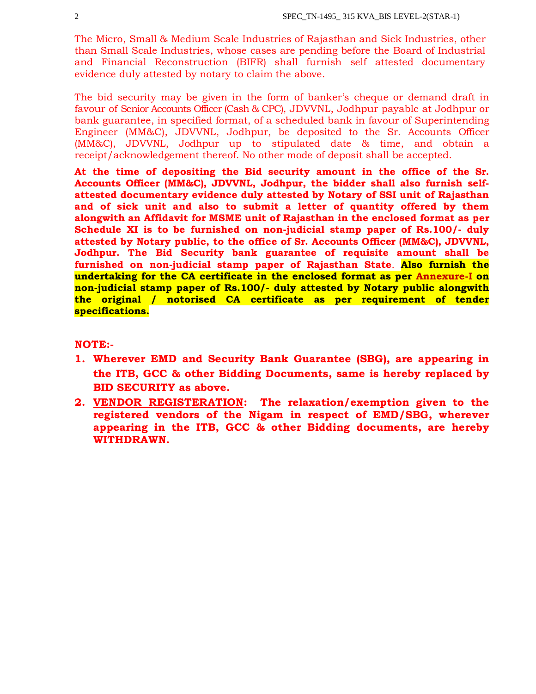The Micro, Small & Medium Scale Industries of Rajasthan and Sick Industries, other than Small Scale Industries, whose cases are pending before the Board of Industrial and Financial Reconstruction (BIFR) shall furnish self attested documentary evidence duly attested by notary to claim the above.

The bid security may be given in the form of banker's cheque or demand draft in favour of Senior Accounts Officer (Cash & CPC), JDVVNL, Jodhpur payable at Jodhpur or bank guarantee, in specified format, of a scheduled bank in favour of Superintending Engineer (MM&C), JDVVNL, Jodhpur, be deposited to the Sr. Accounts Officer (MM&C), JDVVNL, Jodhpur up to stipulated date & time, and obtain a receipt/acknowledgement thereof. No other mode of deposit shall be accepted.

**At the time of depositing the Bid security amount in the office of the Sr. Accounts Officer (MM&C), JDVVNL, Jodhpur, the bidder shall also furnish selfattested documentary evidence duly attested by Notary of SSI unit of Rajasthan and of sick unit and also to submit a letter of quantity offered by them alongwith an Affidavit for MSME unit of Rajasthan in the enclosed format as per Schedule XI is to be furnished on non-judicial stamp paper of Rs.100/- duly attested by Notary public, to the office of Sr. Accounts Officer (MM&C), JDVVNL, Jodhpur. The Bid Security bank guarantee of requisite amount shall be furnished on non-judicial stamp paper of Rajasthan State**. **Also furnish the undertaking for the CA certificate in the enclosed format as per Annexure-I on non-judicial stamp paper of Rs.100/- duly attested by Notary public alongwith the original / notorised CA certificate as per requirement of tender specifications.**

# **NOTE:-**

- **1. Wherever EMD and Security Bank Guarantee (SBG), are appearing in the ITB, GCC & other Bidding Documents, same is hereby replaced by BID SECURITY as above.**
- **2. VENDOR REGISTERATION: The relaxation/exemption given to the registered vendors of the Nigam in respect of EMD/SBG, wherever appearing in the ITB, GCC & other Bidding documents, are hereby WITHDRAWN.**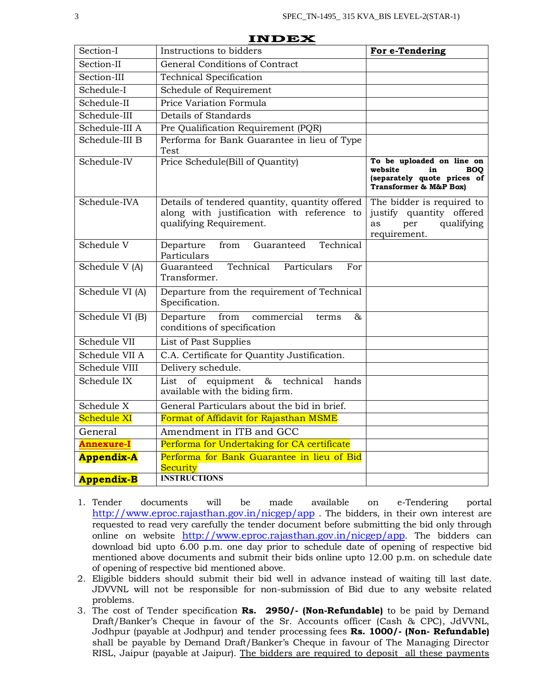| Section-I         | Instructions to bidders                                                                                                 | For e-Tendering                                                                                                   |
|-------------------|-------------------------------------------------------------------------------------------------------------------------|-------------------------------------------------------------------------------------------------------------------|
| Section-II        | General Conditions of Contract                                                                                          |                                                                                                                   |
| Section-III       | <b>Technical Specification</b>                                                                                          |                                                                                                                   |
| Schedule-I        | Schedule of Requirement                                                                                                 |                                                                                                                   |
| Schedule-II       | Price Variation Formula                                                                                                 |                                                                                                                   |
| Schedule-III      | Details of Standards                                                                                                    |                                                                                                                   |
| Schedule-III A    | Pre Qualification Requirement (PQR)                                                                                     |                                                                                                                   |
| Schedule-III B    | Performa for Bank Guarantee in lieu of Type<br>Test                                                                     |                                                                                                                   |
| Schedule-IV       | Price Schedule(Bill of Quantity)                                                                                        | To be uploaded on line on<br>website<br><b>BOO</b><br>in<br>(separately quote prices of<br>Transformer & M&P Box) |
| Schedule-IVA      | Details of tendered quantity, quantity offered<br>along with justification with reference to<br>qualifying Requirement. | The bidder is required to<br>justify quantity offered<br>qualifying<br>as<br>per<br>requirement.                  |
| Schedule V        | Technical<br>Departure<br>from<br>Guaranteed<br>Particulars                                                             |                                                                                                                   |
| Schedule V (A)    | Technical<br>Guaranteed<br>Particulars<br>For<br>Transformer.                                                           |                                                                                                                   |
| Schedule VI (A)   | Departure from the requirement of Technical<br>Specification.                                                           |                                                                                                                   |
| Schedule VI (B)   | from<br>commercial<br>Departure<br>&<br>terms<br>conditions of specification                                            |                                                                                                                   |
| Schedule VII      | List of Past Supplies                                                                                                   |                                                                                                                   |
| Schedule VII A    | C.A. Certificate for Quantity Justification.                                                                            |                                                                                                                   |
| Schedule VIII     | Delivery schedule.                                                                                                      |                                                                                                                   |
| Schedule IX       | of equipment<br>& technical<br>hands<br>List<br>available with the biding firm.                                         |                                                                                                                   |
| Schedule X        | General Particulars about the bid in brief.                                                                             |                                                                                                                   |
| Schedule XI       | Format of Affidavit for Rajasthan MSME                                                                                  |                                                                                                                   |
| General           | Amendment in ITB and GCC                                                                                                |                                                                                                                   |
| <b>Annexure-I</b> | Performa for Undertaking for CA certificate                                                                             |                                                                                                                   |
| <b>Appendix-A</b> | Performa for Bank Guarantee in lieu of Bid                                                                              |                                                                                                                   |
|                   | Security<br><b>INSTRUCTIONS</b>                                                                                         |                                                                                                                   |
| <b>Appendix-B</b> |                                                                                                                         |                                                                                                                   |

**INDEX**

- 1. Tender documents will be made available on e-Tendering portal http://www.eproc.rajasthan.gov.in/nicgep/app . The bidders, in their own interest are requested to read very carefully the tender document before submitting the bid only through online on website http://www.eproc.rajasthan.gov.in/nicgep/app. The bidders can download bid upto 6.00 p.m. one day prior to schedule date of opening of respective bid mentioned above documents and submit their bids online upto 12.00 p.m. on schedule date of opening of respective bid mentioned above.
- 2. Eligible bidders should submit their bid well in advance instead of waiting till last date. JDVVNL will not be responsible for non-submission of Bid due to any website related problems.
- 3. The cost of Tender specification **Rs. 2950/- (Non-Refundable)** to be paid by Demand Draft/Banker's Cheque in favour of the Sr. Accounts officer (Cash & CPC), JdVVNL, Jodhpur (payable at Jodhpur) and tender processing fees **Rs. 1000/- (Non- Refundable)** shall be payable by Demand Draft/Banker's Cheque in favour of The Managing Director RISL, Jaipur (payable at Jaipur). The bidders are required to deposit all these payments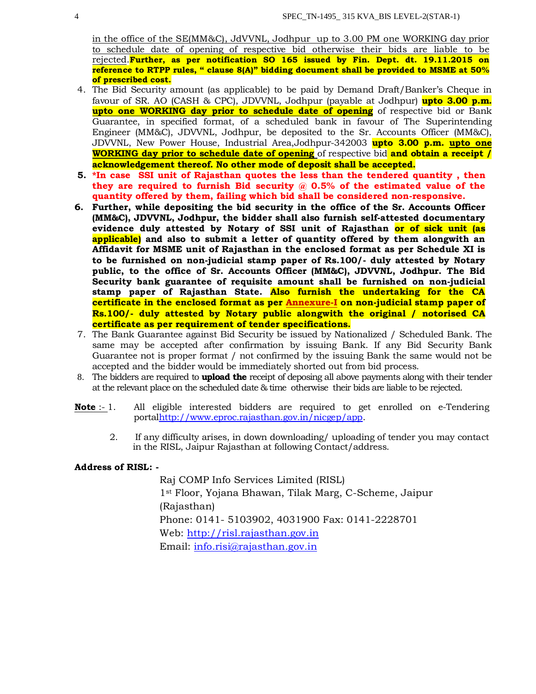in the office of the SE(MM&C), JdVVNL, Jodhpur up to 3.00 PM one WORKING day prior to schedule date of opening of respective bid otherwise their bids are liable to be rejected.**Further, as per notification SO 165 issued by Fin. Dept. dt. 19.11.2015 on reference to RTPP rules, " clause 8(A)" bidding document shall be provided to MSME at 50% of prescribed cost.**

- 4. The Bid Security amount (as applicable) to be paid by Demand Draft/Banker's Cheque in favour of SR. AO (CASH & CPC), JDVVNL, Jodhpur (payable at Jodhpur) **upto 3.00 p.m. upto one WORKING day prior to schedule date of opening** of respective bid or Bank Guarantee, in specified format, of a scheduled bank in favour of The Superintending Engineer (MM&C), JDVVNL, Jodhpur, be deposited to the Sr. Accounts Officer (MM&C), JDVVNL, New Power House, Industrial Area,Jodhpur-342003 **upto 3.00 p.m. upto one WORKING day prior to schedule date of opening** of respective bid **and obtain a receipt / acknowledgement thereof. No other mode of deposit shall be accepted.**
- **5. \*In case SSI unit of Rajasthan quotes the less than the tendered quantity , then they are required to furnish Bid security @ 0.5% of the estimated value of the quantity offered by them, failing which bid shall be considered non-responsive.**
- **6. Further, while depositing the bid security in the office of the Sr. Accounts Officer (MM&C), JDVVNL, Jodhpur, the bidder shall also furnish self-attested documentary evidence duly attested by Notary of SSI unit of Rajasthan or of sick unit (as applicable) and also to submit a letter of quantity offered by them alongwith an Affidavit for MSME unit of Rajasthan in the enclosed format as per Schedule XI is to be furnished on non-judicial stamp paper of Rs.100/- duly attested by Notary public, to the office of Sr. Accounts Officer (MM&C), JDVVNL, Jodhpur. The Bid Security bank guarantee of requisite amount shall be furnished on non-judicial stamp paper of Rajasthan State. Also furnish the undertaking for the CA certificate in the enclosed format as per Annexure-I on non-judicial stamp paper of Rs.100/- duly attested by Notary public alongwith the original / notorised CA certificate as per requirement of tender specifications.**
- 7. The Bank Guarantee against Bid Security be issued by Nationalized / Scheduled Bank. The same may be accepted after confirmation by issuing Bank. If any Bid Security Bank Guarantee not is proper format / not confirmed by the issuing Bank the same would not be accepted and the bidder would be immediately shorted out from bid process.
- 8. The bidders are required to **upload the** receipt of deposing all above payments along with their tender at the relevant place on the scheduled date & time otherwise their bids are liable to be rejected.
- **Note** :- 1. All eligible interested bidders are required to get enrolled on e-Tendering portalhttp://www.eproc.rajasthan.gov.in/nicgep/app.
	- 2. If any difficulty arises, in down downloading/ uploading of tender you may contact in the RISL, Jaipur Rajasthan at following Contact/address.

## **Address of RISL: -**

Raj COMP Info Services Limited (RISL) 1st Floor, Yojana Bhawan, Tilak Marg, C-Scheme, Jaipur (Rajasthan) Phone: 0141- 5103902, 4031900 Fax: 0141-2228701 Web: http://risl.rajasthan.gov.in Email: info.risi@rajasthan.gov.in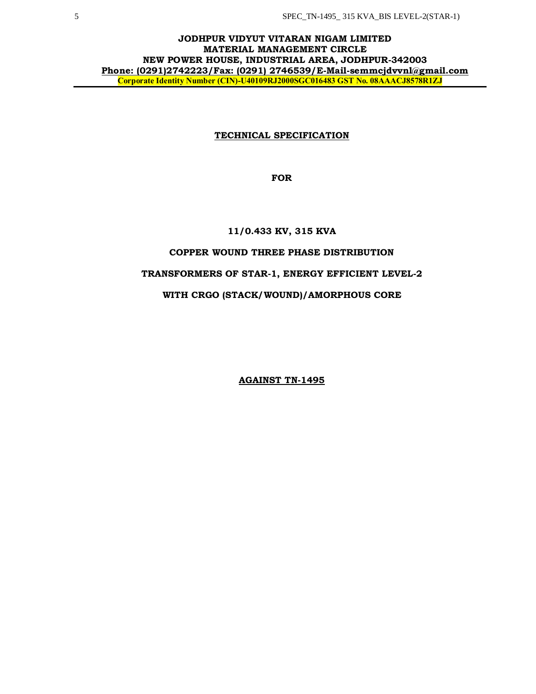## **JODHPUR VIDYUT VITARAN NIGAM LIMITED MATERIAL MANAGEMENT CIRCLE NEW POWER HOUSE, INDUSTRIAL AREA, JODHPUR-342003 Phone: (0291)2742223/Fax: (0291) 2746539/E-Mail-semmcjdvvnl@gmail.com Corporate Identity Number (CIN)-U40109RJ2000SGC016483 GST No. 08AAACJ8578R1ZJ**

## **TECHNICAL SPECIFICATION**

**FOR**

## **11/0.433 KV, 315 KVA**

# **COPPER WOUND THREE PHASE DISTRIBUTION**

## **TRANSFORMERS OF STAR-1, ENERGY EFFICIENT LEVEL-2**

# **WITH CRGO (STACK/WOUND)/AMORPHOUS CORE**

**AGAINST TN-1495**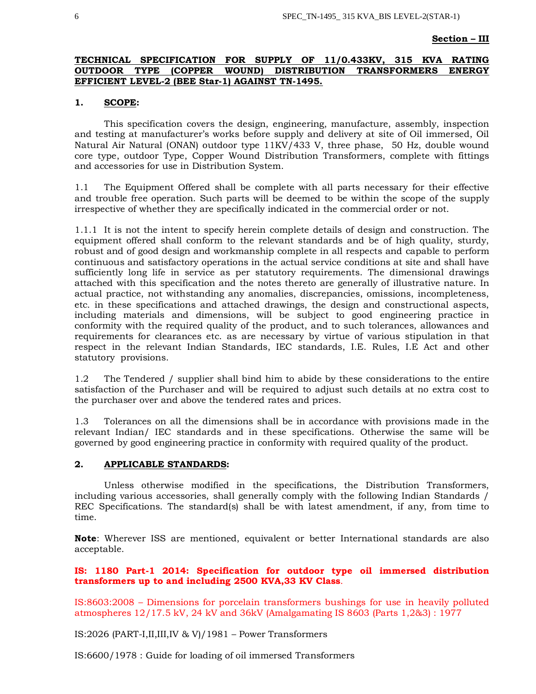#### **Section – III**

## **TECHNICAL SPECIFICATION FOR SUPPLY OF 11/0.433KV, 315 KVA RATING OUTDOOR TYPE (COPPER WOUND) DISTRIBUTION TRANSFORMERS ENERGY EFFICIENT LEVEL-2 (BEE Star-1) AGAINST TN-1495.**

## **1. SCOPE:**

This specification covers the design, engineering, manufacture, assembly, inspection and testing at manufacturer's works before supply and delivery at site of Oil immersed, Oil Natural Air Natural (ONAN) outdoor type 11KV/433 V, three phase, 50 Hz, double wound core type, outdoor Type, Copper Wound Distribution Transformers, complete with fittings and accessories for use in Distribution System.

1.1 The Equipment Offered shall be complete with all parts necessary for their effective and trouble free operation. Such parts will be deemed to be within the scope of the supply irrespective of whether they are specifically indicated in the commercial order or not.

1.1.1 It is not the intent to specify herein complete details of design and construction. The equipment offered shall conform to the relevant standards and be of high quality, sturdy, robust and of good design and workmanship complete in all respects and capable to perform continuous and satisfactory operations in the actual service conditions at site and shall have sufficiently long life in service as per statutory requirements. The dimensional drawings attached with this specification and the notes thereto are generally of illustrative nature. In actual practice, not withstanding any anomalies, discrepancies, omissions, incompleteness, etc. in these specifications and attached drawings, the design and constructional aspects, including materials and dimensions, will be subject to good engineering practice in conformity with the required quality of the product, and to such tolerances, allowances and requirements for clearances etc. as are necessary by virtue of various stipulation in that respect in the relevant Indian Standards, IEC standards, I.E. Rules, I.E Act and other statutory provisions.

1.2 The Tendered / supplier shall bind him to abide by these considerations to the entire satisfaction of the Purchaser and will be required to adjust such details at no extra cost to the purchaser over and above the tendered rates and prices.

1.3 Tolerances on all the dimensions shall be in accordance with provisions made in the relevant Indian/ IEC standards and in these specifications. Otherwise the same will be governed by good engineering practice in conformity with required quality of the product.

## **2. APPLICABLE STANDARDS:**

Unless otherwise modified in the specifications, the Distribution Transformers, including various accessories, shall generally comply with the following Indian Standards / REC Specifications. The standard(s) shall be with latest amendment, if any, from time to time.

**Note**: Wherever ISS are mentioned, equivalent or better International standards are also acceptable.

## **IS: 1180 Part-1 2014: Specification for outdoor type oil immersed distribution transformers up to and including 2500 KVA,33 KV Class**.

IS:8603:2008 – Dimensions for porcelain transformers bushings for use in heavily polluted atmospheres 12/17.5 kV, 24 kV and 36kV (Amalgamating IS 8603 (Parts 1,2&3) : 1977

IS:2026 (PART-I,II,III,IV & V)/1981 – Power Transformers

IS:6600/1978 : Guide for loading of oil immersed Transformers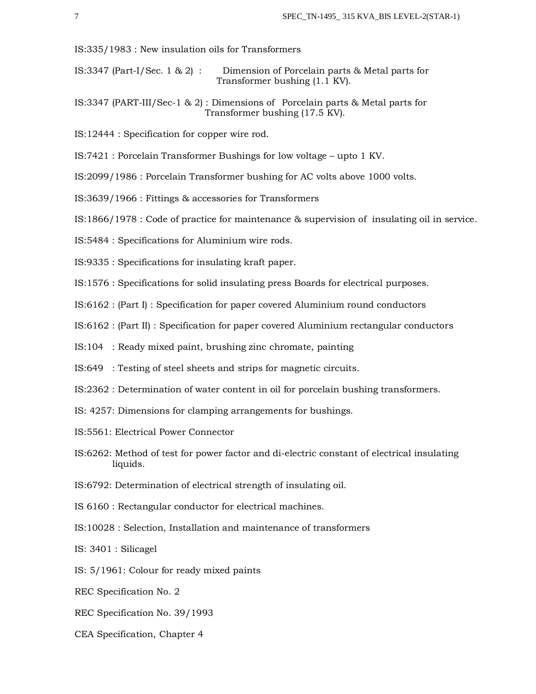IS:335/1983 : New insulation oils for Transformers

- IS:3347 (Part-I/Sec. 1 & 2) : Dimension of Porcelain parts & Metal parts for Transformer bushing (1.1 KV).
- IS:3347 (PART-III/Sec-1 & 2) : Dimensions of Porcelain parts & Metal parts for Transformer bushing (17.5 KV).
- IS:12444 : Specification for copper wire rod.
- IS:7421 : Porcelain Transformer Bushings for low voltage upto 1 KV.
- IS:2099/1986 : Porcelain Transformer bushing for AC volts above 1000 volts.
- IS:3639/1966 : Fittings & accessories for Transformers
- IS:1866/1978 : Code of practice for maintenance & supervision of insulating oil in service.
- IS:5484 : Specifications for Aluminium wire rods.
- IS:9335 : Specifications for insulating kraft paper.
- IS:1576 : Specifications for solid insulating press Boards for electrical purposes.
- IS:6162 : (Part I) : Specification for paper covered Aluminium round conductors
- IS:6162 : (Part II) : Specification for paper covered Aluminium rectangular conductors
- IS:104 : Ready mixed paint, brushing zinc chromate, painting
- IS:649 : Testing of steel sheets and strips for magnetic circuits.
- IS:2362 : Determination of water content in oil for porcelain bushing transformers.
- IS: 4257: Dimensions for clamping arrangements for bushings.
- IS:5561: Electrical Power Connector
- IS:6262: Method of test for power factor and di-electric constant of electrical insulating liquids.
- IS:6792: Determination of electrical strength of insulating oil.
- IS 6160 : Rectangular conductor for electrical machines.
- IS:10028 : Selection, Installation and maintenance of transformers
- IS: 3401 : Silicagel
- IS: 5/1961: Colour for ready mixed paints
- REC Specification No. 2
- REC Specification No. 39/1993
- CEA Specification, Chapter 4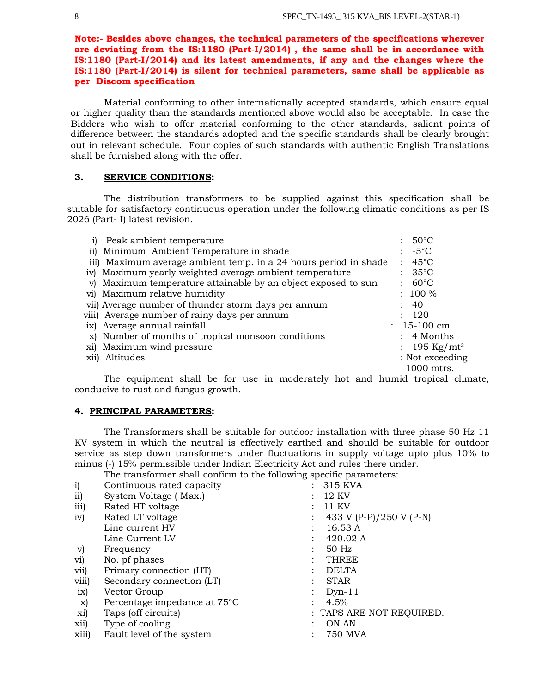**Note:- Besides above changes, the technical parameters of the specifications wherever are deviating from the IS:1180 (Part-I/2014) , the same shall be in accordance with IS:1180 (Part-I/2014) and its latest amendments, if any and the changes where the IS:1180 (Part-I/2014) is silent for technical parameters, same shall be applicable as per Discom specification**

Material conforming to other internationally accepted standards, which ensure equal or higher quality than the standards mentioned above would also be acceptable. In case the Bidders who wish to offer material conforming to the other standards, salient points of difference between the standards adopted and the specific standards shall be clearly brought out in relevant schedule. Four copies of such standards with authentic English Translations shall be furnished along with the offer.

### **3. SERVICE CONDITIONS:**

The distribution transformers to be supplied against this specification shall be suitable for satisfactory continuous operation under the following climatic conditions as per IS 2026 (Part- I) latest revision.

| Peak ambient temperature                                         | $: 50^{\circ}$ C         |
|------------------------------------------------------------------|--------------------------|
| ii) Minimum Ambient Temperature in shade                         | $: -5^{\circ}C$          |
| iii) Maximum average ambient temp. in a 24 hours period in shade | $: 45^{\circ}$ C         |
| iv) Maximum yearly weighted average ambient temperature          | $: 35^{\circ}$ C         |
| v) Maximum temperature attainable by an object exposed to sun    | $: 60^{\circ}$ C         |
| vi) Maximum relative humidity                                    | $: 100 \%$               |
| vii) Average number of thunder storm days per annum              | : 40                     |
| viii) Average number of rainy days per annum                     | : 120                    |
| ix) Average annual rainfall                                      | $: 15-100$ cm            |
| x) Number of months of tropical monsoon conditions               | $: 4$ Months             |
| xi) Maximum wind pressure                                        | : 195 Kg/mt <sup>2</sup> |
| xii) Altitudes                                                   | : Not exceeding          |
|                                                                  | 1000 mtrs.               |

 The equipment shall be for use in moderately hot and humid tropical climate, conducive to rust and fungus growth.

#### **4. PRINCIPAL PARAMETERS:**

The Transformers shall be suitable for outdoor installation with three phase 50 Hz 11 KV system in which the neutral is effectively earthed and should be suitable for outdoor service as step down transformers under fluctuations in supply voltage upto plus 10% to minus (-) 15% permissible under Indian Electricity Act and rules there under.

The transformer shall confirm to the following specific parameters:

| $\mathbf{i}$  | Continuous rated capacity    | 315 KVA                  |
|---------------|------------------------------|--------------------------|
| ii)           | System Voltage (Max.)        | 12 KV                    |
| iii)          | Rated HT voltage             | 11 KV                    |
| iv)           | Rated LT voltage             | 433 V (P-P)/250 V (P-N)  |
|               | Line current HV              | 16.53A                   |
|               | Line Current LV              | 420.02 A                 |
| V)            | Frequency                    | 50 Hz                    |
| vi)           | No. pf phases                | THREE                    |
| vii)          | Primary connection (HT)      | <b>DELTA</b>             |
| viii)         | Secondary connection (LT)    | <b>STAR</b>              |
| $i\mathbf{x}$ | Vector Group                 | $Dyn-11$                 |
| X)            | Percentage impedance at 75°C | 4.5%                     |
| xi)           | Taps (off circuits)          | : TAPS ARE NOT REQUIRED. |
| xii)          | Type of cooling              | ON AN                    |
| xiii)         | Fault level of the system    | 750 MVA                  |
|               |                              |                          |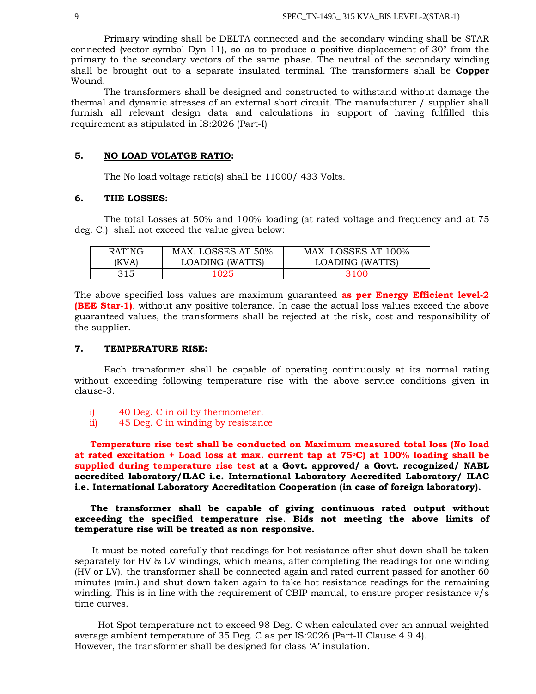Primary winding shall be DELTA connected and the secondary winding shall be STAR connected (vector symbol Dyn-11), so as to produce a positive displacement of  $30^{\circ}$  from the primary to the secondary vectors of the same phase. The neutral of the secondary winding shall be brought out to a separate insulated terminal. The transformers shall be **Copper**  Wound.

The transformers shall be designed and constructed to withstand without damage the thermal and dynamic stresses of an external short circuit. The manufacturer / supplier shall furnish all relevant design data and calculations in support of having fulfilled this requirement as stipulated in IS:2026 (Part-I)

### **5. NO LOAD VOLATGE RATIO:**

The No load voltage ratio(s) shall be 11000/ 433 Volts.

### **6. THE LOSSES:**

The total Losses at 50% and 100% loading (at rated voltage and frequency and at 75 deg. C.) shall not exceed the value given below:

| <b>RATING</b> | MAX. LOSSES AT 50% | MAX. LOSSES AT 100% |
|---------------|--------------------|---------------------|
| (KVA)         | LOADING (WATTS)    | LOADING (WATTS)     |
| 315           | 1025               | 3100                |

The above specified loss values are maximum guaranteed **as per Energy Efficient level-2 (BEE Star-1)**, without any positive tolerance. In case the actual loss values exceed the above guaranteed values, the transformers shall be rejected at the risk, cost and responsibility of the supplier.

## **7. TEMPERATURE RISE:**

Each transformer shall be capable of operating continuously at its normal rating without exceeding following temperature rise with the above service conditions given in clause-3.

- i) 40 Deg. C in oil by thermometer.
- ii) 45 Deg. C in winding by resistance

 **Temperature rise test shall be conducted on Maximum measured total loss (No load at rated excitation + Load loss at max. current tap at 75oC) at 100% loading shall be supplied during temperature rise test at a Govt. approved/ a Govt. recognized/ NABL accredited laboratory/ILAC i.e. International Laboratory Accredited Laboratory/ ILAC i.e. International Laboratory Accreditation Cooperation (in case of foreign laboratory).**

# **The transformer shall be capable of giving continuous rated output without exceeding the specified temperature rise. Bids not meeting the above limits of temperature rise will be treated as non responsive.**

It must be noted carefully that readings for hot resistance after shut down shall be taken separately for HV & LV windings, which means, after completing the readings for one winding (HV or LV), the transformer shall be connected again and rated current passed for another 60 minutes (min.) and shut down taken again to take hot resistance readings for the remaining winding. This is in line with the requirement of CBIP manual, to ensure proper resistance v/s time curves.

Hot Spot temperature not to exceed 98 Deg. C when calculated over an annual weighted average ambient temperature of 35 Deg. C as per IS:2026 (Part-II Clause 4.9.4). However, the transformer shall be designed for class 'A' insulation.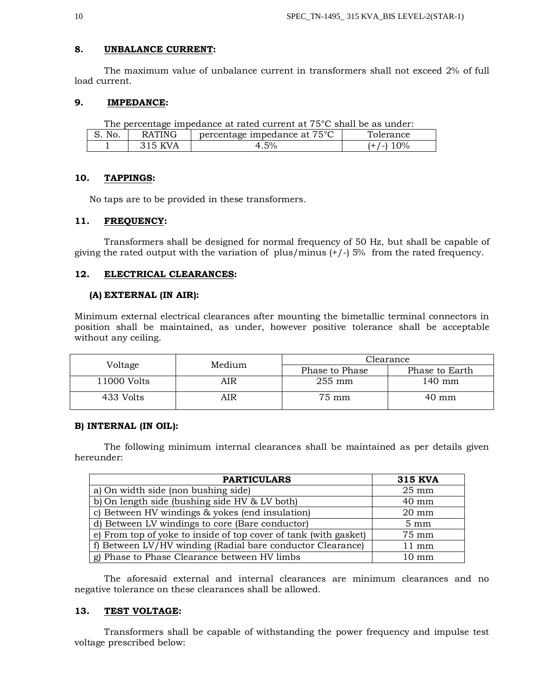## **8. UNBALANCE CURRENT:**

The maximum value of unbalance current in transformers shall not exceed 2% of full load current.

## **9. IMPEDANCE:**

| The percentage impedance at rated current at 75 <sup>°</sup> C shall be as under: |         |      |             |  |
|-----------------------------------------------------------------------------------|---------|------|-------------|--|
| S. No.<br>percentage impedance at 75 <sup>°</sup> C<br>Tolerance<br>RATING        |         |      |             |  |
|                                                                                   | 315 KVA | 4.5% | $(+/-)$ 10% |  |

## **10. TAPPINGS:**

No taps are to be provided in these transformers.

## **11. FREQUENCY:**

Transformers shall be designed for normal frequency of 50 Hz, but shall be capable of giving the rated output with the variation of plus/minus  $(+/-)$  5% from the rated frequency.

## **12. ELECTRICAL CLEARANCES:**

#### **(A) EXTERNAL (IN AIR):**

Minimum external electrical clearances after mounting the bimetallic terminal connectors in position shall be maintained, as under, however positive tolerance shall be acceptable without any ceiling.

| Voltage     | Medium | Clearance        |                 |  |
|-------------|--------|------------------|-----------------|--|
|             |        | Phase to Phase   | Phase to Earth  |  |
| 11000 Volts | AIR    | $255 \text{ mm}$ | 140 mm          |  |
| 433 Volts   | AIR    | 75 mm            | $40 \text{ mm}$ |  |

### **B) INTERNAL (IN OIL):**

The following minimum internal clearances shall be maintained as per details given hereunder:

| <b>PARTICULARS</b>                                               | <b>315 KVA</b>  |
|------------------------------------------------------------------|-----------------|
| a) On width side (non bushing side)                              | $25 \text{ mm}$ |
| b) On length side (bushing side HV & LV both)                    | $40 \text{ mm}$ |
| c) Between HV windings & yokes (end insulation)                  | $20 \text{ mm}$ |
| d) Between LV windings to core (Bare conductor)                  | $5 \text{ mm}$  |
| e) From top of yoke to inside of top cover of tank (with gasket) | 75 mm           |
| f) Between LV/HV winding (Radial bare conductor Clearance)       | $11 \text{ mm}$ |
| g) Phase to Phase Clearance between HV limbs                     | $10 \text{ mm}$ |

The aforesaid external and internal clearances are minimum clearances and no negative tolerance on these clearances shall be allowed.

## **13. TEST VOLTAGE:**

Transformers shall be capable of withstanding the power frequency and impulse test voltage prescribed below: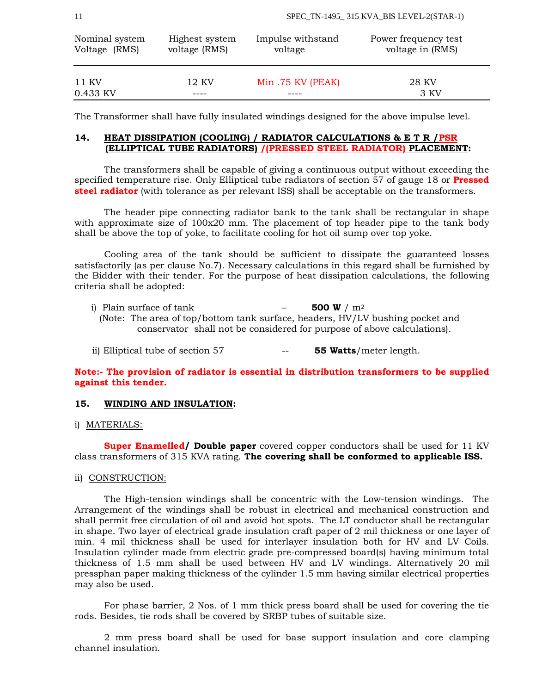| Nominal system    | Highest system | Impulse withstand | Power frequency test |
|-------------------|----------------|-------------------|----------------------|
| Voltage (RMS)     | voltage (RMS)  | voltage           | voltage in (RMS)     |
| 11 KV<br>0.433 KV | 12 KV          | Min.75 KV (PEAK)  | 28 KV<br>3 KV        |

The Transformer shall have fully insulated windings designed for the above impulse level.

## **14. HEAT DISSIPATION (COOLING) / RADIATOR CALCULATIONS & E T R /PSR (ELLIPTICAL TUBE RADIATORS) /(PRESSED STEEL RADIATOR) PLACEMENT:**

The transformers shall be capable of giving a continuous output without exceeding the specified temperature rise. Only Elliptical tube radiators of section 57 of gauge 18 or **Pressed steel radiator** (with tolerance as per relevant ISS) shall be acceptable on the transformers.

The header pipe connecting radiator bank to the tank shall be rectangular in shape with approximate size of 100x20 mm. The placement of top header pipe to the tank body shall be above the top of yoke, to facilitate cooling for hot oil sump over top yoke.

Cooling area of the tank should be sufficient to dissipate the guaranteed losses satisfactorily (as per clause No.7). Necessary calculations in this regard shall be furnished by the Bidder with their tender. For the purpose of heat dissipation calculations, the following criteria shall be adopted:

- i) Plain surface of tank  $-$  **500 W**  $/m^2$ (Note: The area of top/bottom tank surface, headers, HV/LV bushing pocket and conservator shall not be considered for purpose of above calculations).
- ii) Elliptical tube of section 57 -- **55 Watts**/meter length.

# **Note:- The provision of radiator is essential in distribution transformers to be supplied against this tender.**

## **15. WINDING AND INSULATION:**

## i) MATERIALS:

**Super Enamelled/ Double paper** covered copper conductors shall be used for 11 KV class transformers of 315 KVA rating. **The covering shall be conformed to applicable ISS.**

#### ii) CONSTRUCTION:

The High-tension windings shall be concentric with the Low-tension windings. The Arrangement of the windings shall be robust in electrical and mechanical construction and shall permit free circulation of oil and avoid hot spots. The LT conductor shall be rectangular in shape. Two layer of electrical grade insulation craft paper of 2 mil thickness or one layer of min. 4 mil thickness shall be used for interlayer insulation both for HV and LV Coils. Insulation cylinder made from electric grade pre-compressed board(s) having minimum total thickness of 1.5 mm shall be used between HV and LV windings. Alternatively 20 mil pressphan paper making thickness of the cylinder 1.5 mm having similar electrical properties may also be used.

For phase barrier, 2 Nos. of 1 mm thick press board shall be used for covering the tie rods. Besides, tie rods shall be covered by SRBP tubes of suitable size.

2 mm press board shall be used for base support insulation and core clamping channel insulation.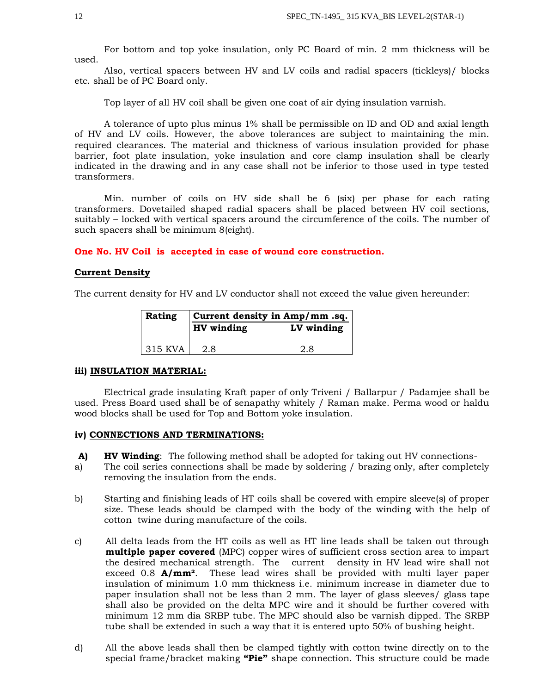For bottom and top yoke insulation, only PC Board of min. 2 mm thickness will be used.

Also, vertical spacers between HV and LV coils and radial spacers (tickleys)/ blocks etc. shall be of PC Board only.

Top layer of all HV coil shall be given one coat of air dying insulation varnish.

A tolerance of upto plus minus 1% shall be permissible on ID and OD and axial length of HV and LV coils. However, the above tolerances are subject to maintaining the min. required clearances. The material and thickness of various insulation provided for phase barrier, foot plate insulation, yoke insulation and core clamp insulation shall be clearly indicated in the drawing and in any case shall not be inferior to those used in type tested transformers.

Min. number of coils on HV side shall be 6 (six) per phase for each rating transformers. Dovetailed shaped radial spacers shall be placed between HV coil sections, suitably – locked with vertical spacers around the circumference of the coils. The number of such spacers shall be minimum 8(eight).

**One No. HV Coil is accepted in case of wound core construction.**

#### **Current Density**

The current density for HV and LV conductor shall not exceed the value given hereunder:

| <b>Rating</b> | Current density in Amp/mm.sq. |  |  |
|---------------|-------------------------------|--|--|
|               | HV winding<br>LV winding      |  |  |
| 1315 KVA      | 2.8                           |  |  |

### **iii) INSULATION MATERIAL:**

Electrical grade insulating Kraft paper of only Triveni / Ballarpur / Padamjee shall be used. Press Board used shall be of senapathy whitely / Raman make. Perma wood or haldu wood blocks shall be used for Top and Bottom yoke insulation.

## **iv) CONNECTIONS AND TERMINATIONS:**

- **A) HV Winding**: The following method shall be adopted for taking out HV connections-
- a) The coil series connections shall be made by soldering / brazing only, after completely removing the insulation from the ends.
- b) Starting and finishing leads of HT coils shall be covered with empire sleeve(s) of proper size. These leads should be clamped with the body of the winding with the help of cotton twine during manufacture of the coils.
- c) All delta leads from the HT coils as well as HT line leads shall be taken out through **multiple paper covered** (MPC) copper wires of sufficient cross section area to impart the desired mechanical strength. The current density in HV lead wire shall not exceed 0.8 **A/mm²**. These lead wires shall be provided with multi layer paper insulation of minimum 1.0 mm thickness i.e. minimum increase in diameter due to paper insulation shall not be less than 2 mm. The layer of glass sleeves/ glass tape shall also be provided on the delta MPC wire and it should be further covered with minimum 12 mm dia SRBP tube. The MPC should also be varnish dipped. The SRBP tube shall be extended in such a way that it is entered upto 50% of bushing height.
- d) All the above leads shall then be clamped tightly with cotton twine directly on to the special frame/bracket making **"Pie"** shape connection. This structure could be made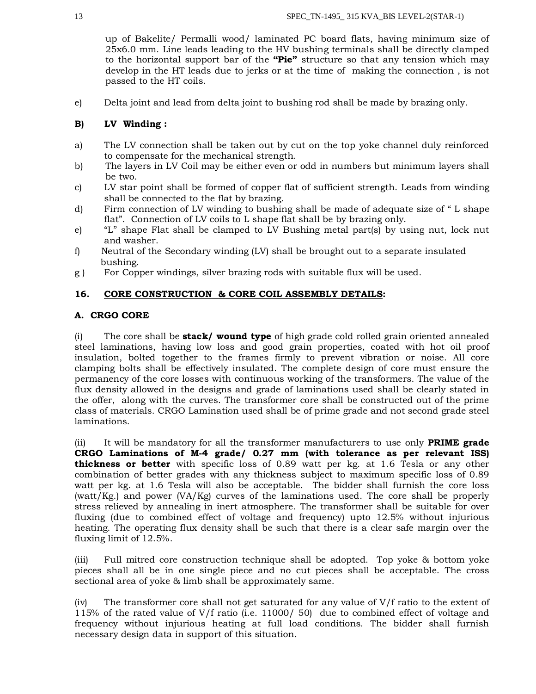up of Bakelite/ Permalli wood/ laminated PC board flats, having minimum size of 25x6.0 mm. Line leads leading to the HV bushing terminals shall be directly clamped to the horizontal support bar of the **"Pie"** structure so that any tension which may develop in the HT leads due to jerks or at the time of making the connection , is not passed to the HT coils.

e) Delta joint and lead from delta joint to bushing rod shall be made by brazing only.

# **B) LV Winding :**

- a) The LV connection shall be taken out by cut on the top yoke channel duly reinforced to compensate for the mechanical strength.
- b) The layers in LV Coil may be either even or odd in numbers but minimum layers shall be two.
- c) LV star point shall be formed of copper flat of sufficient strength. Leads from winding shall be connected to the flat by brazing.
- d) Firm connection of LV winding to bushing shall be made of adequate size of " L shape flat". Connection of LV coils to L shape flat shall be by brazing only.
- e) "L" shape Flat shall be clamped to LV Bushing metal part(s) by using nut, lock nut and washer.
- f) Neutral of the Secondary winding (LV) shall be brought out to a separate insulated bushing.
- g ) For Copper windings, silver brazing rods with suitable flux will be used.

# **16. CORE CONSTRUCTION & CORE COIL ASSEMBLY DETAILS:**

# **A. CRGO CORE**

(i) The core shall be **stack/ wound type** of high grade cold rolled grain oriented annealed steel laminations, having low loss and good grain properties, coated with hot oil proof insulation, bolted together to the frames firmly to prevent vibration or noise. All core clamping bolts shall be effectively insulated. The complete design of core must ensure the permanency of the core losses with continuous working of the transformers. The value of the flux density allowed in the designs and grade of laminations used shall be clearly stated in the offer, along with the curves. The transformer core shall be constructed out of the prime class of materials. CRGO Lamination used shall be of prime grade and not second grade steel laminations.

(ii) It will be mandatory for all the transformer manufacturers to use only **PRIME grade CRGO Laminations of M-4 grade/ 0.27 mm (with tolerance as per relevant ISS) thickness or better** with specific loss of 0.89 watt per kg. at 1.6 Tesla or any other combination of better grades with any thickness subject to maximum specific loss of 0.89 watt per kg. at 1.6 Tesla will also be acceptable. The bidder shall furnish the core loss (watt/Kg.) and power (VA/Kg) curves of the laminations used. The core shall be properly stress relieved by annealing in inert atmosphere. The transformer shall be suitable for over fluxing (due to combined effect of voltage and frequency) upto 12.5% without injurious heating. The operating flux density shall be such that there is a clear safe margin over the fluxing limit of 12.5%.

(iii) Full mitred core construction technique shall be adopted. Top yoke & bottom yoke pieces shall all be in one single piece and no cut pieces shall be acceptable. The cross sectional area of yoke & limb shall be approximately same.

(iv) The transformer core shall not get saturated for any value of V/f ratio to the extent of 115% of the rated value of V/f ratio (i.e. 11000/ 50) due to combined effect of voltage and frequency without injurious heating at full load conditions. The bidder shall furnish necessary design data in support of this situation.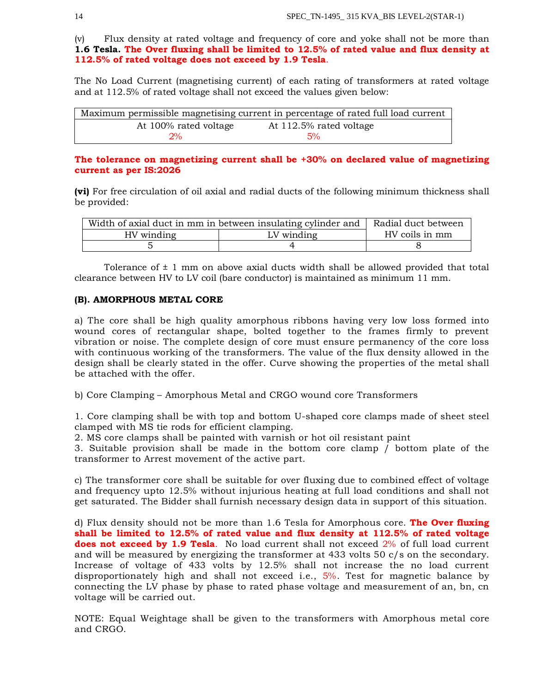(v) Flux density at rated voltage and frequency of core and yoke shall not be more than **1.6 Tesla. The Over fluxing shall be limited to 12.5% of rated value and flux density at 112.5% of rated voltage does not exceed by 1.9 Tesla**.

The No Load Current (magnetising current) of each rating of transformers at rated voltage and at 112.5% of rated voltage shall not exceed the values given below:

|                       | Maximum permissible magnetising current in percentage of rated full load current |
|-----------------------|----------------------------------------------------------------------------------|
| At 100% rated voltage | At 112.5% rated voltage                                                          |
| 2%                    | 5%                                                                               |

## **The tolerance on magnetizing current shall be +30% on declared value of magnetizing current as per IS:2026**

**(vi)** For free circulation of oil axial and radial ducts of the following minimum thickness shall be provided:

| Width of axial duct in mm in between insulating cylinder and   Radial duct between |                |  |
|------------------------------------------------------------------------------------|----------------|--|
| HV winding                                                                         | HV coils in mm |  |
|                                                                                    |                |  |

Tolerance of  $\pm$  1 mm on above axial ducts width shall be allowed provided that total clearance between HV to LV coil (bare conductor) is maintained as minimum 11 mm.

## **(B). AMORPHOUS METAL CORE**

a) The core shall be high quality amorphous ribbons having very low loss formed into wound cores of rectangular shape, bolted together to the frames firmly to prevent vibration or noise. The complete design of core must ensure permanency of the core loss with continuous working of the transformers. The value of the flux density allowed in the design shall be clearly stated in the offer. Curve showing the properties of the metal shall be attached with the offer.

b) Core Clamping – Amorphous Metal and CRGO wound core Transformers

1. Core clamping shall be with top and bottom U-shaped core clamps made of sheet steel clamped with MS tie rods for efficient clamping.

2. MS core clamps shall be painted with varnish or hot oil resistant paint

3. Suitable provision shall be made in the bottom core clamp / bottom plate of the transformer to Arrest movement of the active part.

c) The transformer core shall be suitable for over fluxing due to combined effect of voltage and frequency upto 12.5% without injurious heating at full load conditions and shall not get saturated. The Bidder shall furnish necessary design data in support of this situation.

d) Flux density should not be more than 1.6 Tesla for Amorphous core. **The Over fluxing shall be limited to 12.5% of rated value and flux density at 112.5% of rated voltage does not exceed by 1.9 Tesla**. No load current shall not exceed 2% of full load current and will be measured by energizing the transformer at 433 volts 50 c/s on the secondary. Increase of voltage of 433 volts by 12.5% shall not increase the no load current disproportionately high and shall not exceed i.e., 5%. Test for magnetic balance by connecting the LV phase by phase to rated phase voltage and measurement of an, bn, cn voltage will be carried out.

NOTE: Equal Weightage shall be given to the transformers with Amorphous metal core and CRGO.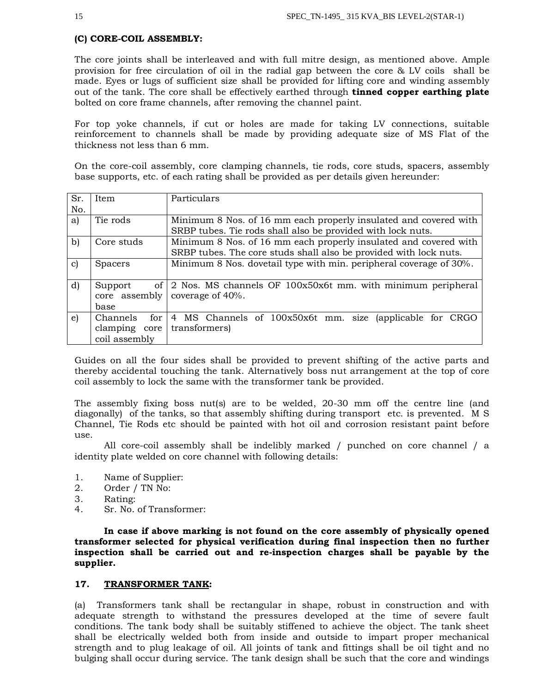## **(C) CORE-COIL ASSEMBLY:**

The core joints shall be interleaved and with full mitre design, as mentioned above. Ample provision for free circulation of oil in the radial gap between the core & LV coils shall be made. Eyes or lugs of sufficient size shall be provided for lifting core and winding assembly out of the tank. The core shall be effectively earthed through **tinned copper earthing plate** bolted on core frame channels, after removing the channel paint.

For top yoke channels, if cut or holes are made for taking LV connections, suitable reinforcement to channels shall be made by providing adequate size of MS Flat of the thickness not less than 6 mm.

On the core-coil assembly, core clamping channels, tie rods, core studs, spacers, assembly base supports, etc. of each rating shall be provided as per details given hereunder:

| Sr.          | Item             | Particulars                                                        |  |  |
|--------------|------------------|--------------------------------------------------------------------|--|--|
| No.          |                  |                                                                    |  |  |
| a)           | Tie rods         | Minimum 8 Nos. of 16 mm each properly insulated and covered with   |  |  |
|              |                  | SRBP tubes. Tie rods shall also be provided with lock nuts.        |  |  |
| $\mathbf{b}$ | Core studs       | Minimum 8 Nos. of 16 mm each properly insulated and covered with   |  |  |
|              |                  | SRBP tubes. The core studs shall also be provided with lock nuts.  |  |  |
| C)           | <b>Spacers</b>   | Minimum 8 Nos. dovetail type with min. peripheral coverage of 30%. |  |  |
|              |                  |                                                                    |  |  |
| $\mathbf{d}$ | of  <br>Support  | 2 Nos. MS channels OF 100x50x6t mm. with minimum peripheral        |  |  |
|              | core assembly    | coverage of 40%.                                                   |  |  |
|              | base             |                                                                    |  |  |
| e)           | Channels<br>for  | 4 MS Channels of 100x50x6t mm. size<br>(applicable for CRGO        |  |  |
|              | clamping<br>core | transformers)                                                      |  |  |
|              | coil assembly    |                                                                    |  |  |

Guides on all the four sides shall be provided to prevent shifting of the active parts and thereby accidental touching the tank. Alternatively boss nut arrangement at the top of core coil assembly to lock the same with the transformer tank be provided.

The assembly fixing boss nut(s) are to be welded, 20-30 mm off the centre line (and diagonally) of the tanks, so that assembly shifting during transport etc. is prevented. M S Channel, Tie Rods etc should be painted with hot oil and corrosion resistant paint before use.

All core-coil assembly shall be indelibly marked / punched on core channel / a identity plate welded on core channel with following details:

- 1. Name of Supplier:
- 2. Order / TN No:
- 3. Rating:
- 4. Sr. No. of Transformer:

**In case if above marking is not found on the core assembly of physically opened transformer selected for physical verification during final inspection then no further inspection shall be carried out and re-inspection charges shall be payable by the supplier.** 

## **17. TRANSFORMER TANK:**

(a) Transformers tank shall be rectangular in shape, robust in construction and with adequate strength to withstand the pressures developed at the time of severe fault conditions. The tank body shall be suitably stiffened to achieve the object. The tank sheet shall be electrically welded both from inside and outside to impart proper mechanical strength and to plug leakage of oil. All joints of tank and fittings shall be oil tight and no bulging shall occur during service. The tank design shall be such that the core and windings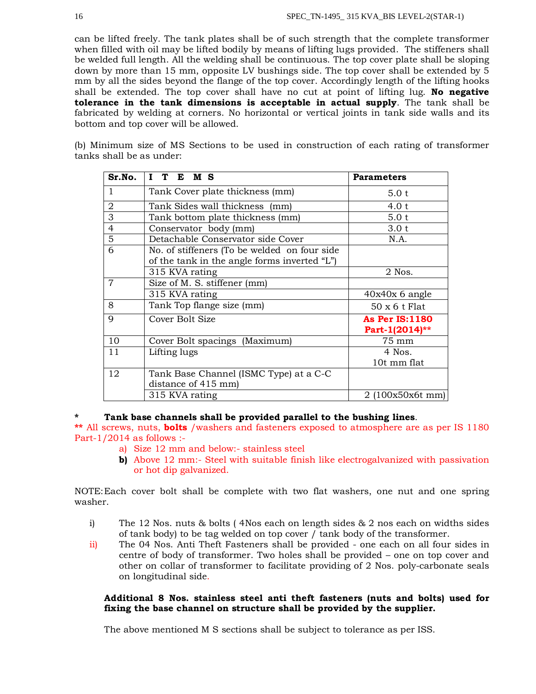can be lifted freely. The tank plates shall be of such strength that the complete transformer when filled with oil may be lifted bodily by means of lifting lugs provided. The stiffeners shall be welded full length. All the welding shall be continuous. The top cover plate shall be sloping down by more than 15 mm, opposite LV bushings side. The top cover shall be extended by 5 mm by all the sides beyond the flange of the top cover. Accordingly length of the lifting hooks shall be extended. The top cover shall have no cut at point of lifting lug. **No negative tolerance in the tank dimensions is acceptable in actual supply**. The tank shall be fabricated by welding at corners. No horizontal or vertical joints in tank side walls and its bottom and top cover will be allowed.

(b) Minimum size of MS Sections to be used in construction of each rating of transformer tanks shall be as under:

| Sr.No.         | L<br>T<br>E M S                                                                             | <b>Parameters</b>                       |
|----------------|---------------------------------------------------------------------------------------------|-----------------------------------------|
| 1              | Tank Cover plate thickness (mm)                                                             | 5.0 t                                   |
| $\overline{2}$ | Tank Sides wall thickness (mm)                                                              | 4.0 t                                   |
| 3              | Tank bottom plate thickness (mm)                                                            | 5.0 t                                   |
| $\overline{4}$ | Conservator body (mm)                                                                       | 3.0 t                                   |
| 5              | Detachable Conservator side Cover                                                           | N.A.                                    |
| 6              | No. of stiffeners (To be welded on four side<br>of the tank in the angle forms inverted "L" |                                         |
|                | 315 KVA rating                                                                              | 2 Nos.                                  |
| 7              | Size of M. S. stiffener (mm)                                                                |                                         |
|                | 315 KVA rating                                                                              | $40x40x$ 6 angle                        |
| 8              | Tank Top flange size (mm)                                                                   | $50 \times 6$ t Flat                    |
| 9              | Cover Bolt Size                                                                             | <b>As Per IS:1180</b><br>Part-1(2014)** |
| 10             | Cover Bolt spacings (Maximum)                                                               | 75 mm                                   |
| 11             | Lifting lugs                                                                                | 4 Nos.                                  |
|                |                                                                                             | 10t mm flat                             |
| 12             | Tank Base Channel (ISMC Type) at a C-C<br>distance of 415 mm)                               |                                         |
|                | 315 KVA rating                                                                              | $2(100x50x6t$ mm)                       |

## **\* Tank base channels shall be provided parallel to the bushing lines**.

**\*\*** All screws, nuts, **bolts** /washers and fasteners exposed to atmosphere are as per IS 1180 Part-1/2014 as follows :-

- a) Size 12 mm and below:- stainless steel
- **b)** Above 12 mm:- Steel with suitable finish like electrogalvanized with passivation or hot dip galvanized.

NOTE:Each cover bolt shall be complete with two flat washers, one nut and one spring washer.

- i) The 12 Nos. nuts & bolts ( 4Nos each on length sides & 2 nos each on widths sides of tank body) to be tag welded on top cover / tank body of the transformer.
- ii) The 04 Nos. Anti Theft Fasteners shall be provided one each on all four sides in centre of body of transformer. Two holes shall be provided – one on top cover and other on collar of transformer to facilitate providing of 2 Nos. poly-carbonate seals on longitudinal side.

## **Additional 8 Nos. stainless steel anti theft fasteners (nuts and bolts) used for fixing the base channel on structure shall be provided by the supplier.**

The above mentioned M S sections shall be subject to tolerance as per ISS.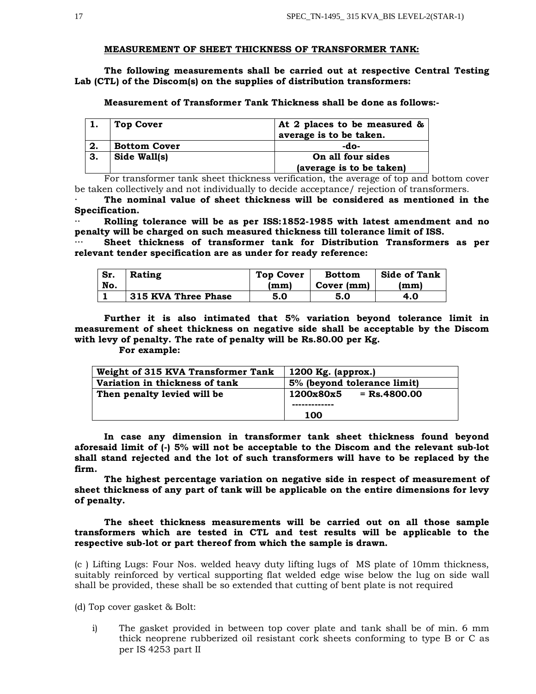#### **MEASUREMENT OF SHEET THICKNESS OF TRANSFORMER TANK:**

**The following measurements shall be carried out at respective Central Testing Lab (CTL) of the Discom(s) on the supplies of distribution transformers:** 

**Measurement of Transformer Tank Thickness shall be done as follows:-**

|    | <b>Top Cover</b>    | At 2 places to be measured & |
|----|---------------------|------------------------------|
|    |                     | average is to be taken.      |
| 2. | <b>Bottom Cover</b> | -do-                         |
| 3. | Side Wall(s)        | On all four sides            |
|    |                     | (average is to be taken)     |

For transformer tank sheet thickness verification, the average of top and bottom cover be taken collectively and not individually to decide acceptance/ rejection of transformers.

**· The nominal value of sheet thickness will be considered as mentioned in the Specification.** 

**·· Rolling tolerance will be as per ISS:1852-1985 with latest amendment and no penalty will be charged on such measured thickness till tolerance limit of ISS.**

Sheet thickness of transformer tank for Distribution Transformers as per **relevant tender specification are as under for ready reference:**

| Sr. | Rating              | <b>Top Cover</b> | <b>Bottom</b> | <b>Side of Tank</b> |
|-----|---------------------|------------------|---------------|---------------------|
| No. |                     | (mm)             | Cover (mm)    | (mm)                |
|     | 315 KVA Three Phase | 5.0              | 5.0           | 4.0                 |

**Further it is also intimated that 5% variation beyond tolerance limit in measurement of sheet thickness on negative side shall be acceptable by the Discom with levy of penalty. The rate of penalty will be Rs.80.00 per Kg.** 

**For example:**

| Weight of 315 KVA Transformer Tank | 1200 Kg. $\langle$ (approx.) |  |
|------------------------------------|------------------------------|--|
| Variation in thickness of tank     | 5% (beyond tolerance limit)  |  |
| Then penalty levied will be        | $=$ Rs.4800.00<br>1200x80x5  |  |
|                                    |                              |  |
|                                    | 100                          |  |

**In case any dimension in transformer tank sheet thickness found beyond aforesaid limit of (-) 5% will not be acceptable to the Discom and the relevant sub-lot shall stand rejected and the lot of such transformers will have to be replaced by the firm.**

**The highest percentage variation on negative side in respect of measurement of sheet thickness of any part of tank will be applicable on the entire dimensions for levy of penalty.** 

**The sheet thickness measurements will be carried out on all those sample transformers which are tested in CTL and test results will be applicable to the respective sub-lot or part thereof from which the sample is drawn.**

(c ) Lifting Lugs: Four Nos. welded heavy duty lifting lugs of MS plate of 10mm thickness, suitably reinforced by vertical supporting flat welded edge wise below the lug on side wall shall be provided, these shall be so extended that cutting of bent plate is not required

(d) Top cover gasket & Bolt:

i) The gasket provided in between top cover plate and tank shall be of min. 6 mm thick neoprene rubberized oil resistant cork sheets conforming to type B or C as per IS 4253 part II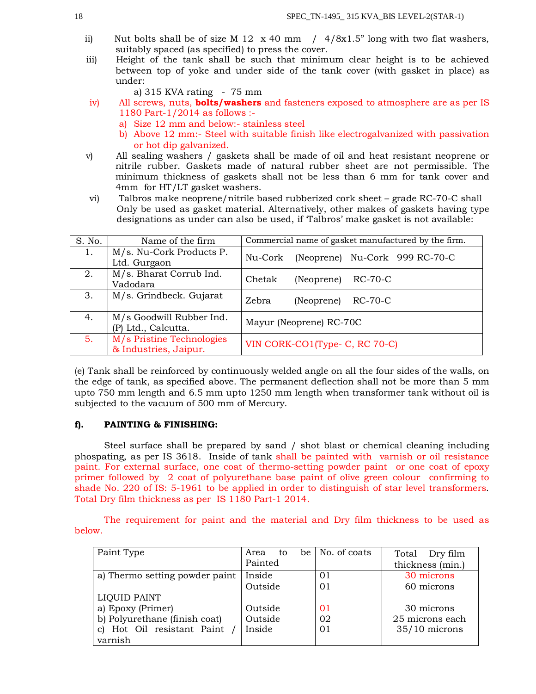- ii) Nut bolts shall be of size M 12  $\times$  40 mm / 4/8 $\times$ 1.5" long with two flat washers, suitably spaced (as specified) to press the cover.
- iii) Height of the tank shall be such that minimum clear height is to be achieved between top of yoke and under side of the tank cover (with gasket in place) as under:
	- a)  $315$  KVA rating  $75$  mm
- iv) All screws, nuts, **bolts/washers** and fasteners exposed to atmosphere are as per IS 1180 Part-1/2014 as follows :
	- a) Size 12 mm and below:- stainless steel
	- b) Above 12 mm:- Steel with suitable finish like electrogalvanized with passivation or hot dip galvanized.
- v) All sealing washers / gaskets shall be made of oil and heat resistant neoprene or nitrile rubber. Gaskets made of natural rubber sheet are not permissible. The minimum thickness of gaskets shall not be less than 6 mm for tank cover and 4mm for HT/LT gasket washers.
- vi) Talbros make neoprene/nitrile based rubberized cork sheet grade RC-70-C shall Only be used as gasket material. Alternatively, other makes of gaskets having type designations as under can also be used, if 'Talbros' make gasket is not available:

| S. No. | Name of the firm                                   | Commercial name of gasket manufactured by the firm. |  |  |  |
|--------|----------------------------------------------------|-----------------------------------------------------|--|--|--|
| 1.     | M/s. Nu-Cork Products P.<br>Ltd. Gurgaon           | (Neoprene) Nu-Cork 999 RC-70-C<br>Nu-Cork           |  |  |  |
| 2.     | M/s. Bharat Corrub Ind.<br>Vadodara                | Chetak<br>RC-70-C<br>(Neoprene)                     |  |  |  |
| 3.     | M/s. Grindbeck. Gujarat                            | Zebra<br>RC-70-C<br>(Neoprene)                      |  |  |  |
| 4.     | M/s Goodwill Rubber Ind.<br>(P) Ltd., Calcutta.    | Mayur (Neoprene) RC-70C                             |  |  |  |
| 5.     | M/s Pristine Technologies<br>& Industries, Jaipur. | VIN CORK-CO1(Type- C, RC 70-C)                      |  |  |  |

(e) Tank shall be reinforced by continuously welded angle on all the four sides of the walls, on the edge of tank, as specified above. The permanent deflection shall not be more than 5 mm upto 750 mm length and 6.5 mm upto 1250 mm length when transformer tank without oil is subjected to the vacuum of 500 mm of Mercury.

# **f). PAINTING & FINISHING:**

Steel surface shall be prepared by sand / shot blast or chemical cleaning including phospating, as per IS 3618. Inside of tank shall be painted with varnish or oil resistance paint. For external surface, one coat of thermo-setting powder paint or one coat of epoxy primer followed by 2 coat of polyurethane base paint of olive green colour confirming to shade No. 220 of IS: 5-1961 to be applied in order to distinguish of star level transformers. Total Dry film thickness as per IS 1180 Part-1 2014.

The requirement for paint and the material and Dry film thickness to be used as below.

| Paint Type                               | Area<br>to | be $\vert$ No. of coats | Total Dry film   |  |
|------------------------------------------|------------|-------------------------|------------------|--|
|                                          | Painted    |                         | thickness (min.) |  |
| a) Thermo setting powder paint           | Inside     | 01                      | 30 microns       |  |
|                                          | Outside    | 01                      | 60 microns       |  |
| <b>LIQUID PAINT</b>                      |            |                         |                  |  |
| a) Epoxy (Primer)                        | Outside    | 01                      | 30 microns       |  |
| b) Polyurethane (finish coat)<br>Outside |            | 02                      | 25 microns each  |  |
| Hot Oil resistant Paint<br>$\mathbf{C}$  | Inside     | 01                      | $35/10$ microns  |  |
| varnish                                  |            |                         |                  |  |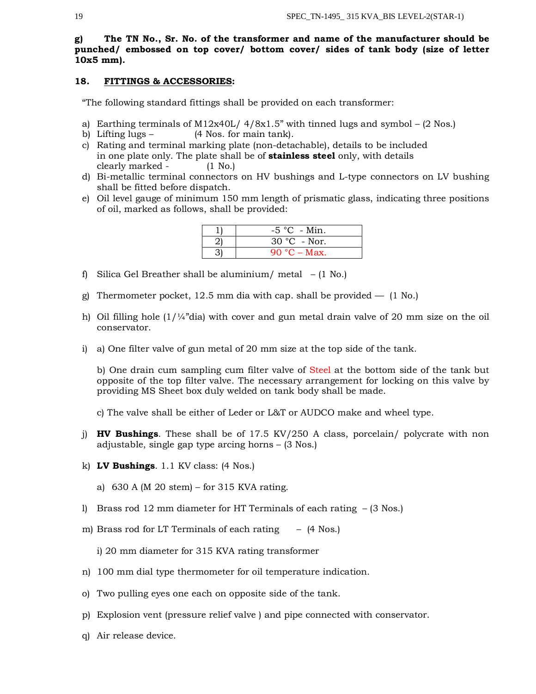**g) The TN No., Sr. No. of the transformer and name of the manufacturer should be punched/ embossed on top cover/ bottom cover/ sides of tank body (size of letter 10x5 mm).** 

## **18. FITTINGS & ACCESSORIES:**

"The following standard fittings shall be provided on each transformer:

- a) Earthing terminals of M12x40L/  $4/8x1.5$ " with tinned lugs and symbol (2 Nos.)
- b) Lifting lugs (4 Nos. for main tank).
- c) Rating and terminal marking plate (non-detachable), details to be included in one plate only. The plate shall be of **stainless steel** only, with details clearly marked - (1 No.)
- d) Bi-metallic terminal connectors on HV bushings and L-type connectors on LV bushing shall be fitted before dispatch.
- e) Oil level gauge of minimum 150 mm length of prismatic glass, indicating three positions of oil, marked as follows, shall be provided:

| $-5$ °C - Min. |
|----------------|
| $30 °C$ - Nor. |
| 90 °C – Max.   |

- f) Silica Gel Breather shall be aluminium/ metal  $(1 \text{ No.})$
- g) Thermometer pocket, 12.5 mm dia with cap. shall be provided  $-$  (1 No.)
- h) Oil filling hole  $(1/4<sup>n</sup>$ dia) with cover and gun metal drain valve of 20 mm size on the oil conservator.
- i) a) One filter valve of gun metal of 20 mm size at the top side of the tank.

b) One drain cum sampling cum filter valve of Steel at the bottom side of the tank but opposite of the top filter valve. The necessary arrangement for locking on this valve by providing MS Sheet box duly welded on tank body shall be made.

c) The valve shall be either of Leder or L&T or AUDCO make and wheel type.

- j) **HV Bushings**. These shall be of 17.5 KV/250 A class, porcelain/ polycrate with non adjustable, single gap type arcing horns – (3 Nos.)
- k) **LV Bushings**. 1.1 KV class: (4 Nos.)
	- a) 630 A (M 20 stem) for 315 KVA rating.
- l) Brass rod 12 mm diameter for HT Terminals of each rating (3 Nos.)
- m) Brass rod for LT Terminals of each rating (4 Nos.)

i) 20 mm diameter for 315 KVA rating transformer

- n) 100 mm dial type thermometer for oil temperature indication.
- o) Two pulling eyes one each on opposite side of the tank.
- p) Explosion vent (pressure relief valve ) and pipe connected with conservator.
- q) Air release device.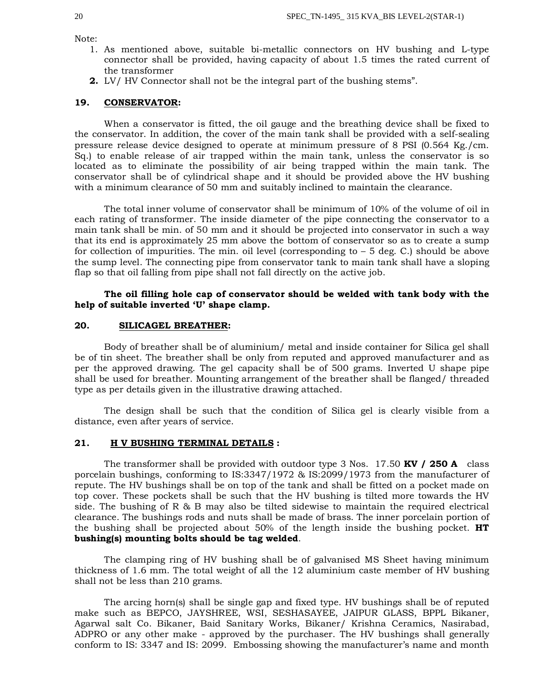Note:

- 1. As mentioned above, suitable bi-metallic connectors on HV bushing and L-type connector shall be provided, having capacity of about 1.5 times the rated current of the transformer
- **2.** LV/ HV Connector shall not be the integral part of the bushing stems".

#### **19. CONSERVATOR:**

When a conservator is fitted, the oil gauge and the breathing device shall be fixed to the conservator. In addition, the cover of the main tank shall be provided with a self-sealing pressure release device designed to operate at minimum pressure of 8 PSI (0.564 Kg./cm. Sq.) to enable release of air trapped within the main tank, unless the conservator is so located as to eliminate the possibility of air being trapped within the main tank. The conservator shall be of cylindrical shape and it should be provided above the HV bushing with a minimum clearance of 50 mm and suitably inclined to maintain the clearance.

The total inner volume of conservator shall be minimum of 10% of the volume of oil in each rating of transformer. The inside diameter of the pipe connecting the conservator to a main tank shall be min. of 50 mm and it should be projected into conservator in such a way that its end is approximately 25 mm above the bottom of conservator so as to create a sump for collection of impurities. The min. oil level (corresponding to – 5 deg. C.) should be above the sump level. The connecting pipe from conservator tank to main tank shall have a sloping flap so that oil falling from pipe shall not fall directly on the active job.

## **The oil filling hole cap of conservator should be welded with tank body with the help of suitable inverted 'U' shape clamp.**

## **20. SILICAGEL BREATHER:**

Body of breather shall be of aluminium/ metal and inside container for Silica gel shall be of tin sheet. The breather shall be only from reputed and approved manufacturer and as per the approved drawing. The gel capacity shall be of 500 grams. Inverted U shape pipe shall be used for breather. Mounting arrangement of the breather shall be flanged/ threaded type as per details given in the illustrative drawing attached.

The design shall be such that the condition of Silica gel is clearly visible from a distance, even after years of service.

## **21. H V BUSHING TERMINAL DETAILS :**

The transformer shall be provided with outdoor type 3 Nos. 17.50 **KV / 250 A** class porcelain bushings, conforming to IS:3347/1972 & IS:2099/1973 from the manufacturer of repute. The HV bushings shall be on top of the tank and shall be fitted on a pocket made on top cover. These pockets shall be such that the HV bushing is tilted more towards the HV side. The bushing of R & B may also be tilted sidewise to maintain the required electrical clearance. The bushings rods and nuts shall be made of brass. The inner porcelain portion of the bushing shall be projected about 50% of the length inside the bushing pocket. **HT bushing(s) mounting bolts should be tag welded**.

The clamping ring of HV bushing shall be of galvanised MS Sheet having minimum thickness of 1.6 mm. The total weight of all the 12 aluminium caste member of HV bushing shall not be less than 210 grams.

The arcing horn(s) shall be single gap and fixed type. HV bushings shall be of reputed make such as BEPCO, JAYSHREE, WSI, SESHASAYEE, JAIPUR GLASS, BPPL Bikaner, Agarwal salt Co. Bikaner, Baid Sanitary Works, Bikaner/ Krishna Ceramics, Nasirabad, ADPRO or any other make - approved by the purchaser. The HV bushings shall generally conform to IS: 3347 and IS: 2099. Embossing showing the manufacturer's name and month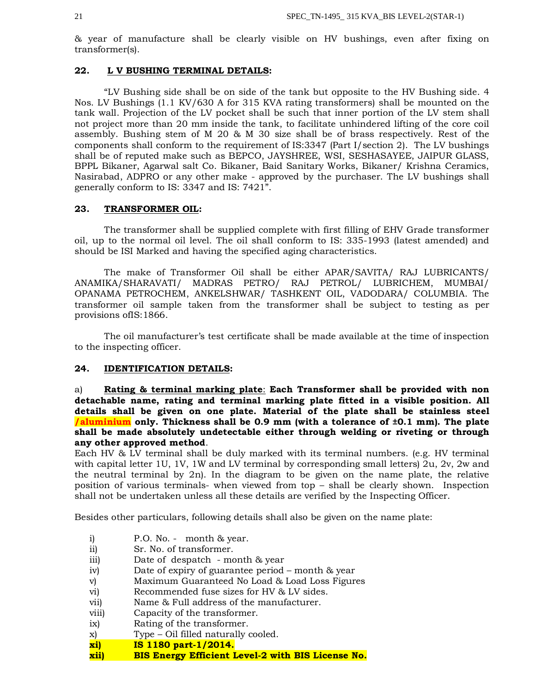& year of manufacture shall be clearly visible on HV bushings, even after fixing on transformer(s).

## **22. L V BUSHING TERMINAL DETAILS:**

"LV Bushing side shall be on side of the tank but opposite to the HV Bushing side. 4 Nos. LV Bushings (1.1 KV/630 A for 315 KVA rating transformers) shall be mounted on the tank wall. Projection of the LV pocket shall be such that inner portion of the LV stem shall not project more than 20 mm inside the tank, to facilitate unhindered lifting of the core coil assembly. Bushing stem of M 20 & M 30 size shall be of brass respectively. Rest of the components shall conform to the requirement of IS:3347 (Part I/section 2). The LV bushings shall be of reputed make such as BEPCO, JAYSHREE, WSI, SESHASAYEE, JAIPUR GLASS, BPPL Bikaner, Agarwal salt Co. Bikaner, Baid Sanitary Works, Bikaner/ Krishna Ceramics, Nasirabad, ADPRO or any other make - approved by the purchaser. The LV bushings shall generally conform to IS: 3347 and IS: 7421".

## **23. TRANSFORMER OIL:**

The transformer shall be supplied complete with first filling of EHV Grade transformer oil, up to the normal oil level. The oil shall conform to IS: 335-1993 (latest amended) and should be ISI Marked and having the specified aging characteristics.

The make of Transformer Oil shall be either APAR/SAVITA/ RAJ LUBRICANTS/ ANAMIKA/SHARAVATI/ MADRAS PETRO/ RAJ PETROL/ LUBRICHEM, MUMBAI/ OPANAMA PETROCHEM, ANKELSHWAR/ TASHKENT OIL, VADODARA/ COLUMBIA. The transformer oil sample taken from the transformer shall be subject to testing as per provisions ofIS:1866.

The oil manufacturer's test certificate shall be made available at the time of inspection to the inspecting officer.

# **24. IDENTIFICATION DETAILS:**

a) **Rating & terminal marking plate**: **Each Transformer shall be provided with non detachable name, rating and terminal marking plate fitted in a visible position. All details shall be given on one plate. Material of the plate shall be stainless steel /aluminium only. Thickness shall be 0.9 mm (with a tolerance of ±0.1 mm). The plate shall be made absolutely undetectable either through welding or riveting or through any other approved method**.

Each HV & LV terminal shall be duly marked with its terminal numbers. (e.g. HV terminal with capital letter 1U, 1V, 1W and LV terminal by corresponding small letters) 2u, 2v, 2w and the neutral terminal by 2n). In the diagram to be given on the name plate, the relative position of various terminals- when viewed from top – shall be clearly shown. Inspection shall not be undertaken unless all these details are verified by the Inspecting Officer.

Besides other particulars, following details shall also be given on the name plate:

- i) P.O. No. month & year.
- ii) Sr. No. of transformer.
- iii) Date of despatch month & year
- iv) Date of expiry of guarantee period month & year
- v) Maximum Guaranteed No Load & Load Loss Figures
- vi) Recommended fuse sizes for HV & LV sides.
- vii) Name & Full address of the manufacturer.
- viii) Capacity of the transformer.
- ix) Rating of the transformer.
- x) Type Oil filled naturally cooled.
- **xi) IS 1180 part-1/2014.**
- **xii) BIS Energy Efficient Level-2 with BIS License No.**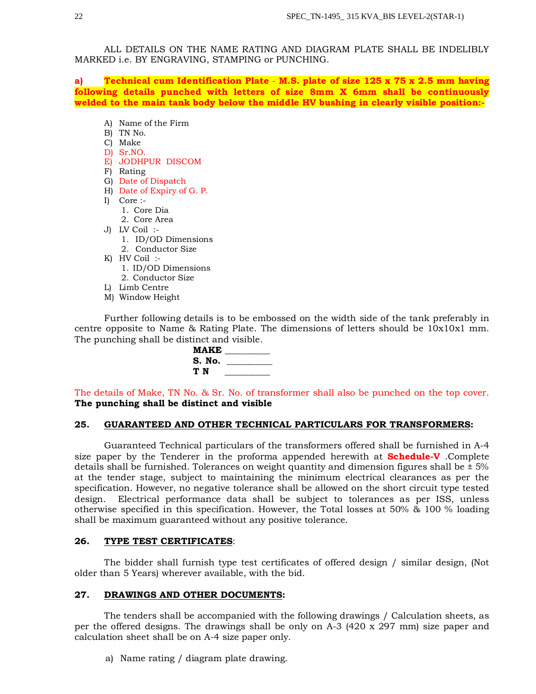ALL DETAILS ON THE NAME RATING AND DIAGRAM PLATE SHALL BE INDELIBLY MARKED i.e. BY ENGRAVING, STAMPING or PUNCHING.

**a) Technical cum Identification Plate** - **M.S. plate of size 125 x 75 x 2.5 mm having following details punched with letters of size 8mm X 6mm shall be continuously welded to the main tank body below the middle HV bushing in clearly visible position:-**

- A) Name of the Firm
- B) TN No.
- C) Make
- D) Sr.NO.
- E) JODHPUR DISCOM
- F) Rating
- G) Date of Dispatch
- H) Date of Expiry of G. P.
- I) Core :-
	- 1. Core Dia
	- 2. Core Area
- J) LV Coil :-
	- 1. ID/OD Dimensions
	- 2. Conductor Size
- K) HV Coil :-
	- 1. ID/OD Dimensions
	- 2. Conductor Size
- L) Limb Centre
- M) Window Height

Further following details is to be embossed on the width side of the tank preferably in centre opposite to Name & Rating Plate. The dimensions of letters should be 10x10x1 mm. The punching shall be distinct and visible.

| MAKE   |  |
|--------|--|
| S. No. |  |
| ТN     |  |
|        |  |

The details of Make, TN No. & Sr. No. of transformer shall also be punched on the top cover. **The punching shall be distinct and visible**

## **25. GUARANTEED AND OTHER TECHNICAL PARTICULARS FOR TRANSFORMERS:**

Guaranteed Technical particulars of the transformers offered shall be furnished in A-4 size paper by the Tenderer in the proforma appended herewith at **Schedule-V** .Complete details shall be furnished. Tolerances on weight quantity and dimension figures shall be  $\pm$  5% at the tender stage, subject to maintaining the minimum electrical clearances as per the specification. However, no negative tolerance shall be allowed on the short circuit type tested design. Electrical performance data shall be subject to tolerances as per ISS, unless otherwise specified in this specification. However, the Total losses at 50% & 100 % loading shall be maximum guaranteed without any positive tolerance.

# **26. TYPE TEST CERTIFICATES**:

The bidder shall furnish type test certificates of offered design / similar design, (Not older than 5 Years) wherever available, with the bid.

# **27. DRAWINGS AND OTHER DOCUMENTS:**

The tenders shall be accompanied with the following drawings / Calculation sheets, as per the offered designs. The drawings shall be only on A-3  $(420 \times 297 \text{ mm})$  size paper and calculation sheet shall be on A-4 size paper only.

a) Name rating / diagram plate drawing.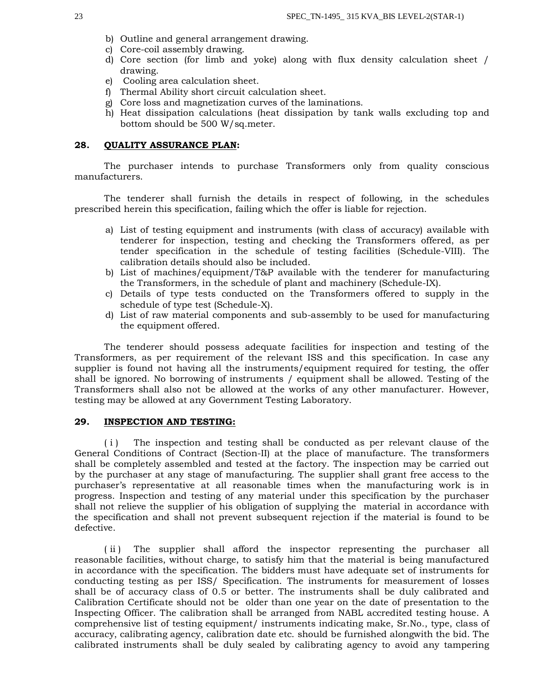- b) Outline and general arrangement drawing.
- c) Core-coil assembly drawing.
- d) Core section (for limb and yoke) along with flux density calculation sheet / drawing.
- e) Cooling area calculation sheet.
- f) Thermal Ability short circuit calculation sheet.
- g) Core loss and magnetization curves of the laminations.
- h) Heat dissipation calculations (heat dissipation by tank walls excluding top and bottom should be 500 W/sq.meter.

# **28. QUALITY ASSURANCE PLAN:**

The purchaser intends to purchase Transformers only from quality conscious manufacturers.

The tenderer shall furnish the details in respect of following, in the schedules prescribed herein this specification, failing which the offer is liable for rejection.

- a) List of testing equipment and instruments (with class of accuracy) available with tenderer for inspection, testing and checking the Transformers offered, as per tender specification in the schedule of testing facilities (Schedule-VIII). The calibration details should also be included.
- b) List of machines/equipment/T&P available with the tenderer for manufacturing the Transformers, in the schedule of plant and machinery (Schedule-IX).
- c) Details of type tests conducted on the Transformers offered to supply in the schedule of type test (Schedule-X).
- d) List of raw material components and sub-assembly to be used for manufacturing the equipment offered.

The tenderer should possess adequate facilities for inspection and testing of the Transformers, as per requirement of the relevant ISS and this specification. In case any supplier is found not having all the instruments/equipment required for testing, the offer shall be ignored. No borrowing of instruments / equipment shall be allowed. Testing of the Transformers shall also not be allowed at the works of any other manufacturer. However, testing may be allowed at any Government Testing Laboratory.

## **29. INSPECTION AND TESTING:**

(i) The inspection and testing shall be conducted as per relevant clause of the General Conditions of Contract (Section-II) at the place of manufacture. The transformers shall be completely assembled and tested at the factory. The inspection may be carried out by the purchaser at any stage of manufacturing. The supplier shall grant free access to the purchaser's representative at all reasonable times when the manufacturing work is in progress. Inspection and testing of any material under this specification by the purchaser shall not relieve the supplier of his obligation of supplying the material in accordance with the specification and shall not prevent subsequent rejection if the material is found to be defective.

(ii) The supplier shall afford the inspector representing the purchaser all reasonable facilities, without charge, to satisfy him that the material is being manufactured in accordance with the specification. The bidders must have adequate set of instruments for conducting testing as per ISS/ Specification. The instruments for measurement of losses shall be of accuracy class of 0.5 or better. The instruments shall be duly calibrated and Calibration Certificate should not be older than one year on the date of presentation to the Inspecting Officer. The calibration shall be arranged from NABL accredited testing house. A comprehensive list of testing equipment/ instruments indicating make, Sr.No., type, class of accuracy, calibrating agency, calibration date etc. should be furnished alongwith the bid. The calibrated instruments shall be duly sealed by calibrating agency to avoid any tampering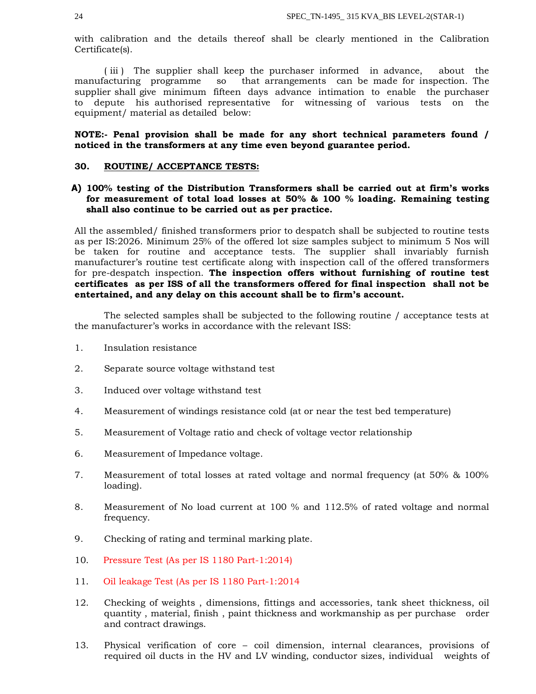with calibration and the details thereof shall be clearly mentioned in the Calibration Certificate(s).

( iii ) The supplier shall keep the purchaser informed in advance, about the manufacturing programme so that arrangements can be made for inspection. The supplier shall give minimum fifteen days advance intimation to enable the purchaser to depute his authorised representative for witnessing of various tests on the equipment/ material as detailed below:

## **NOTE:- Penal provision shall be made for any short technical parameters found / noticed in the transformers at any time even beyond guarantee period.**

## **30. ROUTINE/ ACCEPTANCE TESTS:**

# **A) 100% testing of the Distribution Transformers shall be carried out at firm's works for measurement of total load losses at 50% & 100 % loading. Remaining testing shall also continue to be carried out as per practice.**

All the assembled/ finished transformers prior to despatch shall be subjected to routine tests as per IS:2026. Minimum 25% of the offered lot size samples subject to minimum 5 Nos will be taken for routine and acceptance tests. The supplier shall invariably furnish manufacturer's routine test certificate along with inspection call of the offered transformers for pre-despatch inspection. **The inspection offers without furnishing of routine test certificates as per ISS of all the transformers offered for final inspection shall not be entertained, and any delay on this account shall be to firm's account.**

The selected samples shall be subjected to the following routine / acceptance tests at the manufacturer's works in accordance with the relevant ISS:

- 1. Insulation resistance
- 2. Separate source voltage withstand test
- 3. Induced over voltage withstand test
- 4. Measurement of windings resistance cold (at or near the test bed temperature)
- 5. Measurement of Voltage ratio and check of voltage vector relationship
- 6. Measurement of Impedance voltage.
- 7. Measurement of total losses at rated voltage and normal frequency (at 50% & 100% loading).
- 8. Measurement of No load current at 100 % and 112.5% of rated voltage and normal frequency.
- 9. Checking of rating and terminal marking plate.
- 10. Pressure Test (As per IS 1180 Part-1:2014)
- 11. Oil leakage Test (As per IS 1180 Part-1:2014
- 12. Checking of weights , dimensions, fittings and accessories, tank sheet thickness, oil quantity , material, finish , paint thickness and workmanship as per purchase order and contract drawings.
- 13. Physical verification of core coil dimension, internal clearances, provisions of required oil ducts in the HV and LV winding, conductor sizes, individual weights of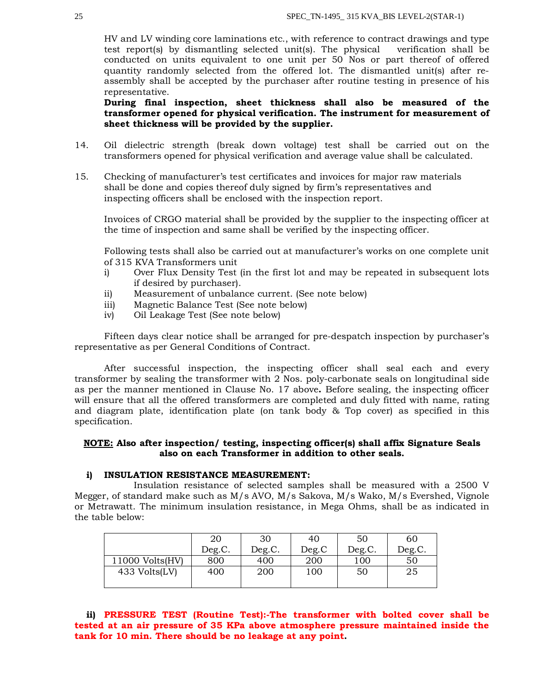HV and LV winding core laminations etc., with reference to contract drawings and type test report(s) by dismantling selected unit(s). The physical verification shall be conducted on units equivalent to one unit per 50 Nos or part thereof of offered quantity randomly selected from the offered lot. The dismantled unit(s) after reassembly shall be accepted by the purchaser after routine testing in presence of his representative.

**During final inspection, sheet thickness shall also be measured of the transformer opened for physical verification. The instrument for measurement of sheet thickness will be provided by the supplier.** 

- 14. Oil dielectric strength (break down voltage) test shall be carried out on the transformers opened for physical verification and average value shall be calculated.
- 15. Checking of manufacturer's test certificates and invoices for major raw materials shall be done and copies thereof duly signed by firm's representatives and inspecting officers shall be enclosed with the inspection report.

Invoices of CRGO material shall be provided by the supplier to the inspecting officer at the time of inspection and same shall be verified by the inspecting officer.

Following tests shall also be carried out at manufacturer's works on one complete unit of 315 KVA Transformers unit

- i) Over Flux Density Test (in the first lot and may be repeated in subsequent lots if desired by purchaser).
- ii) Measurement of unbalance current. (See note below)
- iii) Magnetic Balance Test (See note below)
- iv) Oil Leakage Test (See note below)

Fifteen days clear notice shall be arranged for pre-despatch inspection by purchaser's representative as per General Conditions of Contract.

After successful inspection, the inspecting officer shall seal each and every transformer by sealing the transformer with 2 Nos. poly-carbonate seals on longitudinal side as per the manner mentioned in Clause No. 17 above**.** Before sealing, the inspecting officer will ensure that all the offered transformers are completed and duly fitted with name, rating and diagram plate, identification plate (on tank body & Top cover) as specified in this specification.

# **NOTE: Also after inspection/ testing, inspecting officer(s) shall affix Signature Seals also on each Transformer in addition to other seals.**

## **i) INSULATION RESISTANCE MEASUREMENT:**

Insulation resistance of selected samples shall be measured with a 2500 V Megger, of standard make such as M/s AVO, M/s Sakova, M/s Wako, M/s Evershed, Vignole or Metrawatt. The minimum insulation resistance, in Mega Ohms, shall be as indicated in the table below:

|                 | 20     | 30     | 40    | 50     | 60     |
|-----------------|--------|--------|-------|--------|--------|
|                 | Deg.C. | Deg.C. | Deg.C | Deg.C. | Deg.C. |
| 11000 Volts(HV) | 800    | 400    | 200   | 100    | 50     |
| 433 Volts(LV)   | 400    | 200    | 100   | 50     | 25     |
|                 |        |        |       |        |        |

**ii) PRESSURE TEST (Routine Test):-The transformer with bolted cover shall be tested at an air pressure of 35 KPa above atmosphere pressure maintained inside the tank for 10 min. There should be no leakage at any point.**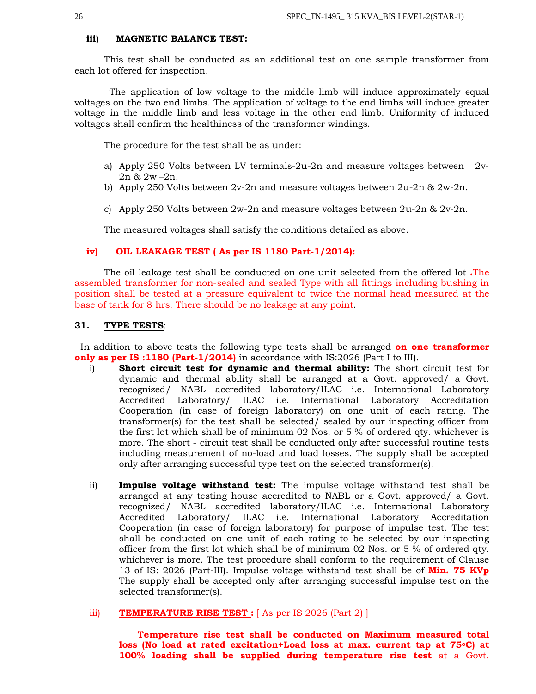#### **iii) MAGNETIC BALANCE TEST:**

This test shall be conducted as an additional test on one sample transformer from each lot offered for inspection.

 The application of low voltage to the middle limb will induce approximately equal voltages on the two end limbs. The application of voltage to the end limbs will induce greater voltage in the middle limb and less voltage in the other end limb. Uniformity of induced voltages shall confirm the healthiness of the transformer windings.

The procedure for the test shall be as under:

- a) Apply 250 Volts between LV terminals-2u-2n and measure voltages between 2v-2n & 2w –2n.
- b) Apply 250 Volts between  $2v-2n$  and measure voltages between  $2u-2n$  &  $2w-2n$ .
- c) Apply 250 Volts between 2w-2n and measure voltages between 2u-2n & 2v-2n.

The measured voltages shall satisfy the conditions detailed as above.

## **iv) OIL LEAKAGE TEST ( As per IS 1180 Part-1/2014):**

The oil leakage test shall be conducted on one unit selected from the offered lot **.**The assembled transformer for non-sealed and sealed Type with all fittings including bushing in position shall be tested at a pressure equivalent to twice the normal head measured at the base of tank for 8 hrs. There should be no leakage at any point.

#### **31. TYPE TESTS**:

 In addition to above tests the following type tests shall be arranged **on one transformer only as per IS:1180 (Part-1/2014)** in accordance with IS:2026 (Part I to III).

- i) **Short circuit test for dynamic and thermal ability:** The short circuit test for dynamic and thermal ability shall be arranged at a Govt. approved/ a Govt. recognized/ NABL accredited laboratory/ILAC i.e. International Laboratory Accredited Laboratory/ ILAC i.e. International Laboratory Accreditation Cooperation (in case of foreign laboratory) on one unit of each rating. The transformer(s) for the test shall be selected/ sealed by our inspecting officer from the first lot which shall be of minimum  $02$  Nos. or  $5\%$  of ordered qty. whichever is more. The short - circuit test shall be conducted only after successful routine tests including measurement of no-load and load losses. The supply shall be accepted only after arranging successful type test on the selected transformer(s).
- ii) **Impulse voltage withstand test:** The impulse voltage withstand test shall be arranged at any testing house accredited to NABL or a Govt. approved/ a Govt. recognized/ NABL accredited laboratory/ILAC i.e. International Laboratory Accredited Laboratory/ ILAC i.e. International Laboratory Accreditation Cooperation (in case of foreign laboratory) for purpose of impulse test. The test shall be conducted on one unit of each rating to be selected by our inspecting officer from the first lot which shall be of minimum 02 Nos. or 5 % of ordered qty. whichever is more. The test procedure shall conform to the requirement of Clause 13 of IS: 2026 (Part-III). Impulse voltage withstand test shall be of **Min. 75 KVp** The supply shall be accepted only after arranging successful impulse test on the selected transformer(s).

# iii) **TEMPERATURE RISE TEST :** [ As per IS 2026 (Part 2) ]

 **Temperature rise test shall be conducted on Maximum measured total loss (No load at rated excitation+Load loss at max. current tap at 75oC) at 100% loading shall be supplied during temperature rise test** at a Govt.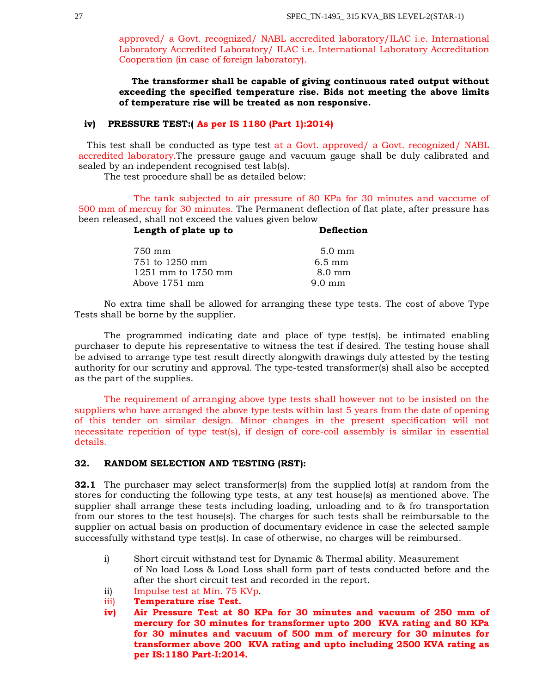approved/ a Govt. recognized/ NABL accredited laboratory/ILAC i.e. International Laboratory Accredited Laboratory/ ILAC i.e. International Laboratory Accreditation Cooperation (in case of foreign laboratory).

 **The transformer shall be capable of giving continuous rated output without exceeding the specified temperature rise. Bids not meeting the above limits of temperature rise will be treated as non responsive.**

## **iv) PRESSURE TEST:( As per IS 1180 (Part 1):2014)**

 This test shall be conducted as type test at a Govt. approved/ a Govt. recognized/ NABL accredited laboratory.The pressure gauge and vacuum gauge shall be duly calibrated and sealed by an independent recognised test lab(s).

The test procedure shall be as detailed below:

The tank subjected to air pressure of 80 KPa for 30 minutes and vaccume of 500 mm of mercuy for 30 minutes. The Permanent deflection of flat plate, after pressure has been released, shall not exceed the values given below

| Length of plate up to | Deflection       |  |
|-----------------------|------------------|--|
| 750 mm                | $5.0 \text{ mm}$ |  |
| 751 to 1250 mm        | $6.5 \text{ mm}$ |  |
| 1251 mm to 1750 mm    | $8.0 \text{ mm}$ |  |
| Above 1751 mm         | $9.0 \text{ mm}$ |  |

No extra time shall be allowed for arranging these type tests. The cost of above Type Tests shall be borne by the supplier.

The programmed indicating date and place of type test(s), be intimated enabling purchaser to depute his representative to witness the test if desired. The testing house shall be advised to arrange type test result directly alongwith drawings duly attested by the testing authority for our scrutiny and approval. The type-tested transformer(s) shall also be accepted as the part of the supplies.

The requirement of arranging above type tests shall however not to be insisted on the suppliers who have arranged the above type tests within last 5 years from the date of opening of this tender on similar design. Minor changes in the present specification will not necessitate repetition of type test(s), if design of core-coil assembly is similar in essential details.

# **32. RANDOM SELECTION AND TESTING (RST):**

**32.1** The purchaser may select transformer(s) from the supplied lot(s) at random from the stores for conducting the following type tests, at any test house(s) as mentioned above. The supplier shall arrange these tests including loading, unloading and to & fro transportation from our stores to the test house(s). The charges for such tests shall be reimbursable to the supplier on actual basis on production of documentary evidence in case the selected sample successfully withstand type test(s). In case of otherwise, no charges will be reimbursed.

- i) Short circuit withstand test for Dynamic & Thermal ability. Measurement of No load Loss & Load Loss shall form part of tests conducted before and the after the short circuit test and recorded in the report.
- ii) Impulse test at Min. 75 KVp.
- iii) **Temperature rise Test.**
- **iv) Air Pressure Test at 80 KPa for 30 minutes and vacuum of 250 mm of mercury for 30 minutes for transformer upto 200 KVA rating and 80 KPa for 30 minutes and vacuum of 500 mm of mercury for 30 minutes for transformer above 200 KVA rating and upto including 2500 KVA rating as per IS:1180 Part-I:2014.**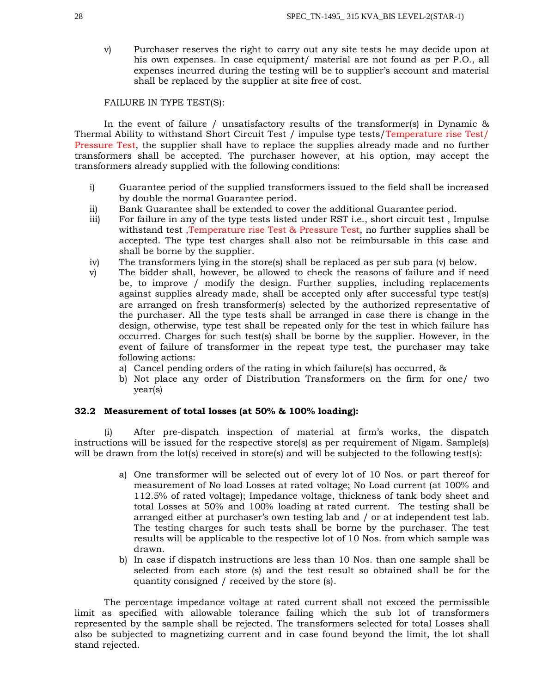v) Purchaser reserves the right to carry out any site tests he may decide upon at his own expenses. In case equipment/ material are not found as per P.O., all expenses incurred during the testing will be to supplier's account and material shall be replaced by the supplier at site free of cost.

## FAILURE IN TYPE TEST(S):

In the event of failure / unsatisfactory results of the transformer(s) in Dynamic & Thermal Ability to withstand Short Circuit Test / impulse type tests/Temperature rise Test/ Pressure Test, the supplier shall have to replace the supplies already made and no further transformers shall be accepted. The purchaser however, at his option, may accept the transformers already supplied with the following conditions:

- i) Guarantee period of the supplied transformers issued to the field shall be increased by double the normal Guarantee period.
- ii) Bank Guarantee shall be extended to cover the additional Guarantee period.
- iii) For failure in any of the type tests listed under RST i.e., short circuit test , Impulse withstand test ,Temperature rise Test & Pressure Test, no further supplies shall be accepted. The type test charges shall also not be reimbursable in this case and shall be borne by the supplier.
- iv) The transformers lying in the store(s) shall be replaced as per sub para (v) below.
- v) The bidder shall, however, be allowed to check the reasons of failure and if need be, to improve / modify the design. Further supplies, including replacements against supplies already made, shall be accepted only after successful type test(s) are arranged on fresh transformer(s) selected by the authorized representative of the purchaser. All the type tests shall be arranged in case there is change in the design, otherwise, type test shall be repeated only for the test in which failure has occurred. Charges for such test(s) shall be borne by the supplier. However, in the event of failure of transformer in the repeat type test, the purchaser may take following actions:
	- a) Cancel pending orders of the rating in which failure(s) has occurred, &
	- b) Not place any order of Distribution Transformers on the firm for one/ two year(s)

## **32.2 Measurement of total losses (at 50% & 100% loading):**

(i) After pre-dispatch inspection of material at firm's works, the dispatch instructions will be issued for the respective store(s) as per requirement of Nigam. Sample(s) will be drawn from the lot(s) received in store(s) and will be subjected to the following test(s):

- a) One transformer will be selected out of every lot of 10 Nos. or part thereof for measurement of No load Losses at rated voltage; No Load current (at 100% and 112.5% of rated voltage); Impedance voltage, thickness of tank body sheet and total Losses at 50% and 100% loading at rated current. The testing shall be arranged either at purchaser's own testing lab and / or at independent test lab. The testing charges for such tests shall be borne by the purchaser. The test results will be applicable to the respective lot of 10 Nos. from which sample was drawn.
- b) In case if dispatch instructions are less than 10 Nos. than one sample shall be selected from each store (s) and the test result so obtained shall be for the quantity consigned / received by the store (s).

The percentage impedance voltage at rated current shall not exceed the permissible limit as specified with allowable tolerance failing which the sub lot of transformers represented by the sample shall be rejected. The transformers selected for total Losses shall also be subjected to magnetizing current and in case found beyond the limit, the lot shall stand rejected.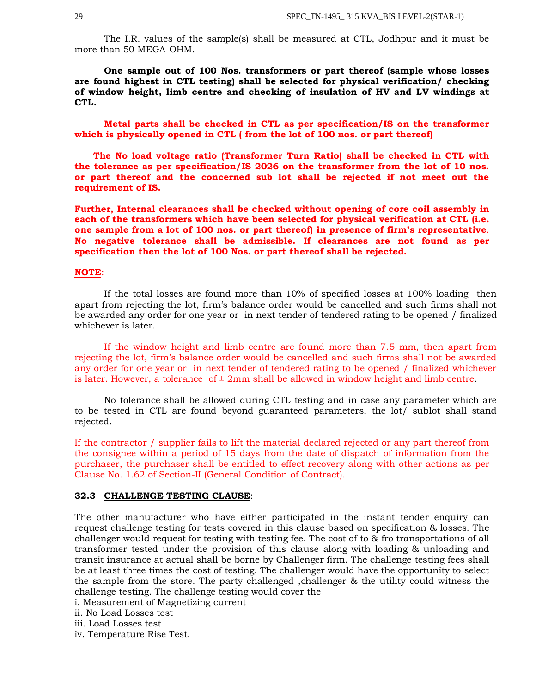The I.R. values of the sample(s) shall be measured at CTL, Jodhpur and it must be more than 50 MEGA-OHM.

**One sample out of 100 Nos. transformers or part thereof (sample whose losses are found highest in CTL testing) shall be selected for physical verification/ checking of window height, limb centre and checking of insulation of HV and LV windings at CTL.**

**Metal parts shall be checked in CTL as per specification/IS on the transformer which is physically opened in CTL ( from the lot of 100 nos. or part thereof)**

 **The No load voltage ratio (Transformer Turn Ratio) shall be checked in CTL with the tolerance as per specification/IS 2026 on the transformer from the lot of 10 nos. or part thereof and the concerned sub lot shall be rejected if not meet out the requirement of IS.**

**Further, Internal clearances shall be checked without opening of core coil assembly in each of the transformers which have been selected for physical verification at CTL (i.e. one sample from a lot of 100 nos. or part thereof) in presence of firm's representative**. **No negative tolerance shall be admissible. If clearances are not found as per specification then the lot of 100 Nos. or part thereof shall be rejected.**

## **NOTE**:

If the total losses are found more than 10% of specified losses at 100% loading then apart from rejecting the lot, firm's balance order would be cancelled and such firms shall not be awarded any order for one year or in next tender of tendered rating to be opened / finalized whichever is later.

If the window height and limb centre are found more than 7.5 mm, then apart from rejecting the lot, firm's balance order would be cancelled and such firms shall not be awarded any order for one year or in next tender of tendered rating to be opened / finalized whichever is later. However, a tolerance of  $\pm 2 \text{mm}$  shall be allowed in window height and limb centre.

No tolerance shall be allowed during CTL testing and in case any parameter which are to be tested in CTL are found beyond guaranteed parameters, the lot/ sublot shall stand rejected.

If the contractor / supplier fails to lift the material declared rejected or any part thereof from the consignee within a period of 15 days from the date of dispatch of information from the purchaser, the purchaser shall be entitled to effect recovery along with other actions as per Clause No. 1.62 of Section-II (General Condition of Contract).

#### **32.3 CHALLENGE TESTING CLAUSE**:

The other manufacturer who have either participated in the instant tender enquiry can request challenge testing for tests covered in this clause based on specification & losses. The challenger would request for testing with testing fee. The cost of to & fro transportations of all transformer tested under the provision of this clause along with loading & unloading and transit insurance at actual shall be borne by Challenger firm. The challenge testing fees shall be at least three times the cost of testing. The challenger would have the opportunity to select the sample from the store. The party challenged ,challenger & the utility could witness the challenge testing. The challenge testing would cover the

i. Measurement of Magnetizing current

ii. No Load Losses test

iii. Load Losses test

iv. Temperature Rise Test.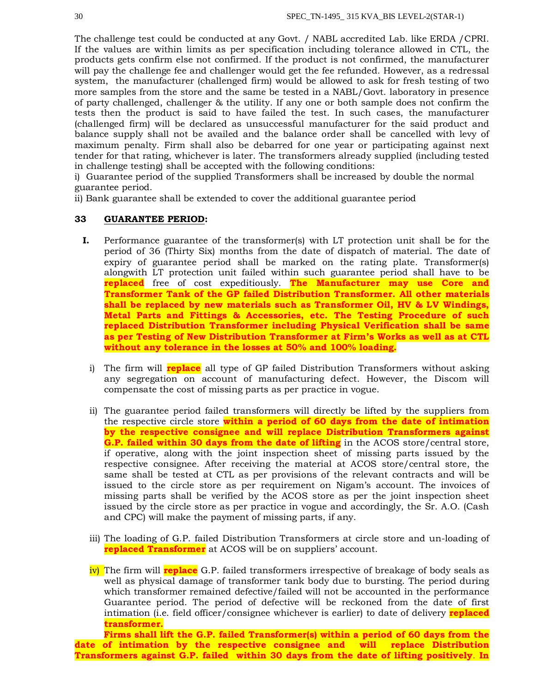The challenge test could be conducted at any Govt. / NABL accredited Lab. like ERDA /CPRI. If the values are within limits as per specification including tolerance allowed in CTL, the products gets confirm else not confirmed. If the product is not confirmed, the manufacturer will pay the challenge fee and challenger would get the fee refunded. However, as a redressal system, the manufacturer (challenged firm) would be allowed to ask for fresh testing of two more samples from the store and the same be tested in a NABL/Govt. laboratory in presence of party challenged, challenger & the utility. If any one or both sample does not confirm the tests then the product is said to have failed the test. In such cases, the manufacturer (challenged firm) will be declared as unsuccessful manufacturer for the said product and balance supply shall not be availed and the balance order shall be cancelled with levy of maximum penalty. Firm shall also be debarred for one year or participating against next tender for that rating, whichever is later. The transformers already supplied (including tested in challenge testing) shall be accepted with the following conditions:

i) Guarantee period of the supplied Transformers shall be increased by double the normal guarantee period.

ii) Bank guarantee shall be extended to cover the additional guarantee period

## **33 GUARANTEE PERIOD:**

- **I.** Performance guarantee of the transformer(s) with LT protection unit shall be for the period of 36 (Thirty Six) months from the date of dispatch of material. The date of expiry of guarantee period shall be marked on the rating plate. Transformer(s) alongwith LT protection unit failed within such guarantee period shall have to be **replaced** free of cost expeditiously. **The Manufacturer may use Core and Transformer Tank of the GP failed Distribution Transformer. All other materials shall be replaced by new materials such as Transformer Oil, HV & LV Windings, Metal Parts and Fittings & Accessories, etc. The Testing Procedure of such replaced Distribution Transformer including Physical Verification shall be same as per Testing of New Distribution Transformer at Firm's Works as well as at CTL without any tolerance in the losses at 50% and 100% loading.**
	- i) The firm will **replace** all type of GP failed Distribution Transformers without asking any segregation on account of manufacturing defect. However, the Discom will compensate the cost of missing parts as per practice in vogue.
	- ii) The guarantee period failed transformers will directly be lifted by the suppliers from the respective circle store **within a period of 60 days from the date of intimation by the respective consignee and will replace Distribution Transformers against G.P. failed within 30 days from the date of lifting** in the ACOS store/central store, if operative, along with the joint inspection sheet of missing parts issued by the respective consignee. After receiving the material at ACOS store/central store, the same shall be tested at CTL as per provisions of the relevant contracts and will be issued to the circle store as per requirement on Nigam's account. The invoices of missing parts shall be verified by the ACOS store as per the joint inspection sheet issued by the circle store as per practice in vogue and accordingly, the Sr. A.O. (Cash and CPC) will make the payment of missing parts, if any.
	- iii) The loading of G.P. failed Distribution Transformers at circle store and un-loading of **replaced Transformer** at ACOS will be on suppliers' account.

iv) The firm will **replace** G.P. failed transformers irrespective of breakage of body seals as well as physical damage of transformer tank body due to bursting. The period during which transformer remained defective/failed will not be accounted in the performance Guarantee period. The period of defective will be reckoned from the date of first intimation (i.e. field officer/consignee whichever is earlier) to date of delivery **replaced transformer.**

**Firms shall lift the G.P. failed Transformer(s) within a period of 60 days from the date of intimation by the respective consignee and will replace Distribution Transformers against G.P. failed within 30 days from the date of lifting positively**. **In**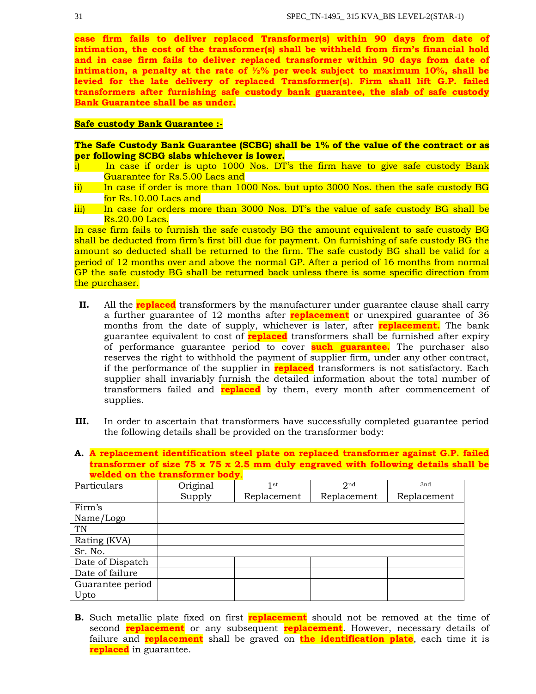**case firm fails to deliver replaced Transformer(s) within 90 days from date of intimation, the cost of the transformer(s) shall be withheld from firm's financial hold and in case firm fails to deliver replaced transformer within 90 days from date of intimation, a penalty at the rate of ½% per week subject to maximum 10%, shall be levied for the late delivery of replaced Transformer(s). Firm shall lift G.P. failed transformers after furnishing safe custody bank guarantee, the slab of safe custody Bank Guarantee shall be as under.**

## **Safe custody Bank Guarantee :-**

**The Safe Custody Bank Guarantee (SCBG) shall be 1% of the value of the contract or as per following SCBG slabs whichever is lower.**

- i) In case if order is upto 1000 Nos. DT's the firm have to give safe custody Bank Guarantee for Rs.5.00 Lacs and
- ii) In case if order is more than 1000 Nos. but upto 3000 Nos. then the safe custody BG for Rs.10.00 Lacs and
- iii) In case for orders more than 3000 Nos. DT's the value of safe custody BG shall be Rs.20.00 Lacs.

In case firm fails to furnish the safe custody BG the amount equivalent to safe custody BG shall be deducted from firm's first bill due for payment. On furnishing of safe custody BG the amount so deducted shall be returned to the firm. The safe custody BG shall be valid for a period of 12 months over and above the normal GP. After a period of 16 months from normal GP the safe custody BG shall be returned back unless there is some specific direction from the purchaser.

- **II.** All the **replaced** transformers by the manufacturer under guarantee clause shall carry a further guarantee of 12 months after **replacement** or unexpired guarantee of 36 months from the date of supply, whichever is later, after **replacement.** The bank guarantee equivalent to cost of **replaced** transformers shall be furnished after expiry of performance guarantee period to cover **such guarantee.** The purchaser also reserves the right to withhold the payment of supplier firm, under any other contract, if the performance of the supplier in **replaced** transformers is not satisfactory. Each supplier shall invariably furnish the detailed information about the total number of transformers failed and **replaced** by them, every month after commencement of supplies.
- **III.** In order to ascertain that transformers have successfully completed guarantee period the following details shall be provided on the transformer body:
- **A. A replacement identification steel plate on replaced transformer against G.P. failed transformer of size 75 x 75 x 2.5 mm duly engraved with following details shall be welded on the transformer body**.

| Particulars      | Original | 1 st        | 2 <sub>nd</sub> | 3nd         |
|------------------|----------|-------------|-----------------|-------------|
|                  | Supply   | Replacement | Replacement     | Replacement |
| Firm's           |          |             |                 |             |
| Name/Logo        |          |             |                 |             |
| TN               |          |             |                 |             |
| Rating (KVA)     |          |             |                 |             |
| Sr. No.          |          |             |                 |             |
| Date of Dispatch |          |             |                 |             |
| Date of failure  |          |             |                 |             |
| Guarantee period |          |             |                 |             |
| Upto             |          |             |                 |             |

**B.** Such metallic plate fixed on first **replacement** should not be removed at the time of second **replacement** or any subsequent **replacement**. However, necessary details of failure and **replacement** shall be graved on **the identification plate**, each time it is **replaced** in guarantee.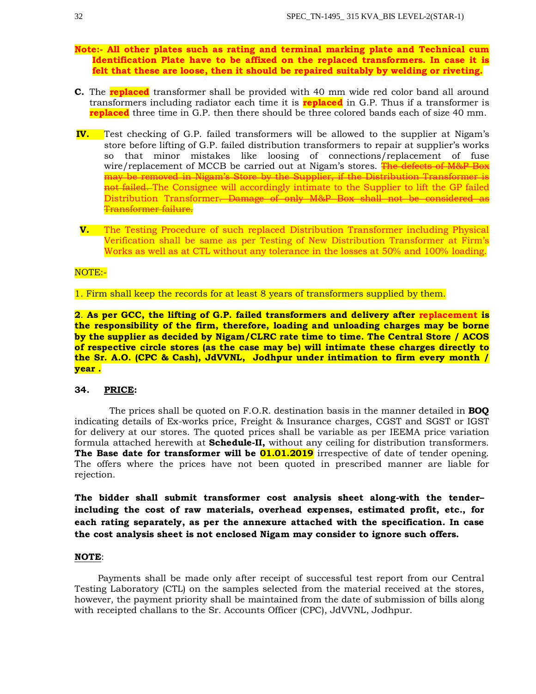- **Note:- All other plates such as rating and terminal marking plate and Technical cum Identification Plate have to be affixed on the replaced transformers. In case it is felt that these are loose, then it should be repaired suitably by welding or riveting.**
- **C.** The **replaced** transformer shall be provided with 40 mm wide red color band all around transformers including radiator each time it is **replaced** in G.P. Thus if a transformer is **replaced** three time in G.P. then there should be three colored bands each of size 40 mm.
- **IV.** Test checking of G.P. failed transformers will be allowed to the supplier at Nigam's store before lifting of G.P. failed distribution transformers to repair at supplier's works so that minor mistakes like loosing of connections/replacement of fuse wire/replacement of MCCB be carried out at Nigam's stores. The defects of M&P Box may be removed in Nigam's Store by the Supplier, if the Distribution Transformer is not failed. The Consignee will accordingly intimate to the Supplier to lift the GP failed Distribution Transformer. Damage of only M&P Box shall not be considered as Transformer failure.
- **V.** The Testing Procedure of such replaced Distribution Transformer including Physical Verification shall be same as per Testing of New Distribution Transformer at Firm's Works as well as at CTL without any tolerance in the losses at 50% and 100% loading.

## NOTE:-

1. Firm shall keep the records for at least 8 years of transformers supplied by them.

**2**. **As per GCC, the lifting of G.P. failed transformers and delivery after replacement is the responsibility of the firm, therefore, loading and unloading charges may be borne by the supplier as decided by Nigam/CLRC rate time to time. The Central Store / ACOS of respective circle stores (as the case may be) will intimate these charges directly to the Sr. A.O. (CPC & Cash), JdVVNL, Jodhpur under intimation to firm every month / year .**

# **34. PRICE:**

 The prices shall be quoted on F.O.R. destination basis in the manner detailed in **BOQ** indicating details of Ex-works price, Freight & Insurance charges, CGST and SGST or IGST for delivery at our stores. The quoted prices shall be variable as per IEEMA price variation formula attached herewith at **Schedule-II,** without any ceiling for distribution transformers. The Base date for transformer will be **01.01.2019** irrespective of date of tender opening. The offers where the prices have not been quoted in prescribed manner are liable for rejection.

**The bidder shall submit transformer cost analysis sheet along-with the tender– including the cost of raw materials, overhead expenses, estimated profit, etc., for each rating separately, as per the annexure attached with the specification. In case the cost analysis sheet is not enclosed Nigam may consider to ignore such offers.**

#### **NOTE**:

 Payments shall be made only after receipt of successful test report from our Central Testing Laboratory (CTL) on the samples selected from the material received at the stores, however, the payment priority shall be maintained from the date of submission of bills along with receipted challans to the Sr. Accounts Officer (CPC), JdVVNL, Jodhpur.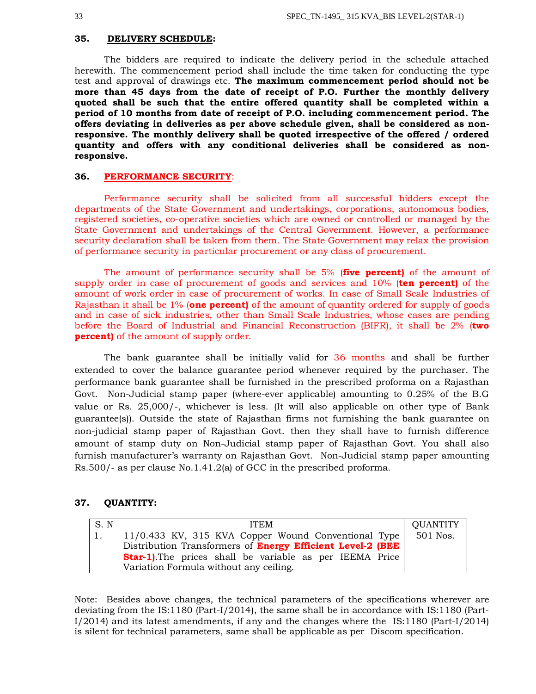#### **35. DELIVERY SCHEDULE:**

The bidders are required to indicate the delivery period in the schedule attached herewith. The commencement period shall include the time taken for conducting the type test and approval of drawings etc. **The maximum commencement period should not be more than 45 days from the date of receipt of P.O. Further the monthly delivery quoted shall be such that the entire offered quantity shall be completed within a period of 10 months from date of receipt of P.O. including commencement period. The offers deviating in deliveries as per above schedule given, shall be considered as nonresponsive. The monthly delivery shall be quoted irrespective of the offered / ordered quantity and offers with any conditional deliveries shall be considered as nonresponsive.**

#### **36. PERFORMANCE SECURITY**:

Performance security shall be solicited from all successful bidders except the departments of the State Government and undertakings, corporations, autonomous bodies, registered societies, co-operative societies which are owned or controlled or managed by the State Government and undertakings of the Central Government. However, a performance security declaration shall be taken from them. The State Government may relax the provision of performance security in particular procurement or any class of procurement.

The amount of performance security shall be 5% (**five percent)** of the amount of supply order in case of procurement of goods and services and 10% (**ten percent)** of the amount of work order in case of procurement of works. In case of Small Scale Industries of Rajasthan it shall be 1% (**one percent)** of the amount of quantity ordered for supply of goods and in case of sick industries, other than Small Scale Industries, whose cases are pending before the Board of Industrial and Financial Reconstruction (BIFR), it shall be 2% (**two percent**) of the amount of supply order.

The bank guarantee shall be initially valid for 36 months and shall be further extended to cover the balance guarantee period whenever required by the purchaser. The performance bank guarantee shall be furnished in the prescribed proforma on a Rajasthan Govt. Non-Judicial stamp paper (where-ever applicable) amounting to 0.25% of the B.G value or Rs. 25,000/-, whichever is less. (It will also applicable on other type of Bank guarantee(s)). Outside the state of Rajasthan firms not furnishing the bank guarantee on non-judicial stamp paper of Rajasthan Govt. then they shall have to furnish difference amount of stamp duty on Non-Judicial stamp paper of Rajasthan Govt. You shall also furnish manufacturer's warranty on Rajasthan Govt. Non-Judicial stamp paper amounting Rs.500/- as per clause No.1.41.2(a) of GCC in the prescribed proforma.

# **37. QUANTITY:**

| S.N | <b>ITEM</b>                                                       | <b>QUANTITY</b> |
|-----|-------------------------------------------------------------------|-----------------|
|     | $\vert$ 11/0.433 KV, 315 KVA Copper Wound Conventional Type       | 501 Nos.        |
|     | Distribution Transformers of <b>Energy Efficient Level-2 (BEE</b> |                 |
|     | <b>Star-1)</b> . The prices shall be variable as per IEEMA Price  |                 |
|     | Variation Formula without any ceiling.                            |                 |

Note: Besides above changes, the technical parameters of the specifications wherever are deviating from the IS:1180 (Part-I/2014), the same shall be in accordance with IS:1180 (Part-I/2014) and its latest amendments, if any and the changes where the IS:1180 (Part-I/2014) is silent for technical parameters, same shall be applicable as per Discom specification.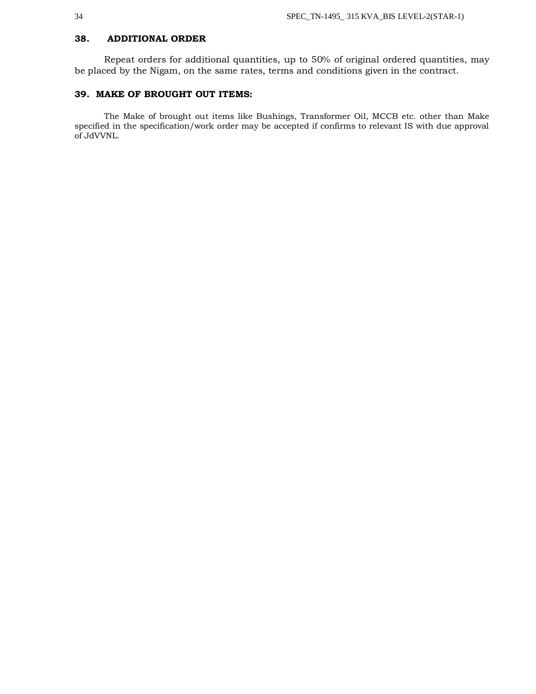# **38. ADDITIONAL ORDER**

Repeat orders for additional quantities, up to 50% of original ordered quantities, may be placed by the Nigam, on the same rates, terms and conditions given in the contract.

# **39. MAKE OF BROUGHT OUT ITEMS:**

The Make of brought out items like Bushings, Transformer Oil, MCCB etc. other than Make specified in the specification/work order may be accepted if confirms to relevant IS with due approval of JdVVNL.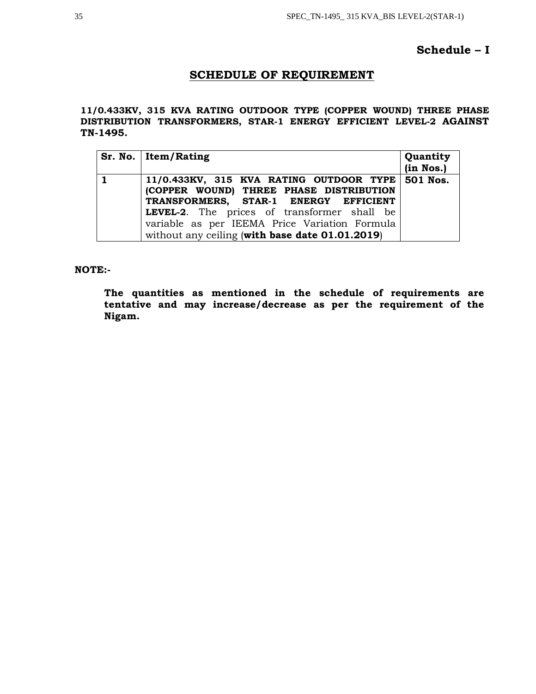# **Schedule – I**

# **SCHEDULE OF REQUIREMENT**

**11/0.433KV, 315 KVA RATING OUTDOOR TYPE (COPPER WOUND) THREE PHASE DISTRIBUTION TRANSFORMERS, STAR-1 ENERGY EFFICIENT LEVEL-2 AGAINST TN-1495.**

| Sr. No. Item/Rating                                                                                                                                                                                                                                                                        | Quantity<br>(in Nos.) |
|--------------------------------------------------------------------------------------------------------------------------------------------------------------------------------------------------------------------------------------------------------------------------------------------|-----------------------|
| $11/0.433KV$ , 315 KVA RATING OUTDOOR TYPE 501 Nos.<br>(COPPER WOUND) THREE PHASE DISTRIBUTION<br>TRANSFORMERS, STAR-1 ENERGY EFFICIENT<br>LEVEL-2. The prices of transformer shall be<br>variable as per IEEMA Price Variation Formula<br>without any ceiling (with base date 01.01.2019) |                       |

**NOTE:-**

**The quantities as mentioned in the schedule of requirements are tentative and may increase/decrease as per the requirement of the Nigam.**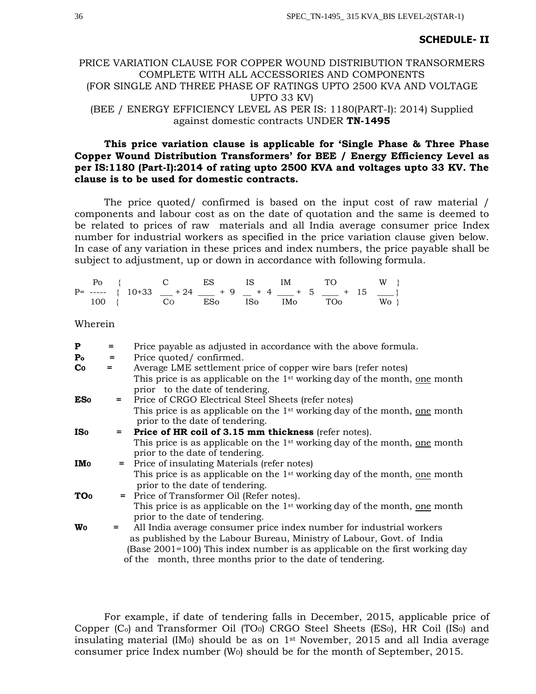## **SCHEDULE- II**

# PRICE VARIATION CLAUSE FOR COPPER WOUND DISTRIBUTION TRANSORMERS COMPLETE WITH ALL ACCESSORIES AND COMPONENTS (FOR SINGLE AND THREE PHASE OF RATINGS UPTO 2500 KVA AND VOLTAGE UPTO 33 KV) (BEE / ENERGY EFFICIENCY LEVEL AS PER IS: 1180(PART-I): 2014) Supplied against domestic contracts UNDER **TN-1495**

# **This price variation clause is applicable for 'Single Phase & Three Phase Copper Wound Distribution Transformers' for BEE / Energy Efficiency Level as per IS:1180 (Part-I):2014 of rating upto 2500 KVA and voltages upto 33 KV. The clause is to be used for domestic contracts.**

The price quoted/ confirmed is based on the input cost of raw material / components and labour cost as on the date of quotation and the same is deemed to be related to prices of raw materials and all India average consumer price Index number for industrial workers as specified in the price variation clause given below. In case of any variation in these prices and index numbers, the price payable shall be subject to adjustment, up or down in accordance with following formula.

|  |  |  | $Po \t{C}$ ES IS IM TO W                            |  |
|--|--|--|-----------------------------------------------------|--|
|  |  |  | $P=$ ----- { $10+33$ $+24$ $+9$ $+4$ $+5$ $+15$ $-$ |  |
|  |  |  | $100$ { CO ESo ISo IMo TOo Wo }                     |  |

Wherein

| P                         | $=$ | Price payable as adjusted in accordance with the above formula.                               |
|---------------------------|-----|-----------------------------------------------------------------------------------------------|
| $\mathbf{P}_{\mathbf{O}}$ | $=$ | Price quoted/confirmed.                                                                       |
| Co                        | $=$ | Average LME settlement price of copper wire bars (refer notes)                                |
|                           |     | This price is as applicable on the $1st$ working day of the month, one month                  |
|                           |     | prior to the date of tendering.                                                               |
| <b>ES</b> <sub>o</sub>    | =   | Price of CRGO Electrical Steel Sheets (refer notes)                                           |
|                           |     | This price is as applicable on the 1 <sup>st</sup> working day of the month, <u>one</u> month |
|                           |     | prior to the date of tendering.                                                               |
| <b>IS</b> <sub>o</sub>    |     | = Price of HR coil of 3.15 mm thickness (refer notes).                                        |
|                           |     | This price is as applicable on the 1 <sup>st</sup> working day of the month, <u>one</u> month |
|                           |     | prior to the date of tendering.                                                               |
| <b>IMo</b>                |     | = Price of insulating Materials (refer notes)                                                 |
|                           |     | This price is as applicable on the 1 <sup>st</sup> working day of the month, one month        |
|                           |     | prior to the date of tendering.                                                               |
| <b>TO</b> <sub>o</sub>    |     | = Price of Transformer Oil (Refer notes).                                                     |
|                           |     | This price is as applicable on the 1 <sup>st</sup> working day of the month, one month        |
|                           |     | prior to the date of tendering.                                                               |
| Wo                        | =   | All India average consumer price index number for industrial workers                          |
|                           |     | as published by the Labour Bureau, Ministry of Labour, Govt. of India                         |
|                           |     | (Base $2001 = 100$ ) This index number is as applicable on the first working day              |
|                           |     | of the month, three months prior to the date of tendering.                                    |

For example, if date of tendering falls in December, 2015, applicable price of Copper (C<sub>o</sub>) and Transformer Oil (TO<sub>0</sub>) CRGO Steel Sheets (ES<sub>0</sub>), HR Coil (IS<sub>0</sub>) and insulating material (IM<sub>0</sub>) should be as on  $1<sup>st</sup>$  November, 2015 and all India average consumer price Index number  $(W_0)$  should be for the month of September, 2015.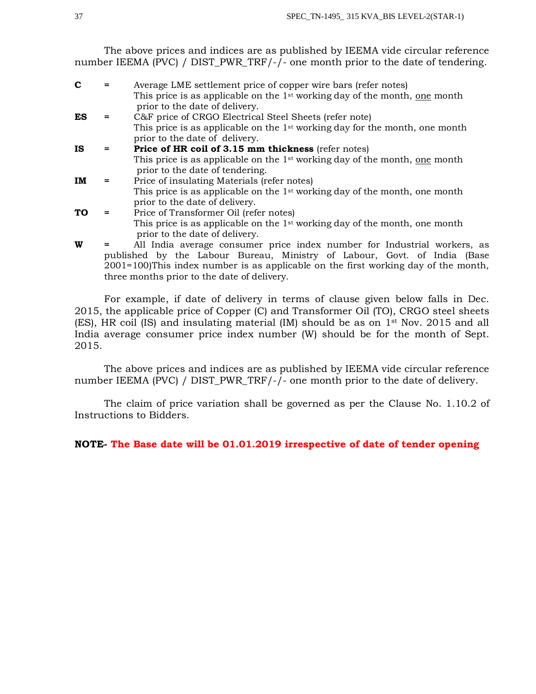The above prices and indices are as published by IEEMA vide circular reference number IEEMA (PVC) / DIST\_PWR\_TRF/-/- one month prior to the date of tendering.

| C  | Average LME settlement price of copper wire bars (refer notes)                                                            |
|----|---------------------------------------------------------------------------------------------------------------------------|
|    | This price is as applicable on the $1st$ working day of the month, one month<br>prior to the date of delivery.            |
| ES | C&F price of CRGO Electrical Steel Sheets (refer note)                                                                    |
|    | This price is as applicable on the 1 <sup>st</sup> working day for the month, one month<br>prior to the date of delivery. |
| IS | Price of HR coil of 3.15 mm thickness (refer notes)                                                                       |
|    | This price is as applicable on the 1 <sup>st</sup> working day of the month, one month<br>prior to the date of tendering. |
| IM | Price of insulating Materials (refer notes)                                                                               |
|    | This price is as applicable on the 1 <sup>st</sup> working day of the month, one month                                    |
|    | prior to the date of delivery.                                                                                            |
| TO | Price of Transformer Oil (refer notes)                                                                                    |
|    | This price is as applicable on the 1 <sup>st</sup> working day of the month, one month                                    |
|    | prior to the date of delivery.                                                                                            |
| W  | All India average consumer price index number for Industrial workers, as                                                  |
|    | published by the Labour Bureau, Ministry of Labour, Govt. of India (Base                                                  |

three months prior to the date of delivery. For example, if date of delivery in terms of clause given below falls in Dec. 2015, the applicable price of Copper (C) and Transformer Oil (TO), CRGO steel sheets (ES), HR coil (IS) and insulating material (IM) should be as on 1st Nov. 2015 and all India average consumer price index number (W) should be for the month of Sept.

2001=100)This index number is as applicable on the first working day of the month,

The above prices and indices are as published by IEEMA vide circular reference number IEEMA (PVC) / DIST\_PWR\_TRF/-/- one month prior to the date of delivery.

The claim of price variation shall be governed as per the Clause No. 1.10.2 of Instructions to Bidders.

# **NOTE- The Base date will be 01.01.2019 irrespective of date of tender opening**

2015.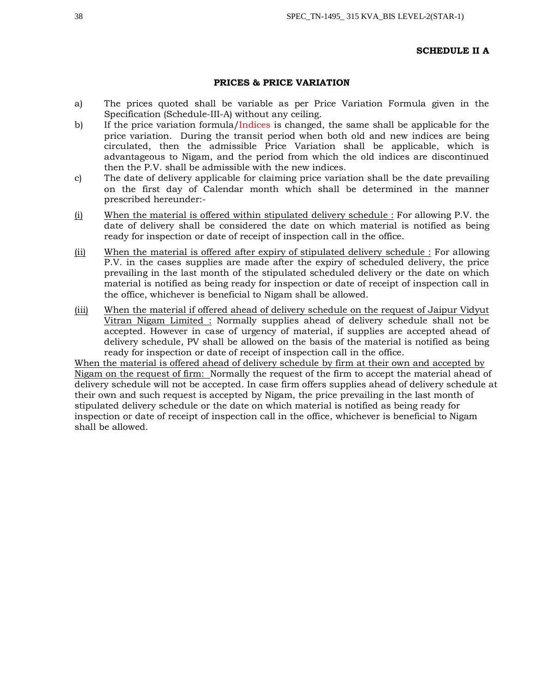#### **SCHEDULE II A**

## **PRICES & PRICE VARIATION**

- a) The prices quoted shall be variable as per Price Variation Formula given in the Specification (Schedule-III-A) without any ceiling.
- b) If the price variation formula/Indices is changed, the same shall be applicable for the price variation. During the transit period when both old and new indices are being circulated, then the admissible Price Variation shall be applicable, which is advantageous to Nigam, and the period from which the old indices are discontinued then the P.V. shall be admissible with the new indices.
- c) The date of delivery applicable for claiming price variation shall be the date prevailing on the first day of Calendar month which shall be determined in the manner prescribed hereunder:-
- (i) When the material is offered within stipulated delivery schedule : For allowing P.V. the date of delivery shall be considered the date on which material is notified as being ready for inspection or date of receipt of inspection call in the office.
- (ii) When the material is offered after expiry of stipulated delivery schedule : For allowing P.V. in the cases supplies are made after the expiry of scheduled delivery, the price prevailing in the last month of the stipulated scheduled delivery or the date on which material is notified as being ready for inspection or date of receipt of inspection call in the office, whichever is beneficial to Nigam shall be allowed.
- (iii) When the material if offered ahead of delivery schedule on the request of Jaipur Vidyut Vitran Nigam Limited : Normally supplies ahead of delivery schedule shall not be accepted. However in case of urgency of material, if supplies are accepted ahead of delivery schedule, PV shall be allowed on the basis of the material is notified as being ready for inspection or date of receipt of inspection call in the office.

When the material is offered ahead of delivery schedule by firm at their own and accepted by Nigam on the request of firm: Normally the request of the firm to accept the material ahead of delivery schedule will not be accepted. In case firm offers supplies ahead of delivery schedule at their own and such request is accepted by Nigam, the price prevailing in the last month of stipulated delivery schedule or the date on which material is notified as being ready for inspection or date of receipt of inspection call in the office, whichever is beneficial to Nigam shall be allowed.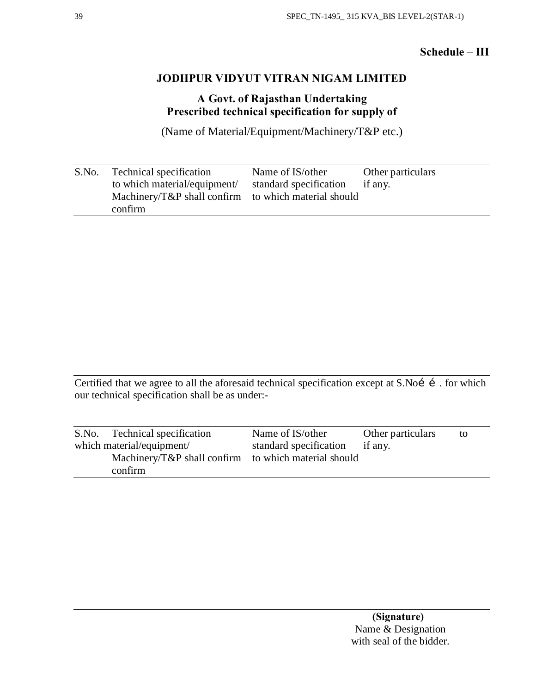# **Schedule – III**

# **JODHPUR VIDYUT VITRAN NIGAM LIMITED**

# **A Govt. of Rajasthan Undertaking Prescribed technical specification for supply of**

(Name of Material/Equipment/Machinery/T&P etc.)

| S.No. | Technical specification                              | Name of IS/other               | Other particulars |
|-------|------------------------------------------------------|--------------------------------|-------------------|
|       | to which material/equipment/                         | standard specification if any. |                   |
|       | Machinery/T&P shall confirm to which material should |                                |                   |
|       | confirm                                              |                                |                   |

Certified that we agree to all the aforesaid technical specification except at S.Noí í . for which our technical specification shall be as under:-

| S.No. Technical specification                        | Name of IS/other       | Other particulars | to |
|------------------------------------------------------|------------------------|-------------------|----|
| which material/equipment/                            | standard specification | if any.           |    |
| Machinery/T&P shall confirm to which material should |                        |                   |    |
| confirm                                              |                        |                   |    |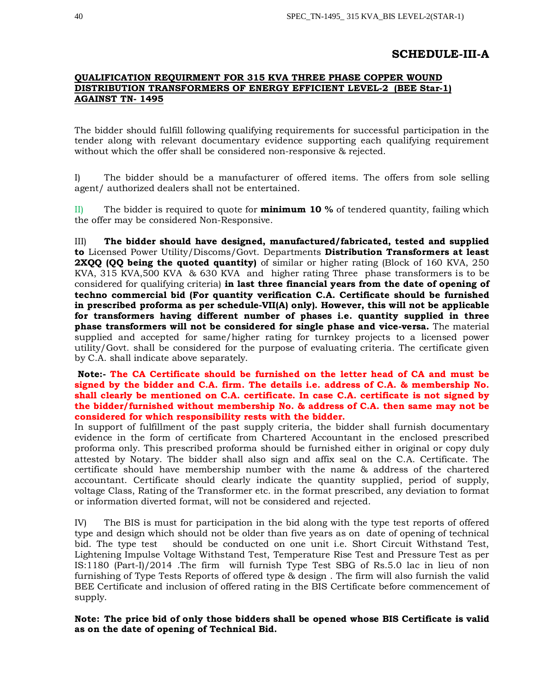# **SCHEDULE-III-A**

# **QUALIFICATION REQUIRMENT FOR 315 KVA THREE PHASE COPPER WOUND DISTRIBUTION TRANSFORMERS OF ENERGY EFFICIENT LEVEL-2 (BEE Star-1) AGAINST TN- 1495**

The bidder should fulfill following qualifying requirements for successful participation in the tender along with relevant documentary evidence supporting each qualifying requirement without which the offer shall be considered non-responsive & rejected.

I) The bidder should be a manufacturer of offered items. The offers from sole selling agent/ authorized dealers shall not be entertained.

II) The bidder is required to quote for **minimum 10 %** of tendered quantity, failing which the offer may be considered Non-Responsive.

III) **The bidder should have designed, manufactured/fabricated, tested and supplied to** Licensed Power Utility/Discoms/Govt. Departments **Distribution Transformers at least 2XQQ (QQ being the quoted quantity)** of similar or higher rating (Block of 160 KVA, 250 KVA, 315 KVA,500 KVA & 630 KVA and higher rating Three phase transformers is to be considered for qualifying criteria) **in last three financial years from the date of opening of techno commercial bid (For quantity verification C.A. Certificate should be furnished in prescribed proforma as per schedule-VII(A) only). However, this will not be applicable for transformers having different number of phases i.e. quantity supplied in three phase transformers will not be considered for single phase and vice-versa.** The material supplied and accepted for same/higher rating for turnkey projects to a licensed power utility/Govt. shall be considered for the purpose of evaluating criteria. The certificate given by C.A. shall indicate above separately.

**Note:- The CA Certificate should be furnished on the letter head of CA and must be signed by the bidder and C.A. firm. The details i.e. address of C.A. & membership No. shall clearly be mentioned on C.A. certificate. In case C.A. certificate is not signed by the bidder/furnished without membership No. & address of C.A. then same may not be considered for which responsibility rests with the bidder.**

In support of fulfillment of the past supply criteria, the bidder shall furnish documentary evidence in the form of certificate from Chartered Accountant in the enclosed prescribed proforma only. This prescribed proforma should be furnished either in original or copy duly attested by Notary. The bidder shall also sign and affix seal on the C.A. Certificate. The certificate should have membership number with the name & address of the chartered accountant. Certificate should clearly indicate the quantity supplied, period of supply, voltage Class, Rating of the Transformer etc. in the format prescribed, any deviation to format or information diverted format, will not be considered and rejected.

IV) The BIS is must for participation in the bid along with the type test reports of offered type and design which should not be older than five years as on date of opening of technical bid. The type test should be conducted on one unit i.e. Short Circuit Withstand Test, Lightening Impulse Voltage Withstand Test, Temperature Rise Test and Pressure Test as per IS:1180 (Part-I)/2014 .The firm will furnish Type Test SBG of Rs.5.0 lac in lieu of non furnishing of Type Tests Reports of offered type & design . The firm will also furnish the valid BEE Certificate and inclusion of offered rating in the BIS Certificate before commencement of supply.

**Note: The price bid of only those bidders shall be opened whose BIS Certificate is valid as on the date of opening of Technical Bid.**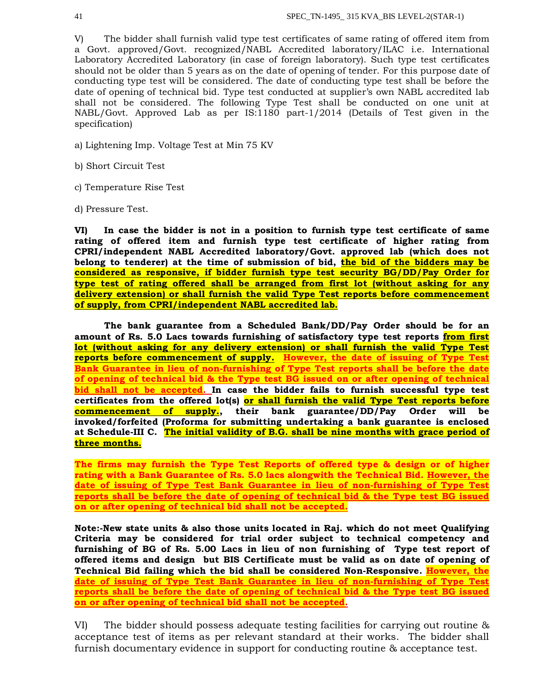V) The bidder shall furnish valid type test certificates of same rating of offered item from a Govt. approved/Govt. recognized/NABL Accredited laboratory/ILAC i.e. International Laboratory Accredited Laboratory (in case of foreign laboratory). Such type test certificates should not be older than 5 years as on the date of opening of tender. For this purpose date of conducting type test will be considered. The date of conducting type test shall be before the date of opening of technical bid. Type test conducted at supplier's own NABL accredited lab shall not be considered. The following Type Test shall be conducted on one unit at NABL/Govt. Approved Lab as per IS:1180 part-1/2014 (Details of Test given in the specification)

- a) Lightening Imp. Voltage Test at Min 75 KV
- b) Short Circuit Test
- c) Temperature Rise Test
- d) Pressure Test.

**VI) In case the bidder is not in a position to furnish type test certificate of same rating of offered item and furnish type test certificate of higher rating from CPRI/independent NABL Accredited laboratory/Govt. approved lab (which does not belong to tenderer) at the time of submission of bid, the bid of the bidders may be considered as responsive, if bidder furnish type test security BG/DD/Pay Order for type test of rating offered shall be arranged from first lot (without asking for any delivery extension) or shall furnish the valid Type Test reports before commencement of supply, from CPRI/independent NABL accredited lab.**

**The bank guarantee from a Scheduled Bank/DD/Pay Order should be for an amount of Rs. 5.0 Lacs towards furnishing of satisfactory type test reports from first lot (without asking for any delivery extension) or shall furnish the valid Type Test reports before commencement of supply. However, the date of issuing of Type Test Bank Guarantee in lieu of non-furnishing of Type Test reports shall be before the date of opening of technical bid & the Type test BG issued on or after opening of technical bid shall not be accepted. In case the bidder fails to furnish successful type test certificates from the offered lot(s) or shall furnish the valid Type Test reports before commencement of supply., their bank guarantee/DD/Pay Order will be invoked/forfeited (Proforma for submitting undertaking a bank guarantee is enclosed at Schedule-III C. The initial validity of B.G. shall be nine months with grace period of three months.**

**The firms may furnish the Type Test Reports of offered type & design or of higher rating with a Bank Guarantee of Rs. 5.0 lacs alongwith the Technical Bid. However, the date of issuing of Type Test Bank Guarantee in lieu of non-furnishing of Type Test reports shall be before the date of opening of technical bid & the Type test BG issued on or after opening of technical bid shall not be accepted.**

**Note:-New state units & also those units located in Raj. which do not meet Qualifying Criteria may be considered for trial order subject to technical competency and furnishing of BG of Rs. 5.00 Lacs in lieu of non furnishing of Type test report of offered items and design but BIS Certificate must be valid as on date of opening of Technical Bid failing which the bid shall be considered Non-Responsive. However, the date of issuing of Type Test Bank Guarantee in lieu of non-furnishing of Type Test reports shall be before the date of opening of technical bid & the Type test BG issued on or after opening of technical bid shall not be accepted.**

VI) The bidder should possess adequate testing facilities for carrying out routine & acceptance test of items as per relevant standard at their works. The bidder shall furnish documentary evidence in support for conducting routine & acceptance test.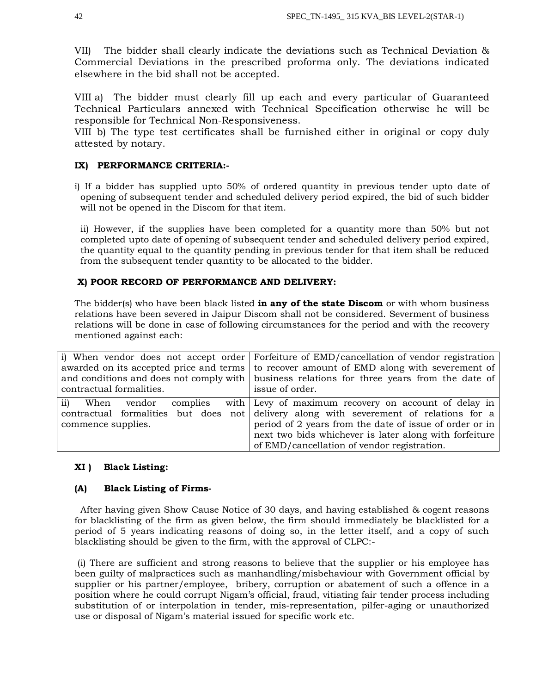VII) The bidder shall clearly indicate the deviations such as Technical Deviation & Commercial Deviations in the prescribed proforma only. The deviations indicated elsewhere in the bid shall not be accepted.

VIII a) The bidder must clearly fill up each and every particular of Guaranteed Technical Particulars annexed with Technical Specification otherwise he will be responsible for Technical Non-Responsiveness.

VIII b) The type test certificates shall be furnished either in original or copy duly attested by notary.

# **IX) PERFORMANCE CRITERIA:-**

i) If a bidder has supplied upto 50% of ordered quantity in previous tender upto date of opening of subsequent tender and scheduled delivery period expired, the bid of such bidder will not be opened in the Discom for that item.

ii) However, if the supplies have been completed for a quantity more than 50% but not completed upto date of opening of subsequent tender and scheduled delivery period expired, the quantity equal to the quantity pending in previous tender for that item shall be reduced from the subsequent tender quantity to be allocated to the bidder.

## **X) POOR RECORD OF PERFORMANCE AND DELIVERY:**

The bidder(s) who have been black listed **in any of the state Discom** or with whom business relations have been severed in Jaipur Discom shall not be considered. Severment of business relations will be done in case of following circumstances for the period and with the recovery mentioned against each:

|                          | i) When vendor does not accept order Forfeiture of EMD/cancellation of vendor registration  |
|--------------------------|---------------------------------------------------------------------------------------------|
|                          | awarded on its accepted price and terms to recover amount of EMD along with severement of   |
|                          | and conditions and does not comply with business relations for three years from the date of |
| contractual formalities. | issue of order.                                                                             |
| ii)<br>When<br>vendor    | complies with Levy of maximum recovery on account of delay in                               |
|                          | contractual formalities but does not delivery along with severement of relations for a      |
| commence supplies.       | period of 2 years from the date of issue of order or in                                     |
|                          | next two bids whichever is later along with forfeiture                                      |
|                          | of EMD/cancellation of vendor registration.                                                 |

## **XI ) Black Listing:**

## **(A) Black Listing of Firms-**

 After having given Show Cause Notice of 30 days, and having established & cogent reasons for blacklisting of the firm as given below, the firm should immediately be blacklisted for a period of 5 years indicating reasons of doing so, in the letter itself, and a copy of such blacklisting should be given to the firm, with the approval of CLPC:-

(i) There are sufficient and strong reasons to believe that the supplier or his employee has been guilty of malpractices such as manhandling/misbehaviour with Government official by supplier or his partner/employee, bribery, corruption or abatement of such a offence in a position where he could corrupt Nigam's official, fraud, vitiating fair tender process including substitution of or interpolation in tender, mis-representation, pilfer-aging or unauthorized use or disposal of Nigam's material issued for specific work etc.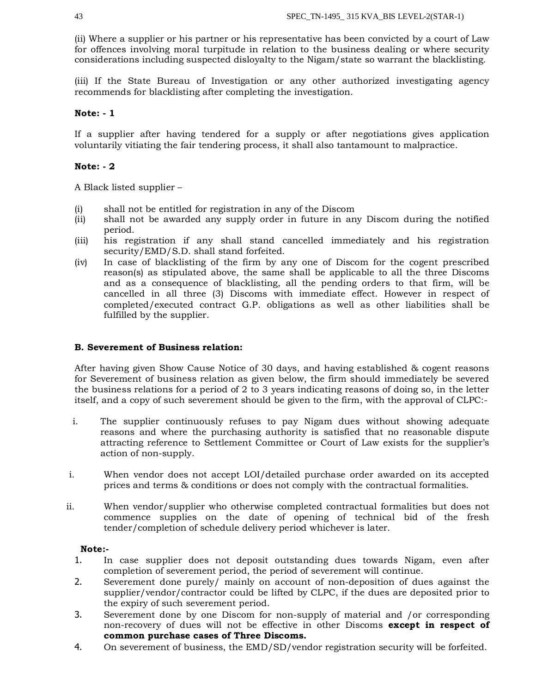(ii) Where a supplier or his partner or his representative has been convicted by a court of Law for offences involving moral turpitude in relation to the business dealing or where security considerations including suspected disloyalty to the Nigam/state so warrant the blacklisting.

(iii) If the State Bureau of Investigation or any other authorized investigating agency recommends for blacklisting after completing the investigation.

## **Note: - 1**

If a supplier after having tendered for a supply or after negotiations gives application voluntarily vitiating the fair tendering process, it shall also tantamount to malpractice.

# **Note: - 2**

A Black listed supplier –

- (i) shall not be entitled for registration in any of the Discom
- (ii) shall not be awarded any supply order in future in any Discom during the notified period.
- (iii) his registration if any shall stand cancelled immediately and his registration security/EMD/S.D. shall stand forfeited.
- (iv) In case of blacklisting of the firm by any one of Discom for the cogent prescribed reason(s) as stipulated above, the same shall be applicable to all the three Discoms and as a consequence of blacklisting, all the pending orders to that firm, will be cancelled in all three (3) Discoms with immediate effect. However in respect of completed/executed contract G.P. obligations as well as other liabilities shall be fulfilled by the supplier.

# **B. Severement of Business relation:**

After having given Show Cause Notice of 30 days, and having established & cogent reasons for Severement of business relation as given below, the firm should immediately be severed the business relations for a period of 2 to 3 years indicating reasons of doing so, in the letter itself, and a copy of such severement should be given to the firm, with the approval of CLPC:-

- i. The supplier continuously refuses to pay Nigam dues without showing adequate reasons and where the purchasing authority is satisfied that no reasonable dispute attracting reference to Settlement Committee or Court of Law exists for the supplier's action of non-supply.
- i. When vendor does not accept LOI/detailed purchase order awarded on its accepted prices and terms & conditions or does not comply with the contractual formalities.
- ii. When vendor/supplier who otherwise completed contractual formalities but does not commence supplies on the date of opening of technical bid of the fresh tender/completion of schedule delivery period whichever is later.

## **Note:-**

- 1. In case supplier does not deposit outstanding dues towards Nigam, even after completion of severement period, the period of severement will continue.
- 2. Severement done purely/ mainly on account of non-deposition of dues against the supplier/vendor/contractor could be lifted by CLPC, if the dues are deposited prior to the expiry of such severement period.
- 3. Severement done by one Discom for non-supply of material and /or corresponding non-recovery of dues will not be effective in other Discoms **except in respect of common purchase cases of Three Discoms.**
- 4. On severement of business, the EMD/SD/vendor registration security will be forfeited.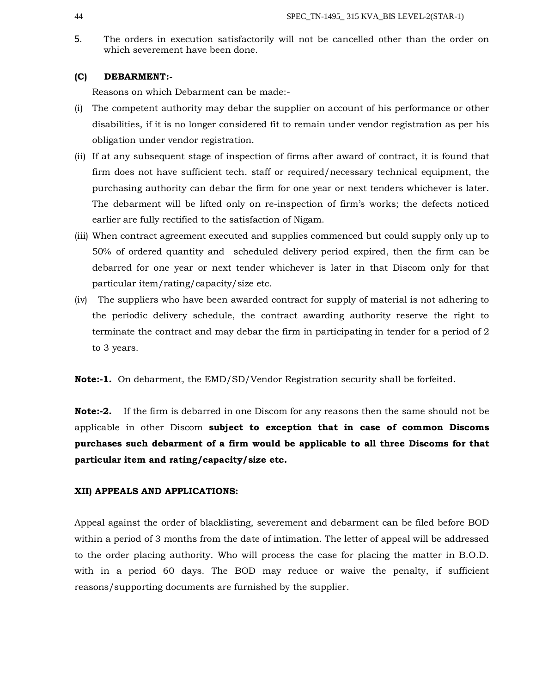5. The orders in execution satisfactorily will not be cancelled other than the order on which severement have been done.

## **(C) DEBARMENT:-**

Reasons on which Debarment can be made:-

- (i) The competent authority may debar the supplier on account of his performance or other disabilities, if it is no longer considered fit to remain under vendor registration as per his obligation under vendor registration.
- (ii) If at any subsequent stage of inspection of firms after award of contract, it is found that firm does not have sufficient tech. staff or required/necessary technical equipment, the purchasing authority can debar the firm for one year or next tenders whichever is later. The debarment will be lifted only on re-inspection of firm's works; the defects noticed earlier are fully rectified to the satisfaction of Nigam.
- (iii) When contract agreement executed and supplies commenced but could supply only up to 50% of ordered quantity and scheduled delivery period expired, then the firm can be debarred for one year or next tender whichever is later in that Discom only for that particular item/rating/capacity/size etc.
- (iv) The suppliers who have been awarded contract for supply of material is not adhering to the periodic delivery schedule, the contract awarding authority reserve the right to terminate the contract and may debar the firm in participating in tender for a period of 2 to 3 years.

**Note:-1.** On debarment, the EMD/SD/Vendor Registration security shall be forfeited.

**Note:-2.** If the firm is debarred in one Discom for any reasons then the same should not be applicable in other Discom **subject to exception that in case of common Discoms purchases such debarment of a firm would be applicable to all three Discoms for that particular item and rating/capacity/size etc.**

## **XII) APPEALS AND APPLICATIONS:**

Appeal against the order of blacklisting, severement and debarment can be filed before BOD within a period of 3 months from the date of intimation. The letter of appeal will be addressed to the order placing authority. Who will process the case for placing the matter in B.O.D. with in a period 60 days. The BOD may reduce or waive the penalty, if sufficient reasons/supporting documents are furnished by the supplier.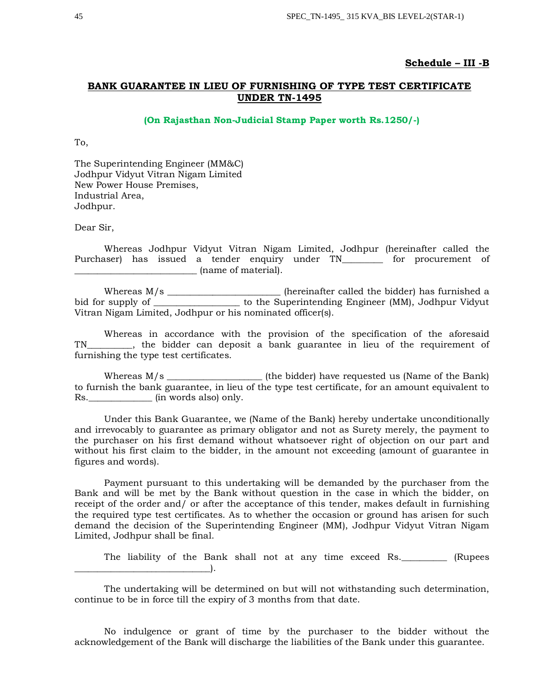## **Schedule – III -B**

# **BANK GUARANTEE IN LIEU OF FURNISHING OF TYPE TEST CERTIFICATE UNDER TN-1495**

#### **(On Rajasthan Non-Judicial Stamp Paper worth Rs.1250/-)**

To,

The Superintending Engineer (MM&C) Jodhpur Vidyut Vitran Nigam Limited New Power House Premises, Industrial Area, Jodhpur.

Dear Sir,

Whereas Jodhpur Vidyut Vitran Nigam Limited, Jodhpur (hereinafter called the Purchaser) has issued a tender enquiry under TN\_\_\_\_\_\_\_\_ for procurement of \_\_\_\_\_\_\_\_\_\_\_\_\_\_\_\_\_\_\_\_\_\_\_\_\_\_\_ (name of material).

Whereas  $M/s$  \_\_\_\_\_\_\_\_\_\_\_\_\_\_\_\_\_\_\_\_\_\_\_\_\_\_\_ (hereinafter called the bidder) has furnished a bid for supply of \_\_\_\_\_\_\_\_\_\_\_\_\_\_\_\_\_\_\_ to the Superintending Engineer (MM), Jodhpur Vidyut Vitran Nigam Limited, Jodhpur or his nominated officer(s).

Whereas in accordance with the provision of the specification of the aforesaid TN\_\_\_\_\_\_\_\_\_\_, the bidder can deposit a bank guarantee in lieu of the requirement of furnishing the type test certificates.

Whereas M/s \_\_\_\_\_\_\_\_\_\_\_\_\_\_\_\_\_\_\_\_\_ (the bidder) have requested us (Name of the Bank) to furnish the bank guarantee, in lieu of the type test certificate, for an amount equivalent to Rs. \_\_\_\_\_\_\_\_\_\_\_\_\_\_\_\_\_\_\_\_ (in words also) only.

Under this Bank Guarantee, we (Name of the Bank) hereby undertake unconditionally and irrevocably to guarantee as primary obligator and not as Surety merely, the payment to the purchaser on his first demand without whatsoever right of objection on our part and without his first claim to the bidder, in the amount not exceeding (amount of guarantee in figures and words).

Payment pursuant to this undertaking will be demanded by the purchaser from the Bank and will be met by the Bank without question in the case in which the bidder, on receipt of the order and/ or after the acceptance of this tender, makes default in furnishing the required type test certificates. As to whether the occasion or ground has arisen for such demand the decision of the Superintending Engineer (MM), Jodhpur Vidyut Vitran Nigam Limited, Jodhpur shall be final.

The liability of the Bank shall not at any time exceed Rs. \_\_\_\_\_\_\_\_\_ (Rupees \_\_\_\_\_\_\_\_\_\_\_\_\_\_\_\_\_\_\_\_\_\_\_\_\_\_\_\_\_\_).

The undertaking will be determined on but will not withstanding such determination, continue to be in force till the expiry of 3 months from that date.

No indulgence or grant of time by the purchaser to the bidder without the acknowledgement of the Bank will discharge the liabilities of the Bank under this guarantee.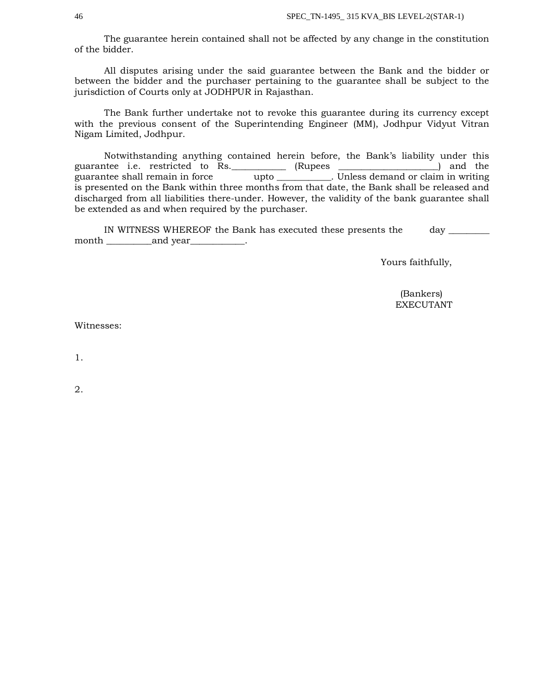The guarantee herein contained shall not be affected by any change in the constitution of the bidder.

All disputes arising under the said guarantee between the Bank and the bidder or between the bidder and the purchaser pertaining to the guarantee shall be subject to the jurisdiction of Courts only at JODHPUR in Rajasthan.

The Bank further undertake not to revoke this guarantee during its currency except with the previous consent of the Superintending Engineer (MM), Jodhpur Vidyut Vitran Nigam Limited, Jodhpur.

Notwithstanding anything contained herein before, the Bank's liability under this guarantee i.e. restricted to Rs. \_\_\_\_\_\_\_\_\_\_\_ (Rupees \_\_\_\_\_\_\_\_\_\_\_\_\_\_\_\_\_\_\_\_\_) and the guarantee shall remain in force upto \_\_\_\_\_\_\_\_\_\_\_. Unless demand or claim in writing is presented on the Bank within three months from that date, the Bank shall be released and discharged from all liabilities there-under. However, the validity of the bank guarantee shall be extended as and when required by the purchaser.

IN WITNESS WHEREOF the Bank has executed these presents the day \_\_\_\_\_\_\_\_\_ month \_\_\_\_\_\_\_\_\_\_and year\_\_\_\_\_\_\_\_\_\_\_\_.

Yours faithfully,

 (Bankers) EXECUTANT

Witnesses:

1.

2.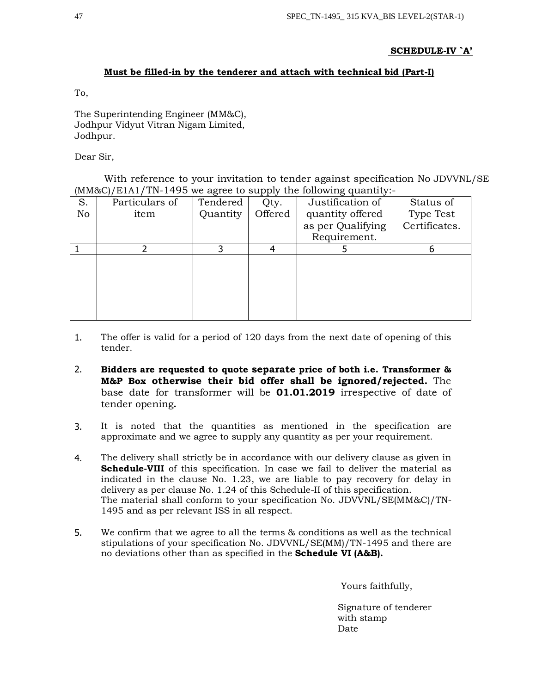# **SCHEDULE-IV `A'**

# **Must be filled-in by the tenderer and attach with technical bid (Part-I)**

To,

The Superintending Engineer (MM&C), Jodhpur Vidyut Vitran Nigam Limited, Jodhpur.

Dear Sir,

With reference to your invitation to tender against specification No JDVVNL/SE (MM&C)/E1A1/TN-1495 we agree to supply the following quantity:-

|    | ,,             |          | -- -    |                   |               |
|----|----------------|----------|---------|-------------------|---------------|
| S. | Particulars of | Tendered | Qty.    | Justification of  | Status of     |
| No | item           | Quantity | Offered | quantity offered  | Type Test     |
|    |                |          |         | as per Qualifying | Certificates. |
|    |                |          |         | Requirement.      |               |
|    |                |          |         |                   |               |
|    |                |          |         |                   |               |
|    |                |          |         |                   |               |
|    |                |          |         |                   |               |
|    |                |          |         |                   |               |
|    |                |          |         |                   |               |
|    |                |          |         |                   |               |

- 1. The offer is valid for a period of 120 days from the next date of opening of this tender.
- 2. **Bidders are requested to quote separate price of both i.e. Transformer & M&P Box otherwise their bid offer shall be ignored/rejected.** The base date for transformer will be **01.01.2019** irrespective of date of tender opening**.**
- 3. It is noted that the quantities as mentioned in the specification are approximate and we agree to supply any quantity as per your requirement.
- 4. The delivery shall strictly be in accordance with our delivery clause as given in **Schedule-VIII** of this specification. In case we fail to deliver the material as indicated in the clause No. 1.23, we are liable to pay recovery for delay in delivery as per clause No. 1.24 of this Schedule-II of this specification. The material shall conform to your specification No. JDVVNL/SE(MM&C)/TN-1495 and as per relevant ISS in all respect.
- 5. We confirm that we agree to all the terms & conditions as well as the technical stipulations of your specification No. JDVVNL/SE(MM)/TN-1495 and there are no deviations other than as specified in the **Schedule VI (A&B).**

Yours faithfully,

 Signature of tenderer with stamp Date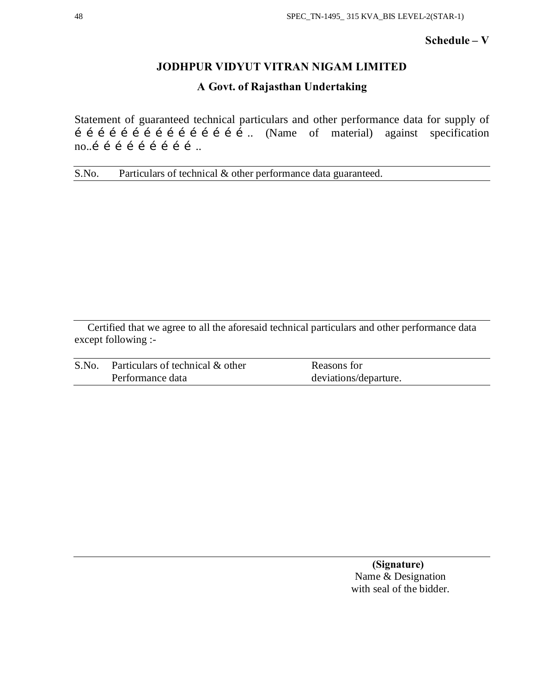# **Schedule – V**

# **JODHPUR VIDYUT VITRAN NIGAM LIMITED**

# **A Govt. of Rajasthan Undertaking**

Statement of guaranteed technical particulars and other performance data for supply of  $\hat{i}$   $\hat{i}$   $\hat{j}$   $\hat{j}$   $\hat{i}$   $\hat{j}$   $\hat{i}$   $\hat{j}$   $\hat{i}$   $\hat{j}$   $\hat{k}$   $\hat{k}$   $\hat{k}$   $\hat{k}$   $\hat{k}$   $\hat{k}$   $\hat{k}$   $\hat{k}$   $\hat{k}$   $\hat{k}$   $\hat{k}$   $\hat{k}$   $\hat{k}$   $\hat{k}$   $\hat{k}$   $\hat{k}$   $\hat{k}$   $\hat{k}$   $\hat{k}$   $\hat{k}$   $\hat{k}$   $\hat{k$ no... $i$  i i i i i i i ...

S.No. Particulars of technical & other performance data guaranteed.

Certified that we agree to all the aforesaid technical particulars and other performance data except following :-

| S.No. Particulars of technical & other | Reasons for           |
|----------------------------------------|-----------------------|
| Performance data                       | deviations/departure. |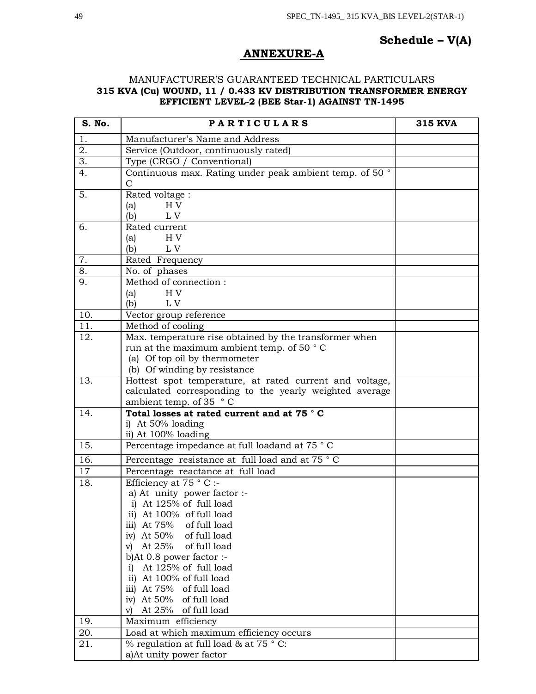# **Schedule – V(A)**

# **ANNEXURE-A**

# MANUFACTURER'S GUARANTEED TECHNICAL PARTICULARS **315 KVA (Cu) WOUND, 11 / 0.433 KV DISTRIBUTION TRANSFORMER ENERGY EFFICIENT LEVEL-2 (BEE Star-1) AGAINST TN-1495**

| S. No.           | <b>PARTICULARS</b>                                                         | <b>315 KVA</b> |
|------------------|----------------------------------------------------------------------------|----------------|
| 1.               | Manufacturer's Name and Address                                            |                |
| 2.               | Service (Outdoor, continuously rated)                                      |                |
| $\overline{3}$ . | Type (CRGO / Conventional)                                                 |                |
| 4.               | Continuous max. Rating under peak ambient temp. of 50 °                    |                |
|                  | $\mathbf C$                                                                |                |
| 5.               | Rated voltage:                                                             |                |
|                  | H <sub>V</sub><br>(a)                                                      |                |
|                  | (b)<br>L V                                                                 |                |
| 6.               | Rated current                                                              |                |
|                  | H V<br>(a)                                                                 |                |
|                  | (b)<br>L V                                                                 |                |
| 7.               | Rated Frequency                                                            |                |
| 8.               | No. of phases                                                              |                |
| $\overline{9}$ . | Method of connection:                                                      |                |
|                  | H <sub>V</sub><br>(a)                                                      |                |
|                  | L V<br>(b)                                                                 |                |
| 10.              | Vector group reference                                                     |                |
| 11.              | Method of cooling                                                          |                |
| 12.              | Max. temperature rise obtained by the transformer when                     |                |
|                  | run at the maximum ambient temp. of 50 °C<br>(a) Of top oil by thermometer |                |
|                  | (b) Of winding by resistance                                               |                |
| 13.              | Hottest spot temperature, at rated current and voltage,                    |                |
|                  | calculated corresponding to the yearly weighted average                    |                |
|                  | ambient temp. of 35 $\degree$ C                                            |                |
| 14.              | Total losses at rated current and at 75 °C                                 |                |
|                  | i) At 50% loading                                                          |                |
|                  | ii) At 100% loading                                                        |                |
| 15.              | Percentage impedance at full loadand at 75 °C                              |                |
| 16.              | Percentage resistance at full load and at 75 °C                            |                |
| $\overline{17}$  | Percentage reactance at full load                                          |                |
| 18.              | Efficiency at 75 ° C :-                                                    |                |
|                  | a) At unity power factor :-                                                |                |
|                  | i) At 125% of full load                                                    |                |
|                  | ii) At 100% of full load                                                   |                |
|                  | iii) At $75%$<br>of full load                                              |                |
|                  | iv) At $50\%$<br>of full load                                              |                |
|                  | At 25%<br>of full load<br>$\mathbf{v}$                                     |                |
|                  | b)At $0.8$ power factor :-                                                 |                |
|                  | At 125% of full load<br>i)                                                 |                |
|                  | ii) At 100% of full load<br>iii) At 75% of full load                       |                |
|                  | of full load<br>iv) At $50\%$                                              |                |
|                  | At 25% of full load<br>V)                                                  |                |
| 19.              | Maximum efficiency                                                         |                |
| 20.              | Load at which maximum efficiency occurs                                    |                |
| 21.              | % regulation at full load & at 75 °C:                                      |                |
|                  | a) At unity power factor                                                   |                |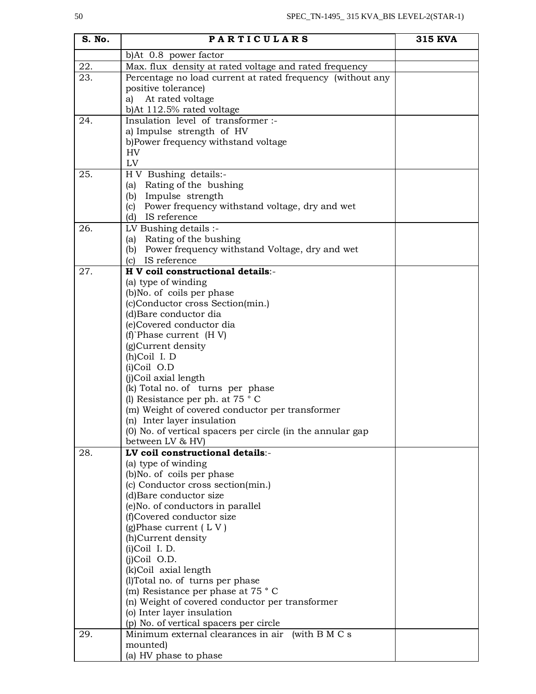| S. No. | <b>PARTICULARS</b>                                                                       | <b>315 KVA</b> |
|--------|------------------------------------------------------------------------------------------|----------------|
|        | b)At 0.8 power factor                                                                    |                |
| 22.    | Max. flux density at rated voltage and rated frequency                                   |                |
| 23.    | Percentage no load current at rated frequency (without any                               |                |
|        | positive tolerance)                                                                      |                |
|        | a) At rated voltage                                                                      |                |
|        | b)At 112.5% rated voltage                                                                |                |
| 24.    | Insulation level of transformer :-                                                       |                |
|        | a) Impulse strength of HV                                                                |                |
|        | b)Power frequency withstand voltage<br>HV                                                |                |
|        | LV                                                                                       |                |
| 25.    | H V Bushing details:-                                                                    |                |
|        | Rating of the bushing<br>(a)                                                             |                |
|        | (b) Impulse strength                                                                     |                |
|        | Power frequency withstand voltage, dry and wet<br>(c)                                    |                |
|        | (d) IS reference                                                                         |                |
| 26.    | LV Bushing details :-                                                                    |                |
|        | (a) Rating of the bushing                                                                |                |
|        | (b) Power frequency withstand Voltage, dry and wet                                       |                |
|        | (c) IS reference                                                                         |                |
| 27.    | H V coil constructional details:-                                                        |                |
|        | (a) type of winding                                                                      |                |
|        | (b)No. of coils per phase<br>(c)Conductor cross Section(min.)                            |                |
|        | (d)Bare conductor dia                                                                    |                |
|        | (e)Covered conductor dia                                                                 |                |
|        | $(f)$ Phase current $(H V)$                                                              |                |
|        | (g)Current density                                                                       |                |
|        | (h)Coil I. D                                                                             |                |
|        | $(i)$ Coil O.D                                                                           |                |
|        | (j)Coil axial length                                                                     |                |
|        | (k) Total no. of turns per phase                                                         |                |
|        | (l) Resistance per ph. at $75 \degree$ C                                                 |                |
|        | (m) Weight of covered conductor per transformer                                          |                |
|        | (n) Inter layer insulation<br>(0) No. of vertical spacers per circle (in the annular gap |                |
|        | between LV & HV)                                                                         |                |
| 28.    | LV coil constructional details:-                                                         |                |
|        | (a) type of winding                                                                      |                |
|        | (b)No. of coils per phase                                                                |                |
|        | (c) Conductor cross section(min.)                                                        |                |
|        | (d)Bare conductor size                                                                   |                |
|        | (e) No. of conductors in parallel                                                        |                |
|        | (f)Covered conductor size                                                                |                |
|        | (g) Phase current $(LV)$                                                                 |                |
|        | (h)Current density                                                                       |                |
|        | $(i)$ Coil I.D.<br>$(i)$ Coil O.D.                                                       |                |
|        | (k)Coil axial length                                                                     |                |
|        | (l)Total no. of turns per phase                                                          |                |
|        | (m) Resistance per phase at 75 °C                                                        |                |
|        | (n) Weight of covered conductor per transformer                                          |                |
|        | (o) Inter layer insulation                                                               |                |
|        | (p) No. of vertical spacers per circle                                                   |                |
| 29.    | Minimum external clearances in air<br>(with $B M C s$                                    |                |
|        | mounted)                                                                                 |                |
|        | (a) HV phase to phase                                                                    |                |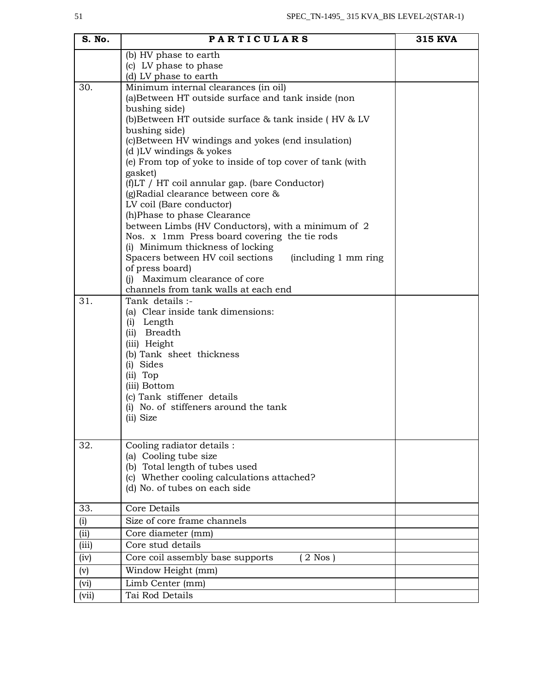| S. No. | <b>PARTICULARS</b>                                                                            | <b>315 KVA</b> |
|--------|-----------------------------------------------------------------------------------------------|----------------|
|        | (b) HV phase to earth                                                                         |                |
|        | (c) LV phase to phase                                                                         |                |
|        | (d) LV phase to earth                                                                         |                |
| 30.    | Minimum internal clearances (in oil)                                                          |                |
|        | (a)Between HT outside surface and tank inside (non                                            |                |
|        | bushing side)                                                                                 |                |
|        | (b) Between HT outside surface & tank inside (HV & LV<br>bushing side)                        |                |
|        | (c) Between HV windings and yokes (end insulation)                                            |                |
|        | (d) LV windings & yokes                                                                       |                |
|        | (e) From top of yoke to inside of top cover of tank (with                                     |                |
|        | gasket)                                                                                       |                |
|        | (f)LT / HT coil annular gap. (bare Conductor)                                                 |                |
|        | (g) Radial clearance between core &                                                           |                |
|        | LV coil (Bare conductor)                                                                      |                |
|        | (h)Phase to phase Clearance                                                                   |                |
|        | between Limbs (HV Conductors), with a minimum of 2                                            |                |
|        | Nos. x 1mm Press board covering the tie rods                                                  |                |
|        | (i) Minimum thickness of locking<br>Spacers between HV coil sections<br>(including 1 mm ring) |                |
|        | of press board)                                                                               |                |
|        | Maximum clearance of core<br>(i)                                                              |                |
|        | channels from tank walls at each end                                                          |                |
| 31.    | Tank details :-                                                                               |                |
|        | (a) Clear inside tank dimensions:                                                             |                |
|        | (i) Length                                                                                    |                |
|        | (ii) Breadth                                                                                  |                |
|        | (iii) Height                                                                                  |                |
|        | (b) Tank sheet thickness<br>(i) Sides                                                         |                |
|        | (ii) Top                                                                                      |                |
|        | (iii) Bottom                                                                                  |                |
|        | (c) Tank stiffener details                                                                    |                |
|        | (i) No. of stiffeners around the tank                                                         |                |
|        | (ii) Size                                                                                     |                |
|        |                                                                                               |                |
| 32.    | Cooling radiator details :                                                                    |                |
|        | (a) Cooling tube size                                                                         |                |
|        | (b) Total length of tubes used                                                                |                |
|        | (c) Whether cooling calculations attached?                                                    |                |
|        | (d) No. of tubes on each side                                                                 |                |
| 33.    | Core Details                                                                                  |                |
| (i)    | Size of core frame channels                                                                   |                |
| (i)    | Core diameter (mm)                                                                            |                |
| (iii)  | Core stud details                                                                             |                |
| (iv)   | Core coil assembly base supports<br>$2$ Nos $)$                                               |                |
| (v)    | Window Height (mm)                                                                            |                |
| (vi)   | Limb Center (mm)                                                                              |                |
| (vii)  | Tai Rod Details                                                                               |                |
|        |                                                                                               |                |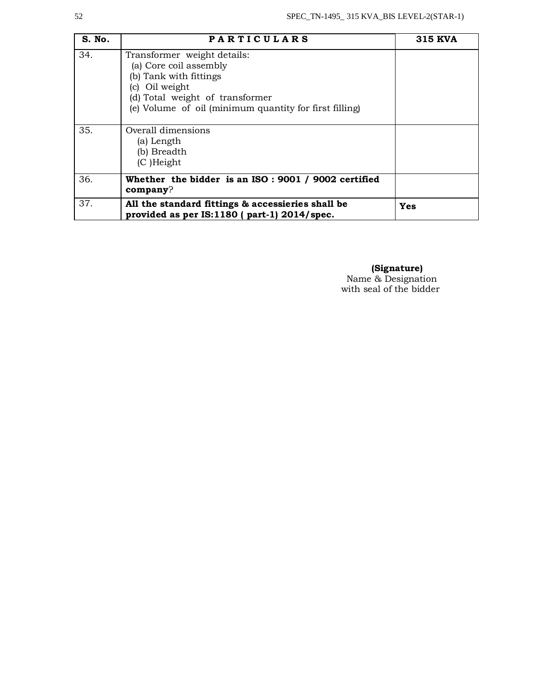| S. No. | <b>PARTICULARS</b>                                                                                                                                                                             | <b>315 KVA</b> |
|--------|------------------------------------------------------------------------------------------------------------------------------------------------------------------------------------------------|----------------|
| 34.    | Transformer weight details:<br>(a) Core coil assembly<br>(b) Tank with fittings<br>(c) Oil weight<br>(d) Total weight of transformer<br>(e) Volume of oil (minimum quantity for first filling) |                |
| 35.    | Overall dimensions<br>(a) Length<br>(b) Breadth<br>$(C)$ Height                                                                                                                                |                |
| 36.    | Whether the bidder is an ISO : 9001 / 9002 certified<br>company?                                                                                                                               |                |
| 37.    | All the standard fittings & accessieries shall be<br>provided as per IS:1180 (part-1) 2014/spec.                                                                                               | Yes            |

 **(Signature)** Name & Designation with seal of the bidder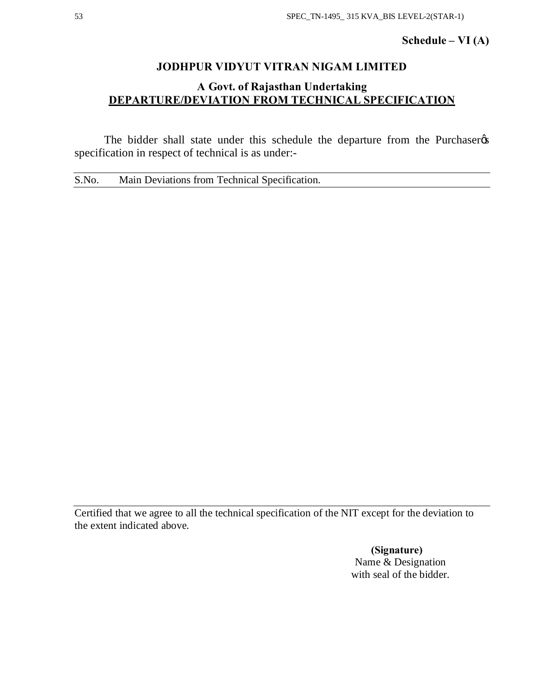# **Schedule – VI (A)**

# **JODHPUR VIDYUT VITRAN NIGAM LIMITED**

# **A Govt. of Rajasthan Undertaking DEPARTURE/DEVIATION FROM TECHNICAL SPECIFICATION**

The bidder shall state under this schedule the departure from the Purchaser  $\alpha$ specification in respect of technical is as under:-

S.No. Main Deviations from Technical Specification.

Certified that we agree to all the technical specification of the NIT except for the deviation to the extent indicated above.

> **(Signature)** Name & Designation with seal of the bidder.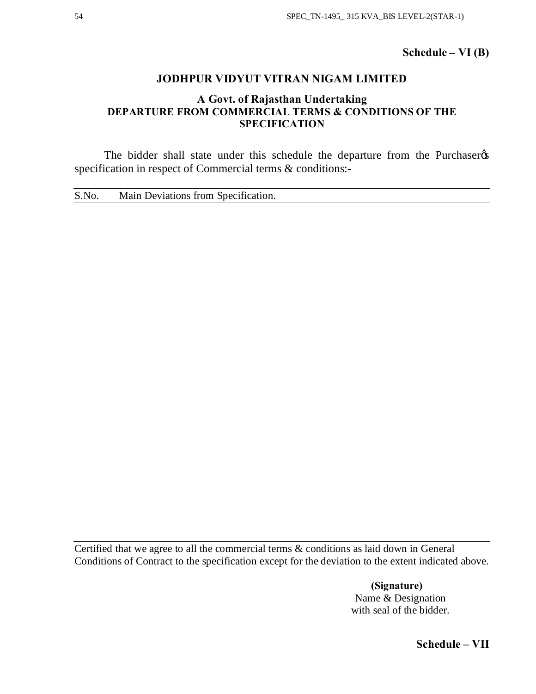**Schedule – VI (B)**

# **JODHPUR VIDYUT VITRAN NIGAM LIMITED**

# **A Govt. of Rajasthan Undertaking DEPARTURE FROM COMMERCIAL TERMS & CONDITIONS OF THE SPECIFICATION**

The bidder shall state under this schedule the departure from the Purchaser specification in respect of Commercial terms & conditions:-

S.No. Main Deviations from Specification.

Certified that we agree to all the commercial terms & conditions as laid down in General Conditions of Contract to the specification except for the deviation to the extent indicated above.

> **(Signature)** Name & Designation with seal of the bidder.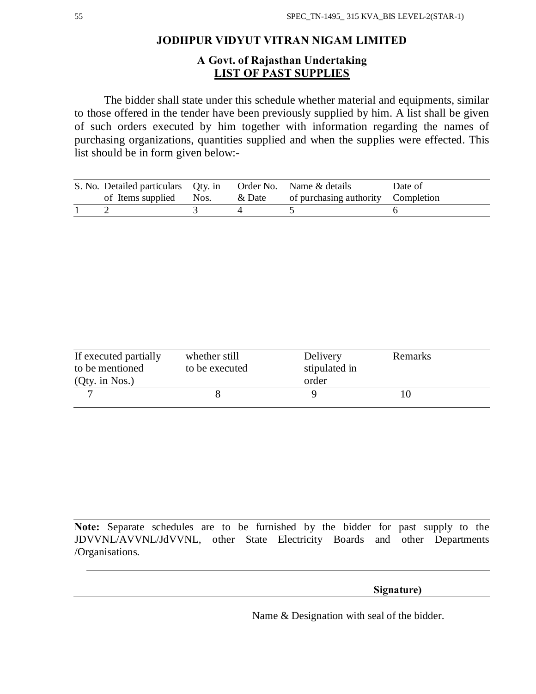# **JODHPUR VIDYUT VITRAN NIGAM LIMITED**

# **A Govt. of Rajasthan Undertaking LIST OF PAST SUPPLIES**

The bidder shall state under this schedule whether material and equipments, similar to those offered in the tender have been previously supplied by him. A list shall be given of such orders executed by him together with information regarding the names of purchasing organizations, quantities supplied and when the supplies were effected. This list should be in form given below:-

| S. No. Detailed particulars Qty. in Order No. Name & details<br>of Items supplied Nos. |  | & Date of purchasing authority Completion | Date of |
|----------------------------------------------------------------------------------------|--|-------------------------------------------|---------|
|                                                                                        |  |                                           |         |

| If executed partially | whether still  | Delivery      | Remarks |
|-----------------------|----------------|---------------|---------|
| to be mentioned       | to be executed | stipulated in |         |
| $(Qty.$ in Nos.)      |                | order         |         |
|                       |                |               |         |
|                       |                |               |         |

**Note:** Separate schedules are to be furnished by the bidder for past supply to the JDVVNL/AVVNL/JdVVNL, other State Electricity Boards and other Departments /Organisations.

 **Signature)** 

Name & Designation with seal of the bidder.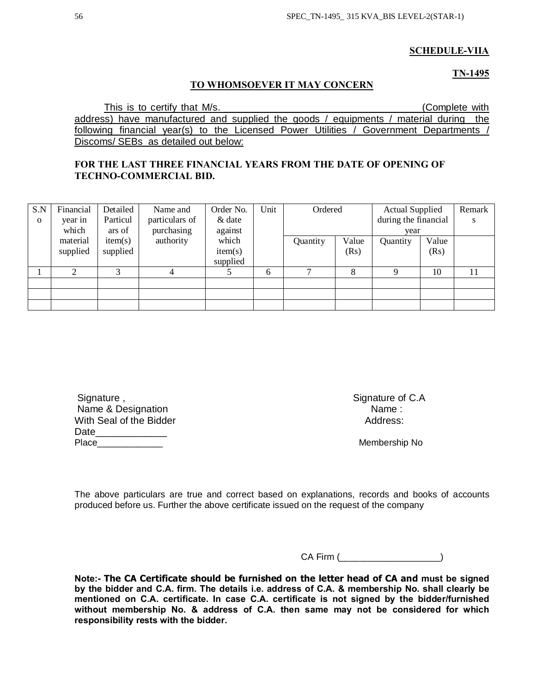# **SCHEDULE-VIIA**

# **TN-1495**

# **TO WHOMSOEVER IT MAY CONCERN**

This is to certify that M/s. \_\_\_\_\_\_\_\_\_\_\_\_\_\_\_\_\_\_\_\_\_\_\_\_\_\_\_\_\_\_\_\_\_\_\_\_(Complete with address) have manufactured and supplied the goods / equipments / material during the following financial year(s) to the Licensed Power Utilities / Government Departments / Discoms/ SEBs as detailed out below:

# **FOR THE LAST THREE FINANCIAL YEARS FROM THE DATE OF OPENING OF TECHNO-COMMERCIAL BID.**

| S.N      | Financial | Detailed | Name and       | Order No. | Unit | Ordered      |       | <b>Actual Supplied</b> |       | Remark |
|----------|-----------|----------|----------------|-----------|------|--------------|-------|------------------------|-------|--------|
| $\Omega$ | year in   | Particul | particulars of | & date    |      |              |       | during the financial   |       | S      |
|          | which     | ars of   | purchasing     | against   |      |              |       | vear                   |       |        |
|          | material  | item(s)  | authority      | which     |      | Quantity     | Value | Quantity               | Value |        |
|          | supplied  | supplied |                | item(s)   |      |              | (Rs)  |                        | (Rs)  |        |
|          |           |          |                | supplied  |      |              |       |                        |       |        |
|          |           | 3        | 4              |           | 6    | $\mathbf{r}$ | 8     | Q                      | 10    | 11     |
|          |           |          |                |           |      |              |       |                        |       |        |
|          |           |          |                |           |      |              |       |                        |       |        |
|          |           |          |                |           |      |              |       |                        |       |        |

| Signature,              | Signature c |
|-------------------------|-------------|
| Name & Designation      | Name:       |
| With Seal of the Bidder | Address:    |
| Date                    |             |
| Place                   | Membersh    |

Signature of C.A Address:

Membership No

The above particulars are true and correct based on explanations, records and books of accounts produced before us. Further the above certificate issued on the request of the company

CA Firm (\_\_\_\_\_\_\_\_\_\_\_\_\_\_\_\_\_\_\_\_)

**Note:- The CA Certificate should be furnished on the letter head of CA and must be signed by the bidder and C.A. firm. The details i.e. address of C.A. & membership No. shall clearly be mentioned on C.A. certificate. In case C.A. certificate is not signed by the bidder/furnished without membership No. & address of C.A. then same may not be considered for which responsibility rests with the bidder.**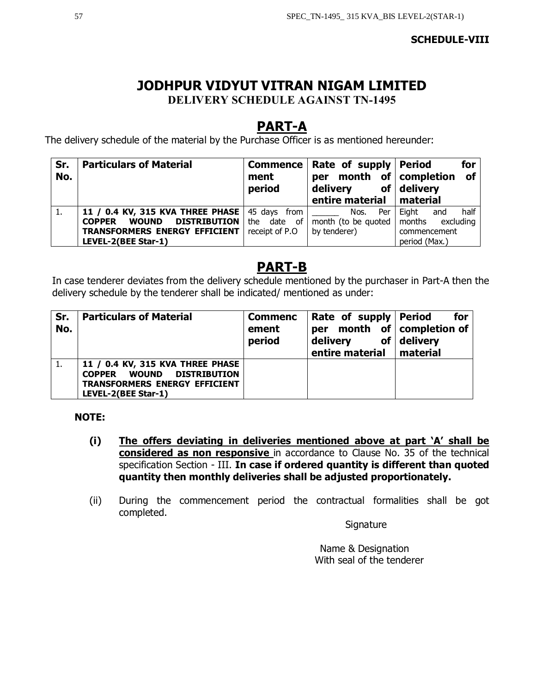# **SCHEDULE-VIII**

# **JODHPUR VIDYUT VITRAN NIGAM LIMITED DELIVERY SCHEDULE AGAINST TN-1495**

# **PART-A**

The delivery schedule of the material by the Purchase Officer is as mentioned hereunder:

| Sr.<br>No. | <b>Particulars of Material</b>                       | ment<br>period    | Commence   Rate of supply  <br>per<br>delivery<br>entire material | for<br><b>Period</b><br><b>of</b><br>month of completion<br>of $ $ delivery<br>  material |
|------------|------------------------------------------------------|-------------------|-------------------------------------------------------------------|-------------------------------------------------------------------------------------------|
|            | 11 / 0.4 KV, 315 KVA THREE PHASE   45 days from      |                   | Per<br>Nos.                                                       | half<br>Eight<br>and                                                                      |
|            | <b>DISTRIBUTION</b><br><b>WOUND</b><br><b>COPPER</b> | the<br>date<br>of | month (to be quoted                                               | months<br>excluding                                                                       |
|            | <b>TRANSFORMERS ENERGY EFFICIENT</b>                 | receipt of P.O.   | by tenderer)                                                      | commencement                                                                              |
|            | LEVEL-2(BEE Star-1)                                  |                   |                                                                   | period (Max.)                                                                             |

# **PART-B**

In case tenderer deviates from the delivery schedule mentioned by the purchaser in Part-A then the delivery schedule by the tenderer shall be indicated/ mentioned as under:

| Sr.<br>No. | <b>Particulars of Material</b>                                                                                                  | <b>Commenc</b><br>ement<br>period | Rate of supply Period<br>per<br>delivery<br>entire material   material | for<br>month of completion of<br>of $ $ delivery |
|------------|---------------------------------------------------------------------------------------------------------------------------------|-----------------------------------|------------------------------------------------------------------------|--------------------------------------------------|
|            | 11 / 0.4 KV, 315 KVA THREE PHASE<br>DISTRIBUTION<br><b>COPPER WOUND</b><br>TRANSFORMERS ENERGY EFFICIENT<br>LEVEL-2(BEE Star-1) |                                   |                                                                        |                                                  |

# **NOTE:**

- **(i) The offers deviating in deliveries mentioned above at part 'A' shall be considered as non responsive** in accordance to Clause No. 35 of the technical specification Section - III. **In case if ordered quantity is different than quoted quantity then monthly deliveries shall be adjusted proportionately.**
- (ii) During the commencement period the contractual formalities shall be got completed.

**Signature** 

 Name & Designation With seal of the tenderer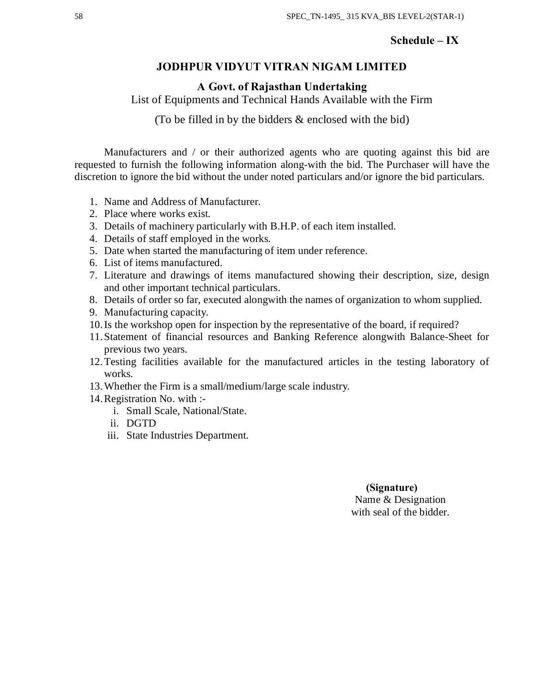# **Schedule – IX**

# **JODHPUR VIDYUT VITRAN NIGAM LIMITED**

**A Govt. of Rajasthan Undertaking**

List of Equipments and Technical Hands Available with the Firm

(To be filled in by the bidders & enclosed with the bid)

Manufacturers and / or their authorized agents who are quoting against this bid are requested to furnish the following information along-with the bid. The Purchaser will have the discretion to ignore the bid without the under noted particulars and/or ignore the bid particulars.

- 1. Name and Address of Manufacturer.
- 2. Place where works exist.
- 3. Details of machinery particularly with B.H.P. of each item installed.
- 4. Details of staff employed in the works.
- 5. Date when started the manufacturing of item under reference.
- 6. List of items manufactured.
- 7. Literature and drawings of items manufactured showing their description, size, design and other important technical particulars.
- 8. Details of order so far, executed alongwith the names of organization to whom supplied.
- 9. Manufacturing capacity.
- 10.Is the workshop open for inspection by the representative of the board, if required?
- 11.Statement of financial resources and Banking Reference alongwith Balance-Sheet for previous two years.
- 12.Testing facilities available for the manufactured articles in the testing laboratory of works.
- 13.Whether the Firm is a small/medium/large scale industry.
- 14.Registration No. with :
	- i. Small Scale, National/State.
	- ii. DGTD
	- iii. State Industries Department.

# **(Signature)** Name & Designation with seal of the bidder.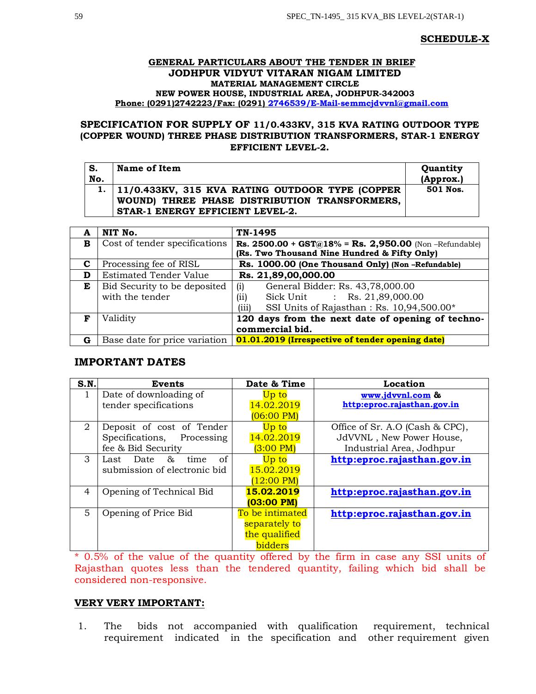## **SCHEDULE-X**

## **GENERAL PARTICULARS ABOUT THE TENDER IN BRIEF JODHPUR VIDYUT VITARAN NIGAM LIMITED MATERIAL MANAGEMENT CIRCLE NEW POWER HOUSE, INDUSTRIAL AREA, JODHPUR-342003 Phone: (0291)2742223/Fax: (0291) 2746539/E-Mail-semmcjdvvnl@gmail.com**

# **SPECIFICATION FOR SUPPLY OF 11/0.433KV, 315 KVA RATING OUTDOOR TYPE (COPPER WOUND) THREE PHASE DISTRIBUTION TRANSFORMERS, STAR-1 ENERGY EFFICIENT LEVEL-2.**

| S.  | Name of Item                                                                                                                              | Quantity  |
|-----|-------------------------------------------------------------------------------------------------------------------------------------------|-----------|
| No. |                                                                                                                                           | (Approx.) |
|     | 1.   11/0.433KV, 315 KVA RATING OUTDOOR TYPE (COPPER<br>WOUND) THREE PHASE DISTRIBUTION TRANSFORMERS,<br>STAR-1 ENERGY EFFICIENT LEVEL-2. | 501 Nos.  |

| A | NIT No.                       | TN-1495                                               |
|---|-------------------------------|-------------------------------------------------------|
| в | Cost of tender specifications | Rs. 2500.00 + GST@18% = Rs. 2,950.00 (Non-Refundable) |
|   |                               | (Rs. Two Thousand Nine Hundred & Fifty Only)          |
| C | Processing fee of RISL        | Rs. 1000.00 (One Thousand Only) (Non-Refundable)      |
| D | <b>Estimated Tender Value</b> | Rs. 21,89,00,000.00                                   |
| Е | Bid Security to be deposited  | General Bidder: Rs. 43,78,000.00<br>(i)               |
|   | with the tender               | Sick Unit : Rs. 21,89,000.00<br>(ii)                  |
|   |                               | SSI Units of Rajasthan: Rs. 10,94,500.00*<br>(iii)    |
| F | Validity                      | 120 days from the next date of opening of techno-     |
|   |                               | commercial bid.                                       |
| G | Base date for price variation | 01.01.2019 (Irrespective of tender opening date)      |

# **IMPORTANT DATES**

| S.N.           | Events                       | Date & Time          | Location                        |
|----------------|------------------------------|----------------------|---------------------------------|
|                | Date of downloading of       | Up to                | www.jdvvnl.com &                |
|                | tender specifications        | 14.02.2019           | http:eproc.rajasthan.gov.in     |
|                |                              | $(06:00 \text{ PM})$ |                                 |
| $\overline{2}$ | Deposit of cost of Tender    | Up to                | Office of Sr. A.O (Cash & CPC), |
|                | Specifications, Processing   | 14.02.2019           | JdVVNL, New Power House,        |
|                | fee & Bid Security           | $(3:00 \text{ PM})$  | Industrial Area, Jodhpur        |
| $\mathcal{B}$  | time<br>of<br>Last Date $\&$ | Up to                | http:eproc.rajasthan.gov.in     |
|                | submission of electronic bid | 15.02.2019           |                                 |
|                |                              | $(12:00 \text{ PM})$ |                                 |
| $\overline{4}$ | Opening of Technical Bid     | 15.02.2019           | http:eproc.rajasthan.gov.in     |
|                |                              | (03:00 PM)           |                                 |
| 5              | Opening of Price Bid         | To be intimated      | http:eproc.rajasthan.gov.in     |
|                |                              | separately to        |                                 |
|                |                              | the qualified        |                                 |
|                |                              | bidders              |                                 |

\* 0.5% of the value of the quantity offered by the firm in case any SSI units of Rajasthan quotes less than the tendered quantity, failing which bid shall be considered non-responsive.

## **VERY VERY IMPORTANT:**

1. The bids not accompanied with qualification requirement, technical requirement indicated in the specification and other requirement given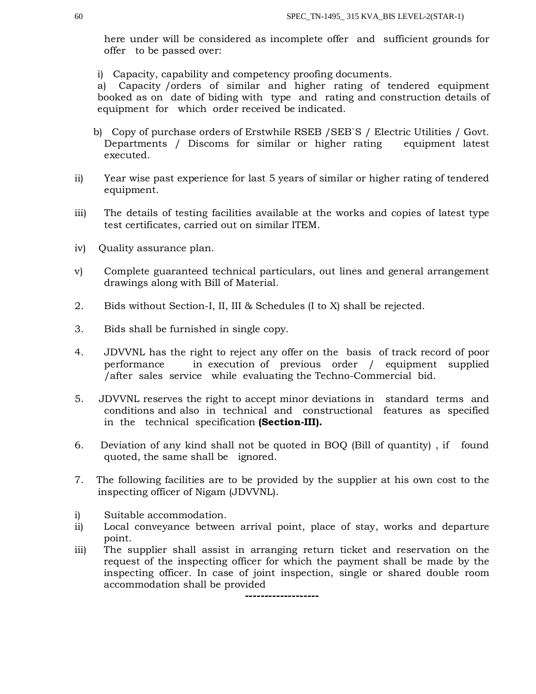here under will be considered as incomplete offer and sufficient grounds for offer to be passed over:

i) Capacity, capability and competency proofing documents.

a) Capacity /orders of similar and higher rating of tendered equipment booked as on date of biding with type and rating and construction details of equipment for which order received be indicated.

- b) Copy of purchase orders of Erstwhile RSEB /SEB`S / Electric Utilities / Govt. Departments / Discoms for similar or higher rating equipment latest executed.
- ii) Year wise past experience for last 5 years of similar or higher rating of tendered equipment.
- iii) The details of testing facilities available at the works and copies of latest type test certificates, carried out on similar ITEM.
- iv) Quality assurance plan.
- v) Complete guaranteed technical particulars, out lines and general arrangement drawings along with Bill of Material.
- 2. Bids without Section-I, II, III & Schedules (I to X) shall be rejected.
- 3. Bids shall be furnished in single copy.
- 4. JDVVNL has the right to reject any offer on the basis of track record of poor performance in execution of previous order / equipment supplied /after sales service while evaluating the Techno-Commercial bid.
- 5. JDVVNL reserves the right to accept minor deviations in standard terms and conditions and also in technical and constructional features as specified in the technical specification **(Section-III).**
- 6. Deviation of any kind shall not be quoted in BOQ (Bill of quantity) , if found quoted, the same shall be ignored.
- 7. The following facilities are to be provided by the supplier at his own cost to the inspecting officer of Nigam (JDVVNL).
- i) Suitable accommodation.
- ii) Local conveyance between arrival point, place of stay, works and departure point.
- iii) The supplier shall assist in arranging return ticket and reservation on the request of the inspecting officer for which the payment shall be made by the inspecting officer. In case of joint inspection, single or shared double room accommodation shall be provided

**-------------------**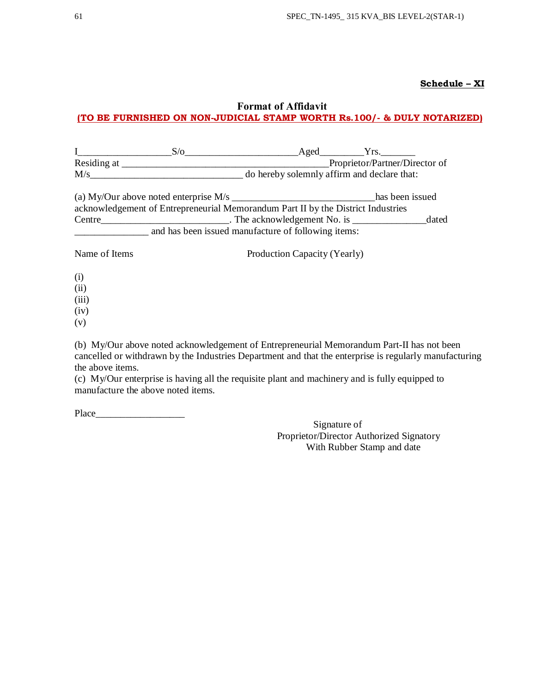## **Schedule – XI**

# **Format of Affidavit (TO BE FURNISHED ON NON-JUDICIAL STAMP WORTH Rs.100/- & DULY NOTARIZED)**

|                                                                                                                                                                                                                                                                                                                                                                                                                                              | S/O                                                                              |                              |  | $\text{Aged}$ Yrs.             |       |  |  |
|----------------------------------------------------------------------------------------------------------------------------------------------------------------------------------------------------------------------------------------------------------------------------------------------------------------------------------------------------------------------------------------------------------------------------------------------|----------------------------------------------------------------------------------|------------------------------|--|--------------------------------|-------|--|--|
| Residing at $\frac{1}{\sqrt{1-\frac{1}{2}} \cdot \frac{1}{\sqrt{1-\frac{1}{2}} \cdot \frac{1}{\sqrt{1-\frac{1}{2}} \cdot \frac{1}{\sqrt{1-\frac{1}{2}} \cdot \frac{1}{\sqrt{1-\frac{1}{2}} \cdot \frac{1}{\sqrt{1-\frac{1}{2}} \cdot \frac{1}{\sqrt{1-\frac{1}{2}} \cdot \frac{1}{\sqrt{1-\frac{1}{2}} \cdot \frac{1}{\sqrt{1-\frac{1}{2}} \cdot \frac{1}{\sqrt{1-\frac{1}{2}} \cdot \frac{1}{\sqrt{1-\frac{1}{2}} \cdot \frac{1}{\sqrt{1-\$ |                                                                                  |                              |  | Proprietor/Partner/Director of |       |  |  |
| M/s                                                                                                                                                                                                                                                                                                                                                                                                                                          | do hereby solemnly affirm and declare that:                                      |                              |  |                                |       |  |  |
|                                                                                                                                                                                                                                                                                                                                                                                                                                              |                                                                                  |                              |  | has been issued                |       |  |  |
|                                                                                                                                                                                                                                                                                                                                                                                                                                              | acknowledgement of Entrepreneurial Memorandum Part II by the District Industries |                              |  |                                |       |  |  |
|                                                                                                                                                                                                                                                                                                                                                                                                                                              |                                                                                  |                              |  |                                | dated |  |  |
|                                                                                                                                                                                                                                                                                                                                                                                                                                              | and has been issued manufacture of following items:                              |                              |  |                                |       |  |  |
| Name of Items                                                                                                                                                                                                                                                                                                                                                                                                                                |                                                                                  | Production Capacity (Yearly) |  |                                |       |  |  |
| (i)                                                                                                                                                                                                                                                                                                                                                                                                                                          |                                                                                  |                              |  |                                |       |  |  |
| (i)                                                                                                                                                                                                                                                                                                                                                                                                                                          |                                                                                  |                              |  |                                |       |  |  |

- (ii)
- (iii)
- (iv)
- (v)

(b) My/Our above noted acknowledgement of Entrepreneurial Memorandum Part-II has not been cancelled or withdrawn by the Industries Department and that the enterprise is regularly manufacturing the above items.

(c) My/Our enterprise is having all the requisite plant and machinery and is fully equipped to manufacture the above noted items.

Place\_\_\_\_\_\_\_\_\_\_\_\_\_\_\_\_\_\_

Signature of Proprietor/Director Authorized Signatory With Rubber Stamp and date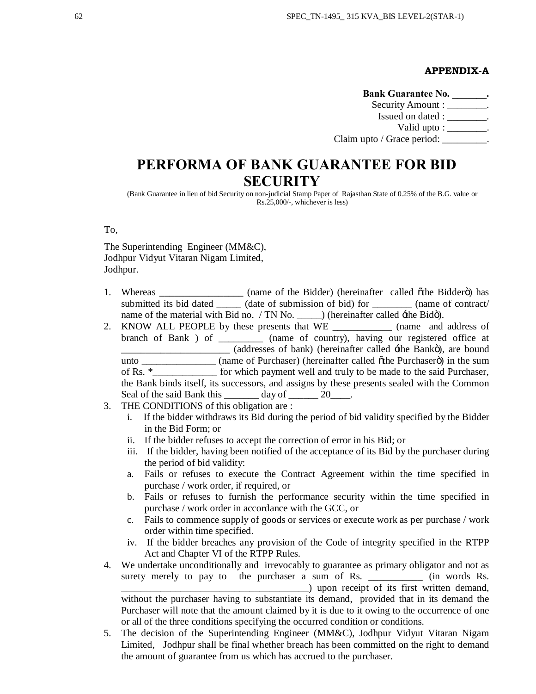## **APPENDIX-A**

Bank Guarantee No. \_\_\_\_\_\_\_. Security Amount : \_\_\_\_\_\_\_\_. Issued on dated :  $\qquad \qquad$ Valid upto : \_\_\_\_\_\_\_\_. Claim upto / Grace period: \_\_\_\_\_\_\_\_.

# **PERFORMA OF BANK GUARANTEE FOR BID SECURITY**

(Bank Guarantee in lieu of bid Security on non-judicial Stamp Paper of Rajasthan State of 0.25% of the B.G. value or Rs.25,000/-, whichever is less)

To,

The Superintending Engineer (MM&C), Jodhpur Vidyut Vitaran Nigam Limited, Jodhpur.

- 1. Whereas \_\_\_\_\_\_\_\_\_\_\_\_\_\_\_\_ (name of the Bidder) (hereinafter called othe Biddero) has submitted its bid dated \_\_\_\_\_\_ (date of submission of bid) for \_\_\_\_\_\_\_\_ (name of contract/ name of the material with Bid no. / TN No. \_\_\_\_\_) (hereinafter called  $\pm$ the Bidö).
- 2. KNOW ALL PEOPLE by these presents that WE \_\_\_\_\_\_\_\_\_\_\_\_ (name and address of branch of Bank ) of \_\_\_\_\_\_\_\_\_ (name of country), having our registered office at (addresses of bank) (hereinafter called  $\pm$ the Bankö), are bound unto \_\_\_\_\_\_\_\_\_\_\_\_\_\_\_\_ (name of Purchaser) (hereinafter called othe Purchasero) in the sum of Rs. \*\_\_\_\_\_\_\_\_\_\_\_\_\_ for which payment well and truly to be made to the said Purchaser, the Bank binds itself, its successors, and assigns by these presents sealed with the Common Seal of the said Bank this  $\_\_\_\_\_$  day of  $\_\_\_\_$  20 $\_\_\_\_$ .
- 3. THE CONDITIONS of this obligation are :
	- i. If the bidder withdraws its Bid during the period of bid validity specified by the Bidder in the Bid Form; or
	- ii. If the bidder refuses to accept the correction of error in his Bid; or
	- iii. If the bidder, having been notified of the acceptance of its Bid by the purchaser during the period of bid validity:
	- a. Fails or refuses to execute the Contract Agreement within the time specified in purchase / work order, if required, or
	- b. Fails or refuses to furnish the performance security within the time specified in purchase / work order in accordance with the GCC, or
	- c. Fails to commence supply of goods or services or execute work as per purchase / work order within time specified.
	- iv. If the bidder breaches any provision of the Code of integrity specified in the RTPP Act and Chapter VI of the RTPP Rules.
- 4. We undertake unconditionally and irrevocably to guarantee as primary obligator and not as surety merely to pay to the purchaser a sum of Rs. \_\_\_\_\_\_\_\_\_\_\_\_ (in words Rs. \_\_\_\_\_\_\_\_\_\_\_\_\_\_\_\_\_\_\_\_\_\_\_\_\_\_\_\_\_\_\_\_\_\_\_\_\_\_) upon receipt of its first written demand, without the purchaser having to substantiate its demand, provided that in its demand the Purchaser will note that the amount claimed by it is due to it owing to the occurrence of one or all of the three conditions specifying the occurred condition or conditions.
- 5. The decision of the Superintending Engineer (MM&C), Jodhpur Vidyut Vitaran Nigam Limited, Jodhpur shall be final whether breach has been committed on the right to demand the amount of guarantee from us which has accrued to the purchaser.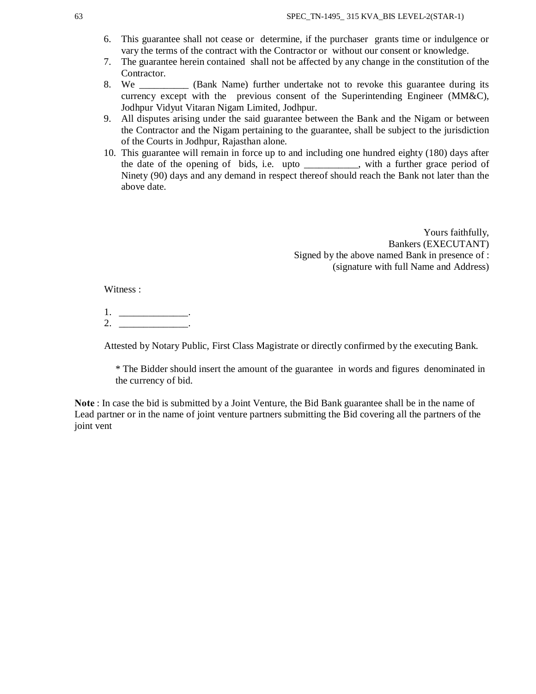- 6. This guarantee shall not cease or determine, if the purchaser grants time or indulgence or vary the terms of the contract with the Contractor or without our consent or knowledge.
- 7. The guarantee herein contained shall not be affected by any change in the constitution of the Contractor.
- 8. We **Solution** (Bank Name) further undertake not to revoke this guarantee during its currency except with the previous consent of the Superintending Engineer (MM&C), Jodhpur Vidyut Vitaran Nigam Limited, Jodhpur.
- 9. All disputes arising under the said guarantee between the Bank and the Nigam or between the Contractor and the Nigam pertaining to the guarantee, shall be subject to the jurisdiction of the Courts in Jodhpur, Rajasthan alone.
- 10. This guarantee will remain in force up to and including one hundred eighty (180) days after the date of the opening of bids, i.e. upto \_\_\_\_\_\_\_\_\_\_\_, with a further grace period of Ninety (90) days and any demand in respect thereof should reach the Bank not later than the above date.

Yours faithfully, Bankers (EXECUTANT) Signed by the above named Bank in presence of : (signature with full Name and Address)

Witness :

1. \_\_\_\_\_\_\_\_\_\_\_\_\_\_\_\_\_.  $2.$ 

Attested by Notary Public, First Class Magistrate or directly confirmed by the executing Bank.

\* The Bidder should insert the amount of the guarantee in words and figures denominated in the currency of bid.

**Note** : In case the bid is submitted by a Joint Venture, the Bid Bank guarantee shall be in the name of Lead partner or in the name of joint venture partners submitting the Bid covering all the partners of the joint vent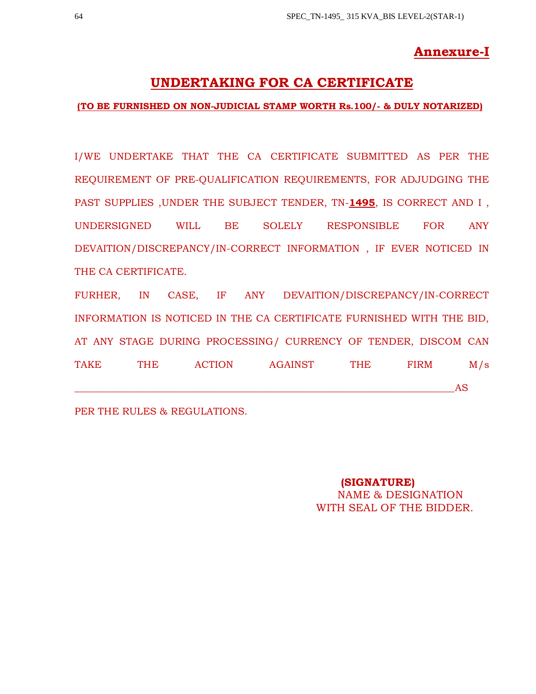# **Annexure-I**

# **UNDERTAKING FOR CA CERTIFICATE**

# **(TO BE FURNISHED ON NON-JUDICIAL STAMP WORTH Rs.100/- & DULY NOTARIZED)**

I/WE UNDERTAKE THAT THE CA CERTIFICATE SUBMITTED AS PER THE REQUIREMENT OF PRE-QUALIFICATION REQUIREMENTS, FOR ADJUDGING THE PAST SUPPLIES ,UNDER THE SUBJECT TENDER, TN-**1495**, IS CORRECT AND I , UNDERSIGNED WILL BE SOLELY RESPONSIBLE FOR ANY DEVAITION/DISCREPANCY/IN-CORRECT INFORMATION , IF EVER NOTICED IN THE CA CERTIFICATE.

FURHER, IN CASE, IF ANY DEVAITION/DISCREPANCY/IN-CORRECT INFORMATION IS NOTICED IN THE CA CERTIFICATE FURNISHED WITH THE BID, AT ANY STAGE DURING PROCESSING/ CURRENCY OF TENDER, DISCOM CAN TAKE THE ACTION AGAINST THE FIRM M/s \_\_\_\_\_\_\_\_\_\_\_\_\_\_\_\_\_\_\_\_\_\_\_\_\_\_\_\_\_\_\_\_\_\_\_\_\_\_\_\_\_\_\_\_\_\_\_\_\_\_\_\_\_\_\_\_\_\_\_\_\_\_\_\_\_\_\_\_\_\_\_\_\_\_\_\_\_AS

PER THE RULES & REGULATIONS.

**(SIGNATURE)** NAME & DESIGNATION WITH SEAL OF THE BIDDER.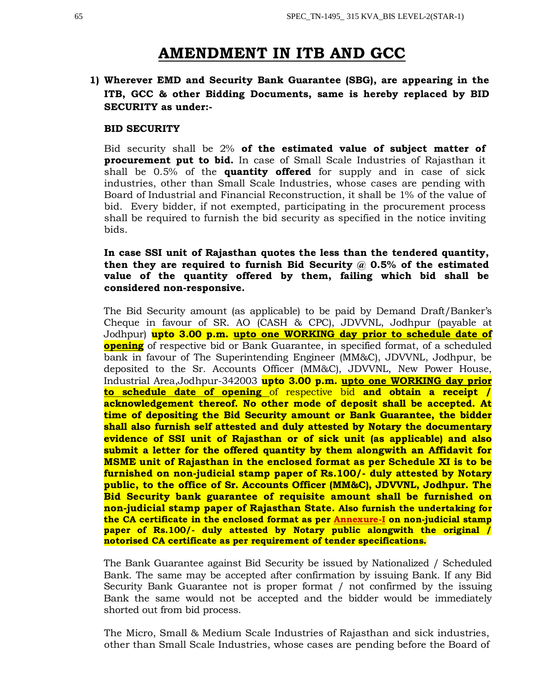# **AMENDMENT IN ITB AND GCC**

# **1) Wherever EMD and Security Bank Guarantee (SBG), are appearing in the ITB, GCC & other Bidding Documents, same is hereby replaced by BID SECURITY as under:-**

## **BID SECURITY**

Bid security shall be 2% **of the estimated value of subject matter of procurement put to bid.** In case of Small Scale Industries of Rajasthan it shall be 0.5% of the **quantity offered** for supply and in case of sick industries, other than Small Scale Industries, whose cases are pending with Board of Industrial and Financial Reconstruction, it shall be 1% of the value of bid. Every bidder, if not exempted, participating in the procurement process shall be required to furnish the bid security as specified in the notice inviting bids.

# **In case SSI unit of Rajasthan quotes the less than the tendered quantity, then they are required to furnish Bid Security @ 0.5% of the estimated value of the quantity offered by them, failing which bid shall be considered non-responsive.**

The Bid Security amount (as applicable) to be paid by Demand Draft/Banker's Cheque in favour of SR. AO (CASH & CPC), JDVVNL, Jodhpur (payable at Jodhpur) **upto 3.00 p.m. upto one WORKING day prior to schedule date of opening** of respective bid or Bank Guarantee, in specified format, of a scheduled bank in favour of The Superintending Engineer (MM&C), JDVVNL, Jodhpur, be deposited to the Sr. Accounts Officer (MM&C), JDVVNL, New Power House, Industrial Area,Jodhpur-342003 **upto 3.00 p.m. upto one WORKING day prior to schedule date of opening** of respective bid **and obtain a receipt / acknowledgement thereof. No other mode of deposit shall be accepted. At time of depositing the Bid Security amount or Bank Guarantee, the bidder shall also furnish self attested and duly attested by Notary the documentary evidence of SSI unit of Rajasthan or of sick unit (as applicable) and also submit a letter for the offered quantity by them alongwith an Affidavit for MSME unit of Rajasthan in the enclosed format as per Schedule XI is to be furnished on non-judicial stamp paper of Rs.100/- duly attested by Notary public, to the office of Sr. Accounts Officer (MM&C), JDVVNL, Jodhpur. The Bid Security bank guarantee of requisite amount shall be furnished on non-judicial stamp paper of Rajasthan State. Also furnish the undertaking for the CA certificate in the enclosed format as per Annexure-I on non-judicial stamp paper of Rs.100/- duly attested by Notary public alongwith the original / notorised CA certificate as per requirement of tender specifications.**

The Bank Guarantee against Bid Security be issued by Nationalized / Scheduled Bank. The same may be accepted after confirmation by issuing Bank. If any Bid Security Bank Guarantee not is proper format / not confirmed by the issuing Bank the same would not be accepted and the bidder would be immediately shorted out from bid process.

The Micro, Small & Medium Scale Industries of Rajasthan and sick industries, other than Small Scale Industries, whose cases are pending before the Board of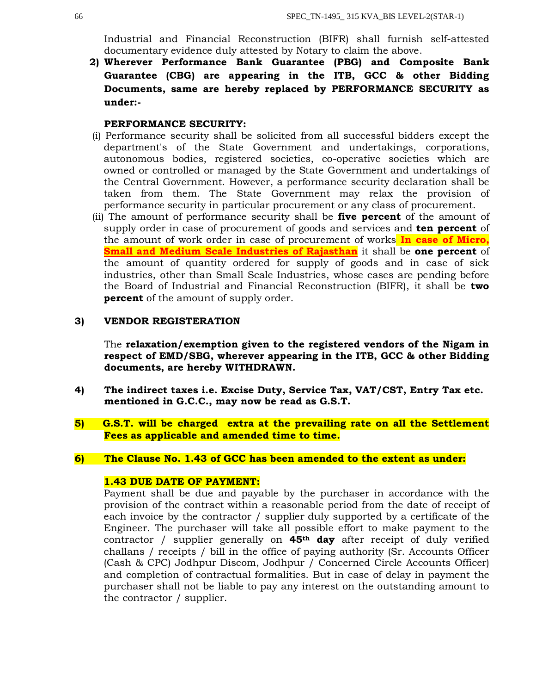Industrial and Financial Reconstruction (BIFR) shall furnish self-attested documentary evidence duly attested by Notary to claim the above.

**2) Wherever Performance Bank Guarantee (PBG) and Composite Bank Guarantee (CBG) are appearing in the ITB, GCC & other Bidding Documents, same are hereby replaced by PERFORMANCE SECURITY as under:-**

## **PERFORMANCE SECURITY:**

- (i) Performance security shall be solicited from all successful bidders except the department's of the State Government and undertakings, corporations, autonomous bodies, registered societies, co-operative societies which are owned or controlled or managed by the State Government and undertakings of the Central Government. However, a performance security declaration shall be taken from them. The State Government may relax the provision of performance security in particular procurement or any class of procurement.
- (ii) The amount of performance security shall be **five percent** of the amount of supply order in case of procurement of goods and services and **ten percent** of the amount of work order in case of procurement of works **In case of Micro, Small and Medium Scale Industries of Rajasthan** it shall be **one percent** of the amount of quantity ordered for supply of goods and in case of sick industries, other than Small Scale Industries, whose cases are pending before the Board of Industrial and Financial Reconstruction (BIFR), it shall be **two percent** of the amount of supply order.

## **3) VENDOR REGISTERATION**

The **relaxation/exemption given to the registered vendors of the Nigam in respect of EMD/SBG, wherever appearing in the ITB, GCC & other Bidding documents, are hereby WITHDRAWN.**

- **4) The indirect taxes i.e. Excise Duty, Service Tax, VAT/CST, Entry Tax etc. mentioned in G.C.C., may now be read as G.S.T.**
- **5) G.S.T. will be charged extra at the prevailing rate on all the Settlement Fees as applicable and amended time to time.**

# **6) The Clause No. 1.43 of GCC has been amended to the extent as under:**

## **1.43 DUE DATE OF PAYMENT:**

Payment shall be due and payable by the purchaser in accordance with the provision of the contract within a reasonable period from the date of receipt of each invoice by the contractor / supplier duly supported by a certificate of the Engineer. The purchaser will take all possible effort to make payment to the contractor / supplier generally on **45th day** after receipt of duly verified challans / receipts / bill in the office of paying authority (Sr. Accounts Officer (Cash & CPC) Jodhpur Discom, Jodhpur / Concerned Circle Accounts Officer) and completion of contractual formalities. But in case of delay in payment the purchaser shall not be liable to pay any interest on the outstanding amount to the contractor / supplier.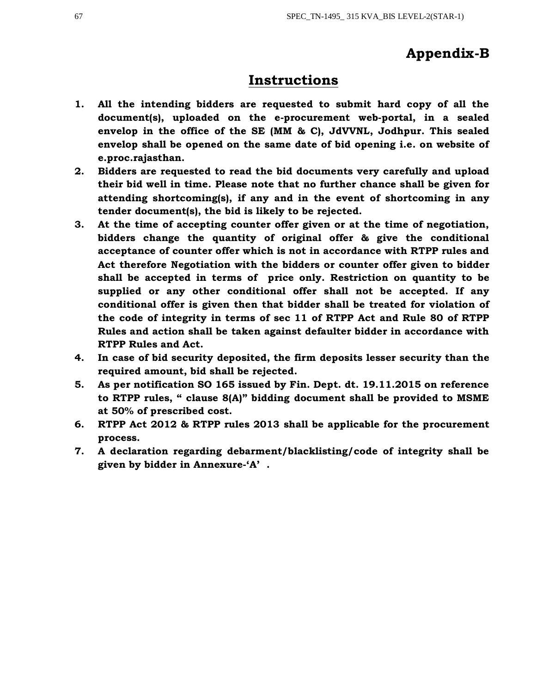# **Appendix-B**

# **Instructions**

- **1. All the intending bidders are requested to submit hard copy of all the document(s), uploaded on the e-procurement web-portal, in a sealed envelop in the office of the SE (MM & C), JdVVNL, Jodhpur. This sealed envelop shall be opened on the same date of bid opening i.e. on website of e.proc.rajasthan.**
- **2. Bidders are requested to read the bid documents very carefully and upload their bid well in time. Please note that no further chance shall be given for attending shortcoming(s), if any and in the event of shortcoming in any tender document(s), the bid is likely to be rejected.**
- **3. At the time of accepting counter offer given or at the time of negotiation, bidders change the quantity of original offer & give the conditional acceptance of counter offer which is not in accordance with RTPP rules and Act therefore Negotiation with the bidders or counter offer given to bidder shall be accepted in terms of price only. Restriction on quantity to be supplied or any other conditional offer shall not be accepted. If any conditional offer is given then that bidder shall be treated for violation of the code of integrity in terms of sec 11 of RTPP Act and Rule 80 of RTPP Rules and action shall be taken against defaulter bidder in accordance with RTPP Rules and Act.**
- **4. In case of bid security deposited, the firm deposits lesser security than the required amount, bid shall be rejected.**
- **5. As per notification SO 165 issued by Fin. Dept. dt. 19.11.2015 on reference to RTPP rules, " clause 8(A)" bidding document shall be provided to MSME at 50% of prescribed cost.**
- **6. RTPP Act 2012 & RTPP rules 2013 shall be applicable for the procurement process.**
- **7. A declaration regarding debarment/blacklisting/code of integrity shall be given by bidder in Annexure-'A' .**